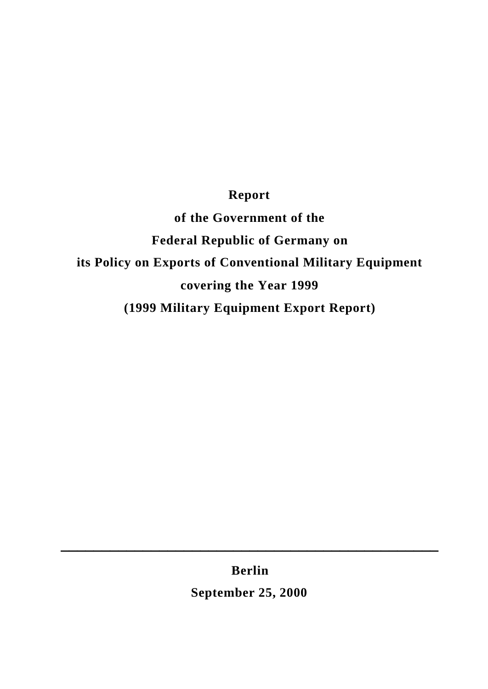# **Report**

**of the Government of the Federal Republic of Germany on its Policy on Exports of Conventional Military Equipment covering the Year 1999 (1999 Military Equipment Export Report)**

**Berlin**

**\_\_\_\_\_\_\_\_\_\_\_\_\_\_\_\_\_\_\_\_\_\_\_\_\_\_\_\_\_\_\_\_\_\_\_\_\_\_\_\_\_\_\_\_\_\_**

**September 25, 2000**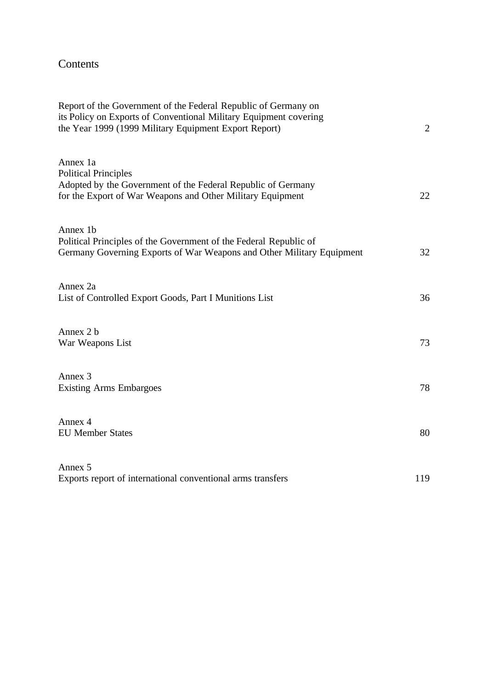## Contents

| Report of the Government of the Federal Republic of Germany on<br>its Policy on Exports of Conventional Military Equipment covering<br>the Year 1999 (1999 Military Equipment Export Report) | $\overline{2}$ |
|----------------------------------------------------------------------------------------------------------------------------------------------------------------------------------------------|----------------|
| Annex 1a<br><b>Political Principles</b><br>Adopted by the Government of the Federal Republic of Germany<br>for the Export of War Weapons and Other Military Equipment                        | 22             |
| Annex 1b<br>Political Principles of the Government of the Federal Republic of<br>Germany Governing Exports of War Weapons and Other Military Equipment                                       | 32             |
| Annex <sub>2a</sub><br>List of Controlled Export Goods, Part I Munitions List                                                                                                                | 36             |
| Annex 2 b<br>War Weapons List                                                                                                                                                                | 73             |
| Annex 3<br><b>Existing Arms Embargoes</b>                                                                                                                                                    | 78             |
| Annex 4<br><b>EU Member States</b>                                                                                                                                                           | 80             |
| Annex 5<br>Exports report of international conventional arms transfers                                                                                                                       | 119            |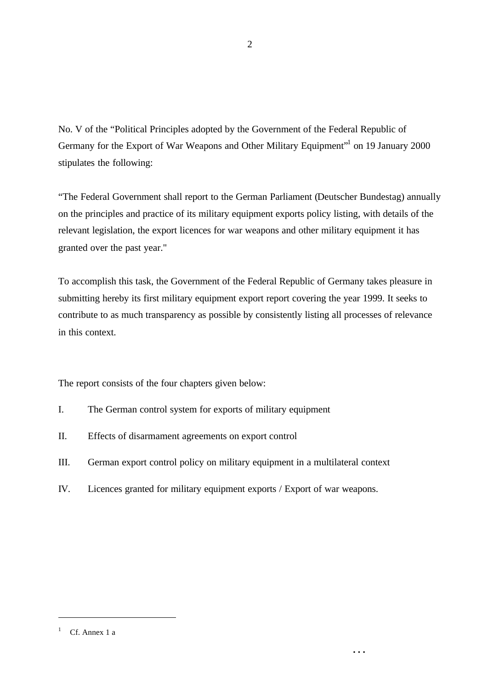No. V of the "Political Principles adopted by the Government of the Federal Republic of Germany for the Export of War Weapons and Other Military Equipment"<sup>1</sup> on 19 January 2000 stipulates the following:

"The Federal Government shall report to the German Parliament (Deutscher Bundestag) annually on the principles and practice of its military equipment exports policy listing, with details of the relevant legislation, the export licences for war weapons and other military equipment it has granted over the past year."

To accomplish this task, the Government of the Federal Republic of Germany takes pleasure in submitting hereby its first military equipment export report covering the year 1999. It seeks to contribute to as much transparency as possible by consistently listing all processes of relevance in this context.

The report consists of the four chapters given below:

- I. The German control system for exports of military equipment
- II. Effects of disarmament agreements on export control
- III. German export control policy on military equipment in a multilateral context

**. . .**

IV. Licences granted for military equipment exports / Export of war weapons.

l

<sup>&</sup>lt;sup>1</sup> Cf. Annex 1 a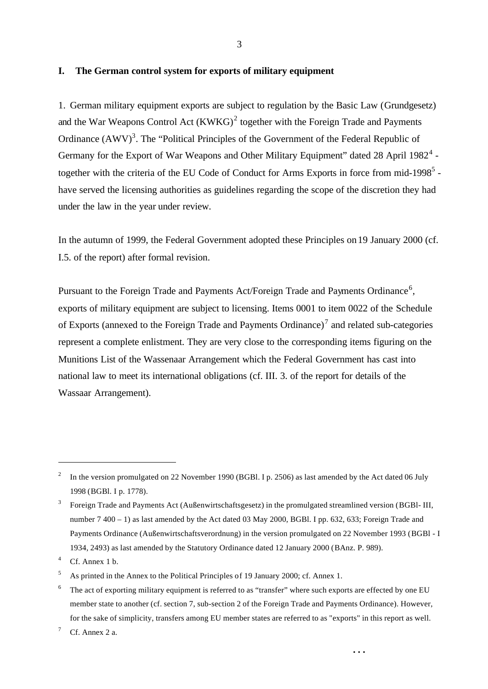## **I. The German control system for exports of military equipment**

1. German military equipment exports are subject to regulation by the Basic Law (Grundgesetz) and the War Weapons Control Act  $(KWKG)^2$  together with the Foreign Trade and Payments Ordinance  $(AWV)^3$ . The "Political Principles of the Government of the Federal Republic of Germany for the Export of War Weapons and Other Military Equipment" dated 28 April 1982<sup>4</sup> together with the criteria of the EU Code of Conduct for Arms Exports in force from mid-1998 $<sup>5</sup>$  -</sup> have served the licensing authorities as guidelines regarding the scope of the discretion they had under the law in the year under review.

In the autumn of 1999, the Federal Government adopted these Principles on 19 January 2000 (cf. I.5. of the report) after formal revision.

Pursuant to the Foreign Trade and Payments Act/Foreign Trade and Payments Ordinance<sup>6</sup>, exports of military equipment are subject to licensing. Items 0001 to item 0022 of the Schedule of Exports (annexed to the Foreign Trade and Payments Ordinance)<sup>7</sup> and related sub-categories represent a complete enlistment. They are very close to the corresponding items figuring on the Munitions List of the Wassenaar Arrangement which the Federal Government has cast into national law to meet its international obligations (cf. III. 3. of the report for details of the Wassaar Arrangement).

l

**. . .**

<sup>&</sup>lt;sup>2</sup> In the version promulgated on 22 November 1990 (BGBl. I p. 2506) as last amended by the Act dated 06 July 1998 (BGBl. I p. 1778).

<sup>3</sup> Foreign Trade and Payments Act (Außenwirtschaftsgesetz) in the promulgated streamlined version (BGBl- III, number 7 400 – 1) as last amended by the Act dated 03 May 2000, BGBl. I pp. 632, 633; Foreign Trade and Payments Ordinance (Außenwirtschaftsverordnung) in the version promulgated on 22 November 1993 (BGBl - I 1934, 2493) as last amended by the Statutory Ordinance dated 12 January 2000 (BAnz. P. 989).

 $4$  Cf. Annex 1 b.

 $5$  As printed in the Annex to the Political Principles of 19 January 2000; cf. Annex 1.

<sup>6</sup> The act of exporting military equipment is referred to as "transfer" where such exports are effected by one EU member state to another (cf. section 7, sub-section 2 of the Foreign Trade and Payments Ordinance). However, for the sake of simplicity, transfers among EU member states are referred to as "exports" in this report as well.

<sup>&</sup>lt;sup>7</sup> Cf. Annex 2 a.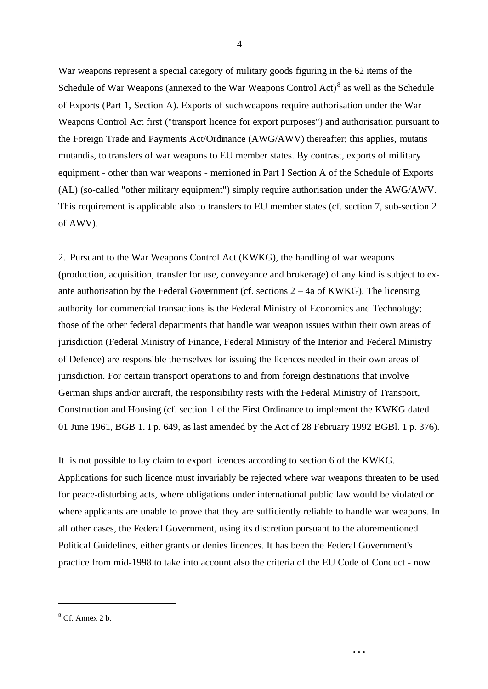War weapons represent a special category of military goods figuring in the 62 items of the Schedule of War Weapons (annexed to the War Weapons Control Act) $8$  as well as the Schedule of Exports (Part 1, Section A). Exports of such weapons require authorisation under the War Weapons Control Act first ("transport licence for export purposes") and authorisation pursuant to the Foreign Trade and Payments Act/Ordinance (AWG/AWV) thereafter; this applies, mutatis mutandis, to transfers of war weapons to EU member states. By contrast, exports of military equipment - other than war weapons - mentioned in Part I Section A of the Schedule of Exports (AL) (so-called "other military equipment") simply require authorisation under the AWG/AWV. This requirement is applicable also to transfers to EU member states (cf. section 7, sub-section 2 of AWV).

2. Pursuant to the War Weapons Control Act (KWKG), the handling of war weapons (production, acquisition, transfer for use, conveyance and brokerage) of any kind is subject to exante authorisation by the Federal Government (cf. sections 2 – 4a of KWKG). The licensing authority for commercial transactions is the Federal Ministry of Economics and Technology; those of the other federal departments that handle war weapon issues within their own areas of jurisdiction (Federal Ministry of Finance, Federal Ministry of the Interior and Federal Ministry of Defence) are responsible themselves for issuing the licences needed in their own areas of jurisdiction. For certain transport operations to and from foreign destinations that involve German ships and/or aircraft, the responsibility rests with the Federal Ministry of Transport, Construction and Housing (cf. section 1 of the First Ordinance to implement the KWKG dated 01 June 1961, BGB 1. I p. 649, as last amended by the Act of 28 February 1992 BGBl. 1 p. 376).

It is not possible to lay claim to export licences according to section 6 of the KWKG. Applications for such licence must invariably be rejected where war weapons threaten to be used for peace-disturbing acts, where obligations under international public law would be violated or where applicants are unable to prove that they are sufficiently reliable to handle war weapons. In all other cases, the Federal Government, using its discretion pursuant to the aforementioned Political Guidelines, either grants or denies licences. It has been the Federal Government's practice from mid-1998 to take into account also the criteria of the EU Code of Conduct - now

**. . .**

l

 $8$  Cf. Annex 2 b.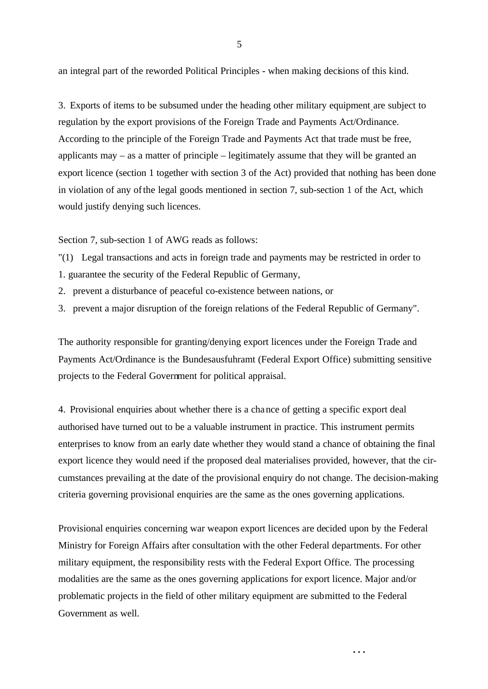an integral part of the reworded Political Principles - when making decisions of this kind.

3. Exports of items to be subsumed under the heading other military equipment are subject to regulation by the export provisions of the Foreign Trade and Payments Act/Ordinance. According to the principle of the Foreign Trade and Payments Act that trade must be free, applicants may – as a matter of principle – legitimately assume that they will be granted an export licence (section 1 together with section 3 of the Act) provided that nothing has been done in violation of any of the legal goods mentioned in section 7, sub-section 1 of the Act, which would justify denying such licences.

Section 7, sub-section 1 of AWG reads as follows:

"(1) Legal transactions and acts in foreign trade and payments may be restricted in order to

- 1. guarantee the security of the Federal Republic of Germany,
- 2. prevent a disturbance of peaceful co-existence between nations, or
- 3. prevent a major disruption of the foreign relations of the Federal Republic of Germany".

The authority responsible for granting/denying export licences under the Foreign Trade and Payments Act/Ordinance is the Bundesausfuhramt (Federal Export Office) submitting sensitive projects to the Federal Government for political appraisal.

4. Provisional enquiries about whether there is a chance of getting a specific export deal authorised have turned out to be a valuable instrument in practice. This instrument permits enterprises to know from an early date whether they would stand a chance of obtaining the final export licence they would need if the proposed deal materialises provided, however, that the circumstances prevailing at the date of the provisional enquiry do not change. The decision-making criteria governing provisional enquiries are the same as the ones governing applications.

Provisional enquiries concerning war weapon export licences are decided upon by the Federal Ministry for Foreign Affairs after consultation with the other Federal departments. For other military equipment, the responsibility rests with the Federal Export Office. The processing modalities are the same as the ones governing applications for export licence. Major and/or problematic projects in the field of other military equipment are submitted to the Federal Government as well.

**. . .**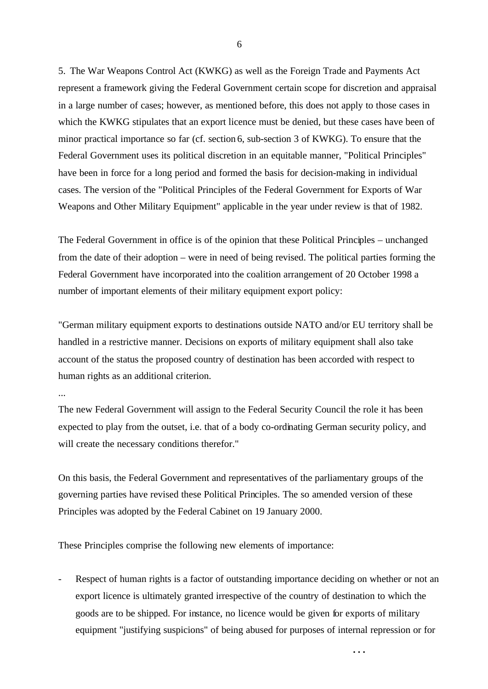5. The War Weapons Control Act (KWKG) as well as the Foreign Trade and Payments Act represent a framework giving the Federal Government certain scope for discretion and appraisal in a large number of cases; however, as mentioned before, this does not apply to those cases in which the KWKG stipulates that an export licence must be denied, but these cases have been of minor practical importance so far (cf. section 6, sub-section 3 of KWKG). To ensure that the Federal Government uses its political discretion in an equitable manner, "Political Principles" have been in force for a long period and formed the basis for decision-making in individual cases. The version of the "Political Principles of the Federal Government for Exports of War Weapons and Other Military Equipment" applicable in the year under review is that of 1982.

The Federal Government in office is of the opinion that these Political Principles – unchanged from the date of their adoption – were in need of being revised. The political parties forming the Federal Government have incorporated into the coalition arrangement of 20 October 1998 a number of important elements of their military equipment export policy:

"German military equipment exports to destinations outside NATO and/or EU territory shall be handled in a restrictive manner. Decisions on exports of military equipment shall also take account of the status the proposed country of destination has been accorded with respect to human rights as an additional criterion.

...

The new Federal Government will assign to the Federal Security Council the role it has been expected to play from the outset, i.e. that of a body co-ordinating German security policy, and will create the necessary conditions therefor."

On this basis, the Federal Government and representatives of the parliamentary groups of the governing parties have revised these Political Principles. The so amended version of these Principles was adopted by the Federal Cabinet on 19 January 2000.

These Principles comprise the following new elements of importance:

Respect of human rights is a factor of outstanding importance deciding on whether or not an export licence is ultimately granted irrespective of the country of destination to which the goods are to be shipped. For instance, no licence would be given for exports of military equipment "justifying suspicions" of being abused for purposes of internal repression or for

**. . .**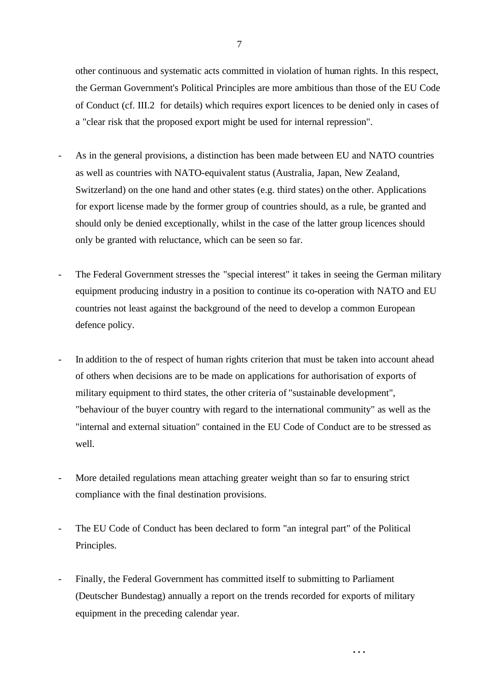other continuous and systematic acts committed in violation of human rights. In this respect, the German Government's Political Principles are more ambitious than those of the EU Code of Conduct (cf. III.2 for details) which requires export licences to be denied only in cases of a "clear risk that the proposed export might be used for internal repression".

- As in the general provisions, a distinction has been made between EU and NATO countries as well as countries with NATO-equivalent status (Australia, Japan, New Zealand, Switzerland) on the one hand and other states (e.g. third states) on the other. Applications for export license made by the former group of countries should, as a rule, be granted and should only be denied exceptionally, whilst in the case of the latter group licences should only be granted with reluctance, which can be seen so far.
- The Federal Government stresses the "special interest" it takes in seeing the German military equipment producing industry in a position to continue its co-operation with NATO and EU countries not least against the background of the need to develop a common European defence policy.
- In addition to the of respect of human rights criterion that must be taken into account ahead of others when decisions are to be made on applications for authorisation of exports of military equipment to third states, the other criteria of "sustainable development", "behaviour of the buyer country with regard to the international community" as well as the "internal and external situation" contained in the EU Code of Conduct are to be stressed as well.
- More detailed regulations mean attaching greater weight than so far to ensuring strict compliance with the final destination provisions.
- The EU Code of Conduct has been declared to form "an integral part" of the Political Principles.
- Finally, the Federal Government has committed itself to submitting to Parliament (Deutscher Bundestag) annually a report on the trends recorded for exports of military equipment in the preceding calendar year.

**. . .**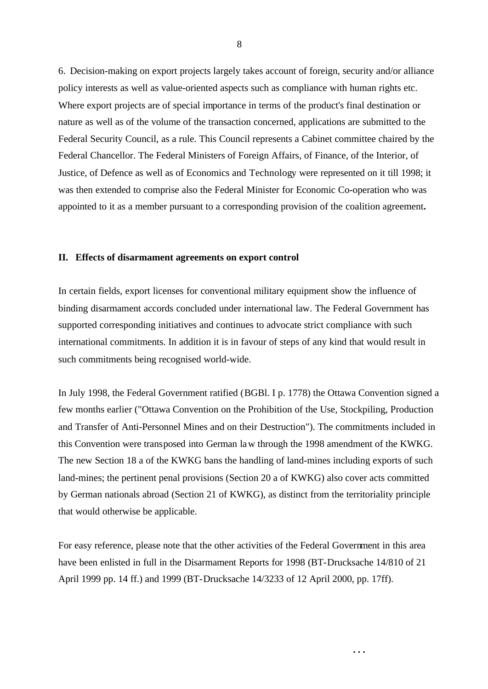6. Decision-making on export projects largely takes account of foreign, security and/or alliance policy interests as well as value-oriented aspects such as compliance with human rights etc. Where export projects are of special importance in terms of the product's final destination or nature as well as of the volume of the transaction concerned, applications are submitted to the Federal Security Council, as a rule. This Council represents a Cabinet committee chaired by the Federal Chancellor. The Federal Ministers of Foreign Affairs, of Finance, of the Interior, of Justice, of Defence as well as of Economics and Technology were represented on it till 1998; it was then extended to comprise also the Federal Minister for Economic Co-operation who was appointed to it as a member pursuant to a corresponding provision of the coalition agreement**.**

#### **II. Effects of disarmament agreements on export control**

In certain fields, export licenses for conventional military equipment show the influence of binding disarmament accords concluded under international law. The Federal Government has supported corresponding initiatives and continues to advocate strict compliance with such international commitments. In addition it is in favour of steps of any kind that would result in such commitments being recognised world-wide.

In July 1998, the Federal Government ratified (BGBl. I p. 1778) the Ottawa Convention signed a few months earlier ("Ottawa Convention on the Prohibition of the Use, Stockpiling, Production and Transfer of Anti-Personnel Mines and on their Destruction"). The commitments included in this Convention were transposed into German law through the 1998 amendment of the KWKG. The new Section 18 a of the KWKG bans the handling of land-mines including exports of such land-mines; the pertinent penal provisions (Section 20 a of KWKG) also cover acts committed by German nationals abroad (Section 21 of KWKG), as distinct from the territoriality principle that would otherwise be applicable.

For easy reference, please note that the other activities of the Federal Government in this area have been enlisted in full in the Disarmament Reports for 1998 (BT-Drucksache 14/810 of 21 April 1999 pp. 14 ff.) and 1999 (BT-Drucksache 14/3233 of 12 April 2000, pp. 17ff).

**. . .**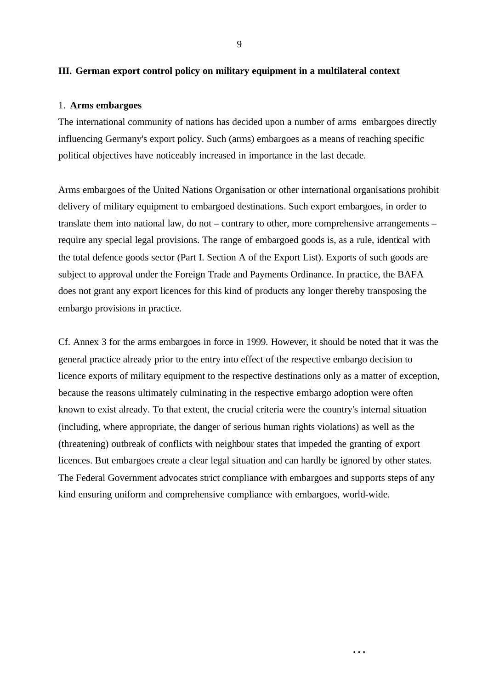#### **III. German export control policy on military equipment in a multilateral context**

#### 1. **Arms embargoes**

The international community of nations has decided upon a number of arms embargoes directly influencing Germany's export policy. Such (arms) embargoes as a means of reaching specific political objectives have noticeably increased in importance in the last decade.

Arms embargoes of the United Nations Organisation or other international organisations prohibit delivery of military equipment to embargoed destinations. Such export embargoes, in order to translate them into national law, do not – contrary to other, more comprehensive arrangements – require any special legal provisions. The range of embargoed goods is, as a rule, identical with the total defence goods sector (Part I. Section A of the Export List). Exports of such goods are subject to approval under the Foreign Trade and Payments Ordinance. In practice, the BAFA does not grant any export licences for this kind of products any longer thereby transposing the embargo provisions in practice.

Cf. Annex 3 for the arms embargoes in force in 1999. However, it should be noted that it was the general practice already prior to the entry into effect of the respective embargo decision to licence exports of military equipment to the respective destinations only as a matter of exception, because the reasons ultimately culminating in the respective embargo adoption were often known to exist already. To that extent, the crucial criteria were the country's internal situation (including, where appropriate, the danger of serious human rights violations) as well as the (threatening) outbreak of conflicts with neighbour states that impeded the granting of export licences. But embargoes create a clear legal situation and can hardly be ignored by other states. The Federal Government advocates strict compliance with embargoes and supports steps of any kind ensuring uniform and comprehensive compliance with embargoes, world-wide.

**. . .**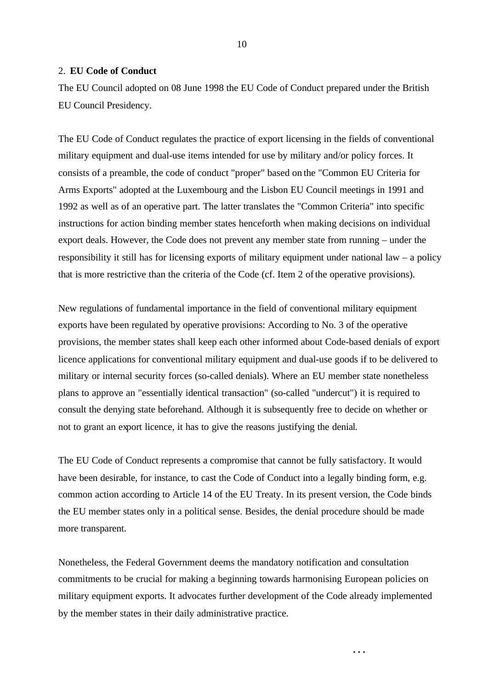#### 2. **EU Code of Conduct**

The EU Council adopted on 08 June 1998 the EU Code of Conduct prepared under the British EU Council Presidency.

The EU Code of Conduct regulates the practice of export licensing in the fields of conventional military equipment and dual-use items intended for use by military and/or policy forces. It consists of a preamble, the code of conduct "proper" based on the "Common EU Criteria for Arms Exports" adopted at the Luxembourg and the Lisbon EU Council meetings in 1991 and 1992 as well as of an operative part. The latter translates the "Common Criteria" into specific instructions for action binding member states henceforth when making decisions on individual export deals. However, the Code does not prevent any member state from running – under the responsibility it still has for licensing exports of military equipment under national law – a policy that is more restrictive than the criteria of the Code (cf. Item 2 of the operative provisions).

New regulations of fundamental importance in the field of conventional military equipment exports have been regulated by operative provisions: According to No. 3 of the operative provisions, the member states shall keep each other informed about Code-based denials of export licence applications for conventional military equipment and dual-use goods if to be delivered to military or internal security forces (so-called denials). Where an EU member state nonetheless plans to approve an "essentially identical transaction" (so-called "undercut") it is required to consult the denying state beforehand. Although it is subsequently free to decide on whether or not to grant an export licence, it has to give the reasons justifying the denial.

The EU Code of Conduct represents a compromise that cannot be fully satisfactory. It would have been desirable, for instance, to cast the Code of Conduct into a legally binding form, e.g. common action according to Article 14 of the EU Treaty. In its present version, the Code binds the EU member states only in a political sense. Besides, the denial procedure should be made more transparent.

Nonetheless, the Federal Government deems the mandatory notification and consultation commitments to be crucial for making a beginning towards harmonising European policies on military equipment exports. It advocates further development of the Code already implemented by the member states in their daily administrative practice.

**. . .**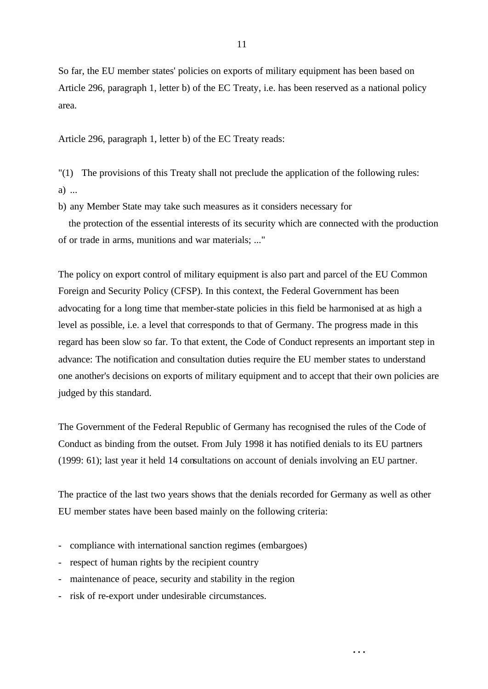So far, the EU member states' policies on exports of military equipment has been based on Article 296, paragraph 1, letter b) of the EC Treaty, i.e. has been reserved as a national policy area.

Article 296, paragraph 1, letter b) of the EC Treaty reads:

"(1) The provisions of this Treaty shall not preclude the application of the following rules: a) ...

b) any Member State may take such measures as it considers necessary for

 the protection of the essential interests of its security which are connected with the production of or trade in arms, munitions and war materials; ..."

The policy on export control of military equipment is also part and parcel of the EU Common Foreign and Security Policy (CFSP). In this context, the Federal Government has been advocating for a long time that member-state policies in this field be harmonised at as high a level as possible, i.e. a level that corresponds to that of Germany. The progress made in this regard has been slow so far. To that extent, the Code of Conduct represents an important step in advance: The notification and consultation duties require the EU member states to understand one another's decisions on exports of military equipment and to accept that their own policies are judged by this standard.

The Government of the Federal Republic of Germany has recognised the rules of the Code of Conduct as binding from the outset. From July 1998 it has notified denials to its EU partners (1999: 61); last year it held 14 consultations on account of denials involving an EU partner.

The practice of the last two years shows that the denials recorded for Germany as well as other EU member states have been based mainly on the following criteria:

**. . .**

- compliance with international sanction regimes (embargoes)
- respect of human rights by the recipient country
- maintenance of peace, security and stability in the region
- risk of re-export under undesirable circumstances.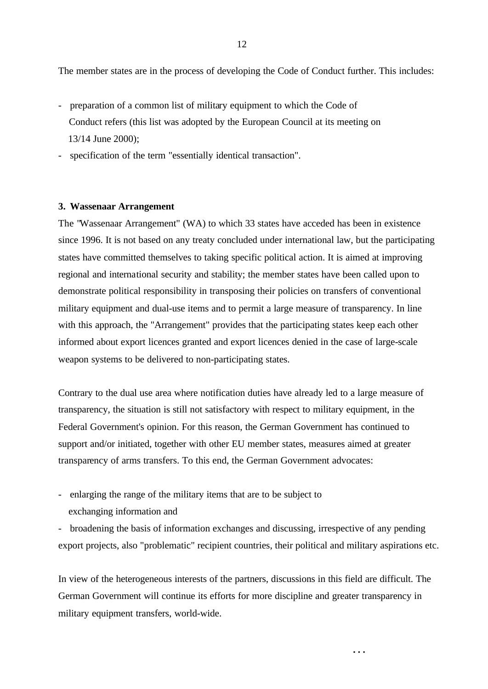The member states are in the process of developing the Code of Conduct further. This includes:

- preparation of a common list of military equipment to which the Code of Conduct refers (this list was adopted by the European Council at its meeting on 13/14 June 2000);
- specification of the term "essentially identical transaction".

#### **3. Wassenaar Arrangement**

The "Wassenaar Arrangement" (WA) to which 33 states have acceded has been in existence since 1996. It is not based on any treaty concluded under international law, but the participating states have committed themselves to taking specific political action. It is aimed at improving regional and international security and stability; the member states have been called upon to demonstrate political responsibility in transposing their policies on transfers of conventional military equipment and dual-use items and to permit a large measure of transparency. In line with this approach, the "Arrangement" provides that the participating states keep each other informed about export licences granted and export licences denied in the case of large-scale weapon systems to be delivered to non-participating states.

Contrary to the dual use area where notification duties have already led to a large measure of transparency, the situation is still not satisfactory with respect to military equipment, in the Federal Government's opinion. For this reason, the German Government has continued to support and/or initiated, together with other EU member states, measures aimed at greater transparency of arms transfers. To this end, the German Government advocates:

- enlarging the range of the military items that are to be subject to exchanging information and

- broadening the basis of information exchanges and discussing, irrespective of any pending export projects, also "problematic" recipient countries, their political and military aspirations etc.

In view of the heterogeneous interests of the partners, discussions in this field are difficult. The German Government will continue its efforts for more discipline and greater transparency in military equipment transfers, world-wide.

**. . .**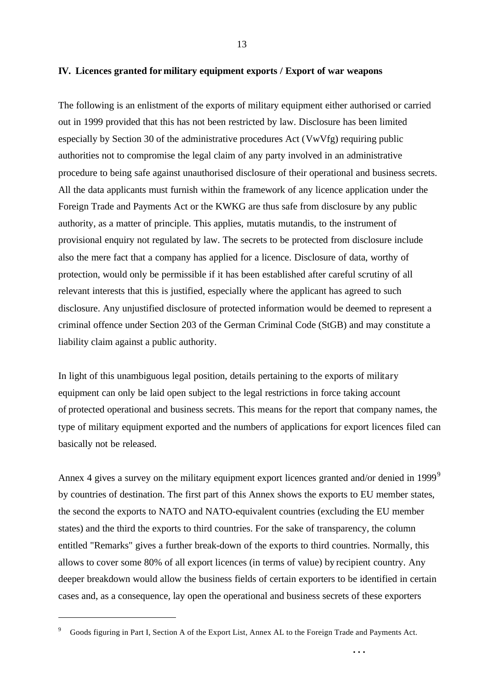#### **IV. Licences granted for military equipment exports / Export of war weapons**

The following is an enlistment of the exports of military equipment either authorised or carried out in 1999 provided that this has not been restricted by law. Disclosure has been limited especially by Section 30 of the administrative procedures Act (VwVfg) requiring public authorities not to compromise the legal claim of any party involved in an administrative procedure to being safe against unauthorised disclosure of their operational and business secrets. All the data applicants must furnish within the framework of any licence application under the Foreign Trade and Payments Act or the KWKG are thus safe from disclosure by any public authority, as a matter of principle. This applies, mutatis mutandis, to the instrument of provisional enquiry not regulated by law. The secrets to be protected from disclosure include also the mere fact that a company has applied for a licence. Disclosure of data, worthy of protection, would only be permissible if it has been established after careful scrutiny of all relevant interests that this is justified, especially where the applicant has agreed to such disclosure. Any unjustified disclosure of protected information would be deemed to represent a criminal offence under Section 203 of the German Criminal Code (StGB) and may constitute a liability claim against a public authority.

In light of this unambiguous legal position, details pertaining to the exports of military equipment can only be laid open subject to the legal restrictions in force taking account of protected operational and business secrets. This means for the report that company names, the type of military equipment exported and the numbers of applications for export licences filed can basically not be released.

Annex 4 gives a survey on the military equipment export licences granted and/or denied in 1999<sup>9</sup> by countries of destination. The first part of this Annex shows the exports to EU member states, the second the exports to NATO and NATO-equivalent countries (excluding the EU member states) and the third the exports to third countries. For the sake of transparency, the column entitled "Remarks" gives a further break-down of the exports to third countries. Normally, this allows to cover some 80% of all export licences (in terms of value) by recipient country. Any deeper breakdown would allow the business fields of certain exporters to be identified in certain cases and, as a consequence, lay open the operational and business secrets of these exporters

l

<sup>9</sup> Goods figuring in Part I, Section A of the Export List, Annex AL to the Foreign Trade and Payments Act.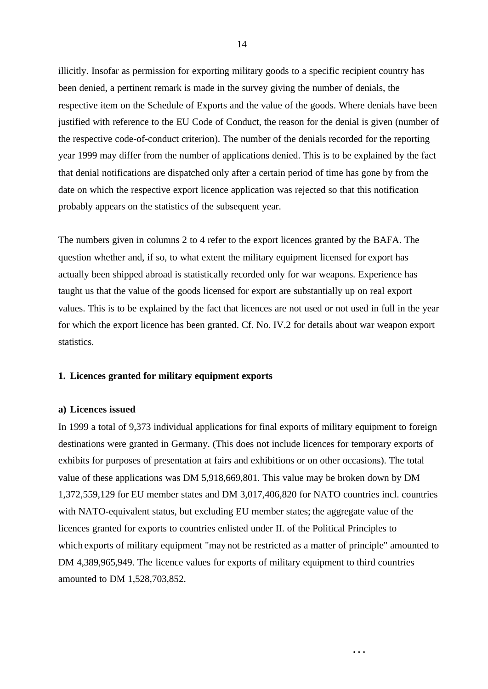illicitly. Insofar as permission for exporting military goods to a specific recipient country has been denied, a pertinent remark is made in the survey giving the number of denials, the respective item on the Schedule of Exports and the value of the goods. Where denials have been justified with reference to the EU Code of Conduct, the reason for the denial is given (number of the respective code-of-conduct criterion). The number of the denials recorded for the reporting year 1999 may differ from the number of applications denied. This is to be explained by the fact that denial notifications are dispatched only after a certain period of time has gone by from the date on which the respective export licence application was rejected so that this notification probably appears on the statistics of the subsequent year.

The numbers given in columns 2 to 4 refer to the export licences granted by the BAFA. The question whether and, if so, to what extent the military equipment licensed for export has actually been shipped abroad is statistically recorded only for war weapons. Experience has taught us that the value of the goods licensed for export are substantially up on real export values. This is to be explained by the fact that licences are not used or not used in full in the year for which the export licence has been granted. Cf. No. IV.2 for details about war weapon export statistics.

#### **1. Licences granted for military equipment exports**

### **a) Licences issued**

In 1999 a total of 9,373 individual applications for final exports of military equipment to foreign destinations were granted in Germany. (This does not include licences for temporary exports of exhibits for purposes of presentation at fairs and exhibitions or on other occasions). The total value of these applications was DM 5,918,669,801. This value may be broken down by DM 1,372,559,129 for EU member states and DM 3,017,406,820 for NATO countries incl. countries with NATO-equivalent status, but excluding EU member states; the aggregate value of the licences granted for exports to countries enlisted under II. of the Political Principles to which exports of military equipment "may not be restricted as a matter of principle" amounted to DM 4,389,965,949. The licence values for exports of military equipment to third countries amounted to DM 1,528,703,852.

**. . .**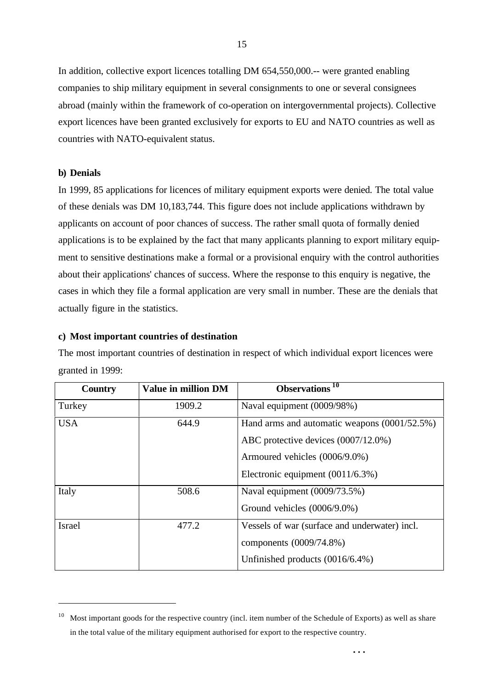In addition, collective export licences totalling DM 654,550,000.-- were granted enabling companies to ship military equipment in several consignments to one or several consignees abroad (mainly within the framework of co-operation on intergovernmental projects). Collective export licences have been granted exclusively for exports to EU and NATO countries as well as countries with NATO-equivalent status.

#### **b) Denials**

l

In 1999, 85 applications for licences of military equipment exports were denied. The total value of these denials was DM 10,183,744. This figure does not include applications withdrawn by applicants on account of poor chances of success. The rather small quota of formally denied applications is to be explained by the fact that many applicants planning to export military equipment to sensitive destinations make a formal or a provisional enquiry with the control authorities about their applications' chances of success. Where the response to this enquiry is negative, the cases in which they file a formal application are very small in number. These are the denials that actually figure in the statistics.

#### **c) Most important countries of destination**

The most important countries of destination in respect of which individual export licences were granted in 1999:

| <b>Country</b> | <b>Value in million DM</b> | Observations <sup>10</sup>                    |
|----------------|----------------------------|-----------------------------------------------|
| Turkey         | 1909.2                     | Naval equipment (0009/98%)                    |
| <b>USA</b>     | 644.9                      | Hand arms and automatic weapons (0001/52.5%)  |
|                |                            | ABC protective devices (0007/12.0%)           |
|                |                            | Armoured vehicles (0006/9.0%)                 |
|                |                            | Electronic equipment $(0011/6.3\%)$           |
| Italy          | 508.6                      | Naval equipment (0009/73.5%)                  |
|                |                            | Ground vehicles (0006/9.0%)                   |
| Israel         | 477.2                      | Vessels of war (surface and underwater) incl. |
|                |                            | components (0009/74.8%)                       |
|                |                            | Unfinished products (0016/6.4%)               |

 $10$  Most important goods for the respective country (incl. item number of the Schedule of Exports) as well as share in the total value of the military equipment authorised for export to the respective country.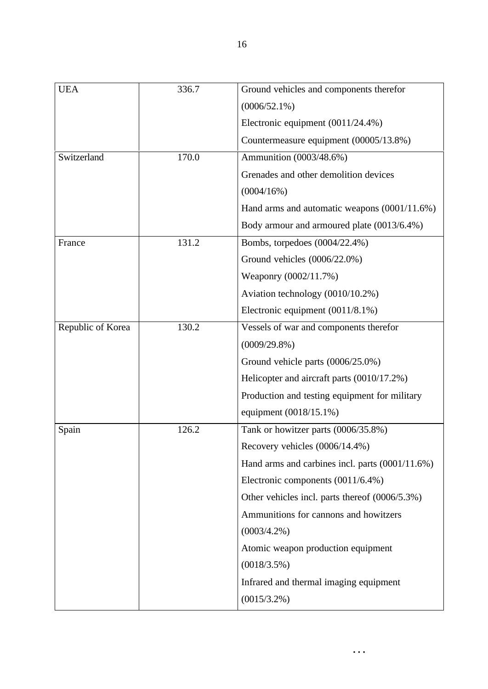| <b>UEA</b>        | 336.7 | Ground vehicles and components therefor         |  |
|-------------------|-------|-------------------------------------------------|--|
|                   |       | $(0006/52.1\%)$                                 |  |
|                   |       | Electronic equipment (0011/24.4%)               |  |
|                   |       | Countermeasure equipment (00005/13.8%)          |  |
| Switzerland       | 170.0 | Ammunition (0003/48.6%)                         |  |
|                   |       | Grenades and other demolition devices           |  |
|                   |       | (0004/16%)                                      |  |
|                   |       | Hand arms and automatic weapons (0001/11.6%)    |  |
|                   |       | Body armour and armoured plate (0013/6.4%)      |  |
| France            | 131.2 | Bombs, torpedoes (0004/22.4%)                   |  |
|                   |       | Ground vehicles (0006/22.0%)                    |  |
|                   |       | Weaponry (0002/11.7%)                           |  |
|                   |       | Aviation technology (0010/10.2%)                |  |
|                   |       | Electronic equipment (0011/8.1%)                |  |
| Republic of Korea | 130.2 | Vessels of war and components therefor          |  |
|                   |       | $(0009/29.8\%)$                                 |  |
|                   |       | Ground vehicle parts (0006/25.0%)               |  |
|                   |       | Helicopter and aircraft parts (0010/17.2%)      |  |
|                   |       | Production and testing equipment for military   |  |
|                   |       | equipment (0018/15.1%)                          |  |
| Spain             | 126.2 | Tank or howitzer parts (0006/35.8%)             |  |
|                   |       | Recovery vehicles (0006/14.4%)                  |  |
|                   |       | Hand arms and carbines incl. parts (0001/11.6%) |  |
|                   |       | Electronic components (0011/6.4%)               |  |
|                   |       | Other vehicles incl. parts thereof (0006/5.3%)  |  |
|                   |       | Ammunitions for cannons and howitzers           |  |
|                   |       | $(0003/4.2\%)$                                  |  |
|                   |       | Atomic weapon production equipment              |  |
|                   |       | $(0018/3.5\%)$                                  |  |
|                   |       | Infrared and thermal imaging equipment          |  |
|                   |       | $(0015/3.2\%)$                                  |  |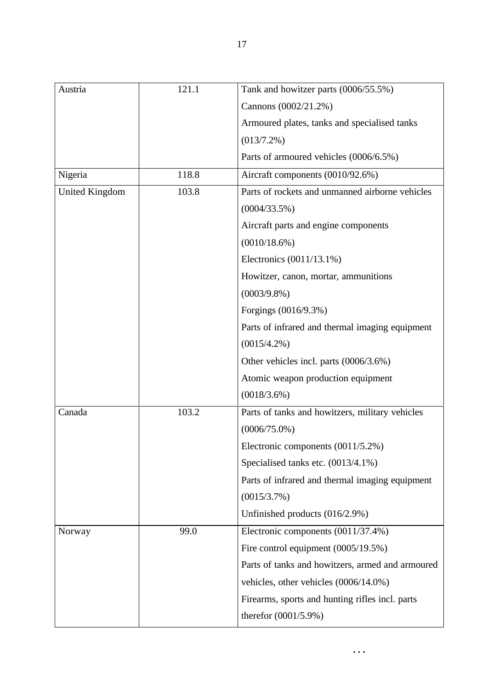| Austria        | 121.1 | Tank and howitzer parts (0006/55.5%)             |  |
|----------------|-------|--------------------------------------------------|--|
|                |       | Cannons (0002/21.2%)                             |  |
|                |       | Armoured plates, tanks and specialised tanks     |  |
|                |       | $(013/7.2\%)$                                    |  |
|                |       | Parts of armoured vehicles (0006/6.5%)           |  |
| Nigeria        | 118.8 | Aircraft components (0010/92.6%)                 |  |
| United Kingdom | 103.8 | Parts of rockets and unmanned airborne vehicles  |  |
|                |       | $(0004/33.5\%)$                                  |  |
|                |       | Aircraft parts and engine components             |  |
|                |       | $(0010/18.6\%)$                                  |  |
|                |       | Electronics (0011/13.1%)                         |  |
|                |       | Howitzer, canon, mortar, ammunitions             |  |
|                |       | $(0003/9.8\%)$                                   |  |
|                |       | Forgings (0016/9.3%)                             |  |
|                |       | Parts of infrared and thermal imaging equipment  |  |
|                |       | $(0015/4.2\%)$                                   |  |
|                |       | Other vehicles incl. parts (0006/3.6%)           |  |
|                |       | Atomic weapon production equipment               |  |
|                |       | $(0018/3.6\%)$                                   |  |
| Canada         | 103.2 | Parts of tanks and howitzers, military vehicles  |  |
|                |       | $(0006/75.0\%)$                                  |  |
|                |       | Electronic components (0011/5.2%)                |  |
|                |       | Specialised tanks etc. (0013/4.1%)               |  |
|                |       | Parts of infrared and thermal imaging equipment  |  |
|                |       | $(0015/3.7\%)$                                   |  |
|                |       | Unfinished products (016/2.9%)                   |  |
| Norway         | 99.0  | Electronic components (0011/37.4%)               |  |
|                |       | Fire control equipment (0005/19.5%)              |  |
|                |       | Parts of tanks and howitzers, armed and armoured |  |
|                |       | vehicles, other vehicles (0006/14.0%)            |  |
|                |       | Firearms, sports and hunting rifles incl. parts  |  |
|                |       | therefor (0001/5.9%)                             |  |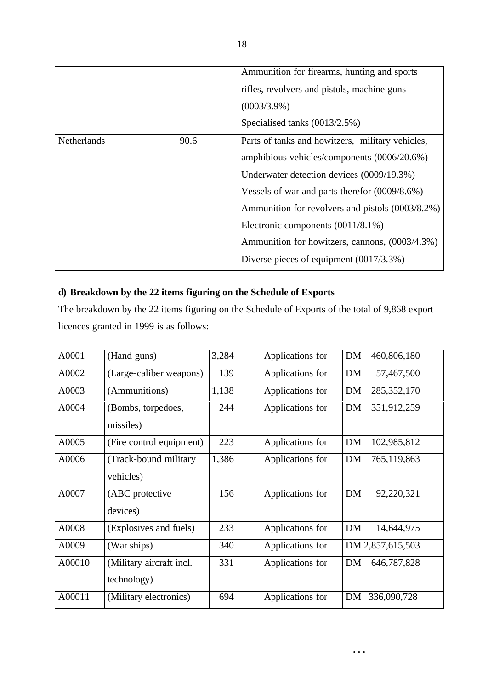|             |      | Ammunition for firearms, hunting and sports<br>rifles, revolvers and pistols, machine guns |  |
|-------------|------|--------------------------------------------------------------------------------------------|--|
|             |      | $(0003/3.9\%)$                                                                             |  |
|             |      | Specialised tanks (0013/2.5%)                                                              |  |
| Netherlands | 90.6 | Parts of tanks and howitzers, military vehicles,                                           |  |
|             |      | amphibious vehicles/components (0006/20.6%)                                                |  |
|             |      | Underwater detection devices (0009/19.3%)                                                  |  |
|             |      | Vessels of war and parts therefor (0009/8.6%)                                              |  |
|             |      | Ammunition for revolvers and pistols (0003/8.2%)                                           |  |
|             |      | Electronic components (0011/8.1%)                                                          |  |
|             |      | Ammunition for howitzers, cannons, (0003/4.3%)                                             |  |
|             |      | Diverse pieces of equipment $(0017/3.3\%)$                                                 |  |

## **d) Breakdown by the 22 items figuring on the Schedule of Exports**

The breakdown by the 22 items figuring on the Schedule of Exports of the total of 9,868 export licences granted in 1999 is as follows:

| A0001  | (Hand guns)                             | 3,284 | Applications for | <b>DM</b><br>460,806,180 |
|--------|-----------------------------------------|-------|------------------|--------------------------|
| A0002  | (Large-caliber weapons)                 | 139   | Applications for | DM<br>57,467,500         |
| A0003  | (Ammunitions)                           | 1,138 | Applications for | DM<br>285, 352, 170      |
| A0004  | (Bombs, torpedoes,<br>missiles)         | 244   | Applications for | DM<br>351,912,259        |
| A0005  | (Fire control equipment)                | 223   | Applications for | DM<br>102,985,812        |
| A0006  | (Track-bound military<br>vehicles)      | 1,386 | Applications for | DM<br>765,119,863        |
| A0007  | (ABC protective<br>devices)             | 156   | Applications for | <b>DM</b><br>92,220,321  |
| A0008  | (Explosives and fuels)                  | 233   | Applications for | <b>DM</b><br>14,644,975  |
| A0009  | (War ships)                             | 340   | Applications for | DM 2,857,615,503         |
| A00010 | (Military aircraft incl.<br>technology) | 331   | Applications for | DM<br>646,787,828        |
| A00011 | (Military electronics)                  | 694   | Applications for | 336,090,728<br>DM        |

**. . .**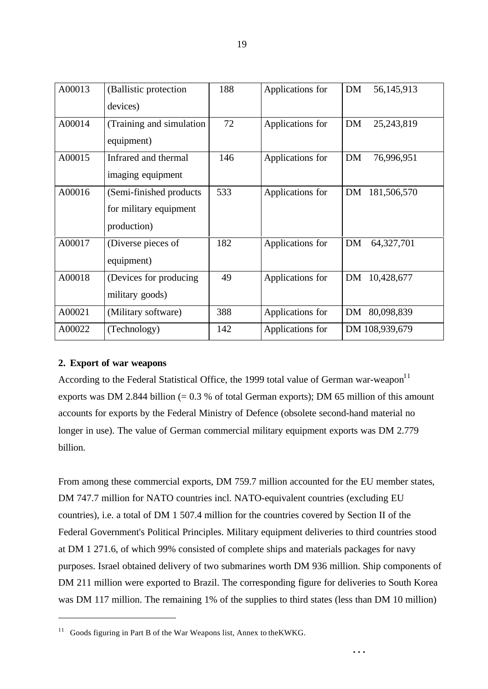| A00013 | (Ballistic protection)<br>devices)                                | 188 | Applications for | <b>DM</b><br>56,145,913 |
|--------|-------------------------------------------------------------------|-----|------------------|-------------------------|
| A00014 | (Training and simulation<br>equipment)                            | 72  | Applications for | <b>DM</b><br>25,243,819 |
| A00015 | Infrared and thermal<br>imaging equipment                         | 146 | Applications for | DM<br>76,996,951        |
| A00016 | (Semi-finished products)<br>for military equipment<br>production) | 533 | Applications for | DM<br>181,506,570       |
| A00017 | (Diverse pieces of<br>equipment)                                  | 182 | Applications for | DM<br>64,327,701        |
| A00018 | (Devices for producing)<br>military goods)                        | 49  | Applications for | DM<br>10,428,677        |
| A00021 | (Military software)                                               | 388 | Applications for | 80,098,839<br>DM        |
| A00022 | (Technology)                                                      | 142 | Applications for | DM 108,939,679          |

## **2. Export of war weapons**

l

According to the Federal Statistical Office, the 1999 total value of German war-weapon<sup>11</sup> exports was DM 2.844 billion  $(= 0.3 \%$  of total German exports); DM 65 million of this amount accounts for exports by the Federal Ministry of Defence (obsolete second-hand material no longer in use). The value of German commercial military equipment exports was DM 2.779 billion.

From among these commercial exports, DM 759.7 million accounted for the EU member states, DM 747.7 million for NATO countries incl. NATO-equivalent countries (excluding EU countries), i.e. a total of DM 1 507.4 million for the countries covered by Section II of the Federal Government's Political Principles. Military equipment deliveries to third countries stood at DM 1 271.6, of which 99% consisted of complete ships and materials packages for navy purposes. Israel obtained delivery of two submarines worth DM 936 million. Ship components of DM 211 million were exported to Brazil. The corresponding figure for deliveries to South Korea was DM 117 million. The remaining 1% of the supplies to third states (less than DM 10 million)

**. . .**

<sup>&</sup>lt;sup>11</sup> Goods figuring in Part B of the War Weapons list, Annex to the KWKG.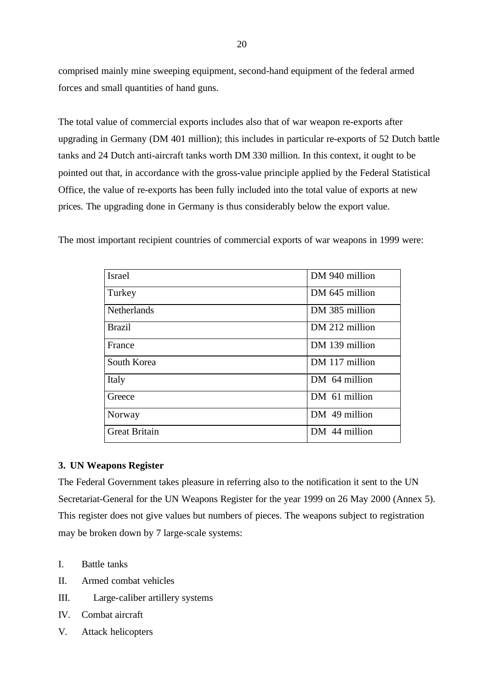comprised mainly mine sweeping equipment, second-hand equipment of the federal armed forces and small quantities of hand guns.

The total value of commercial exports includes also that of war weapon re-exports after upgrading in Germany (DM 401 million); this includes in particular re-exports of 52 Dutch battle tanks and 24 Dutch anti-aircraft tanks worth DM 330 million. In this context, it ought to be pointed out that, in accordance with the gross-value principle applied by the Federal Statistical Office, the value of re-exports has been fully included into the total value of exports at new prices. The upgrading done in Germany is thus considerably below the export value.

The most important recipient countries of commercial exports of war weapons in 1999 were:

| <b>Israel</b>        | DM 940 million |
|----------------------|----------------|
| Turkey               | DM 645 million |
| <b>Netherlands</b>   | DM 385 million |
| <b>Brazil</b>        | DM 212 million |
| France               | DM 139 million |
| South Korea          | DM 117 million |
| Italy                | DM 64 million  |
| Greece               | DM 61 million  |
| Norway               | DM 49 million  |
| <b>Great Britain</b> | DM 44 million  |

#### **3. UN Weapons Register**

The Federal Government takes pleasure in referring also to the notification it sent to the UN Secretariat-General for the UN Weapons Register for the year 1999 on 26 May 2000 (Annex 5). This register does not give values but numbers of pieces. The weapons subject to registration may be broken down by 7 large-scale systems:

- I. Battle tanks
- II. Armed combat vehicles
- III. Large-caliber artillery systems
- IV. Combat aircraft
- V. Attack helicopters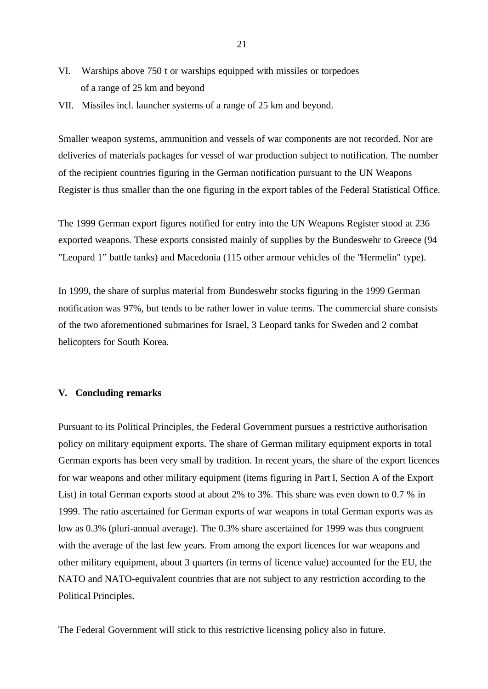- VI. Warships above 750 t or warships equipped with missiles or torpedoes of a range of 25 km and beyond
- VII. Missiles incl. launcher systems of a range of 25 km and beyond.

Smaller weapon systems, ammunition and vessels of war components are not recorded. Nor are deliveries of materials packages for vessel of war production subject to notification. The number of the recipient countries figuring in the German notification pursuant to the UN Weapons Register is thus smaller than the one figuring in the export tables of the Federal Statistical Office.

The 1999 German export figures notified for entry into the UN Weapons Register stood at 236 exported weapons. These exports consisted mainly of supplies by the Bundeswehr to Greece (94 "Leopard 1" battle tanks) and Macedonia (115 other armour vehicles of the "Hermelin" type).

In 1999, the share of surplus material from Bundeswehr stocks figuring in the 1999 German notification was 97%, but tends to be rather lower in value terms. The commercial share consists of the two aforementioned submarines for Israel, 3 Leopard tanks for Sweden and 2 combat helicopters for South Korea.

#### **V. Concluding remarks**

Pursuant to its Political Principles, the Federal Government pursues a restrictive authorisation policy on military equipment exports. The share of German military equipment exports in total German exports has been very small by tradition. In recent years, the share of the export licences for war weapons and other military equipment (items figuring in Part I, Section A of the Export List) in total German exports stood at about 2% to 3%. This share was even down to 0.7 % in 1999. The ratio ascertained for German exports of war weapons in total German exports was as low as 0.3% (pluri-annual average). The 0.3% share ascertained for 1999 was thus congruent with the average of the last few years. From among the export licences for war weapons and other military equipment, about 3 quarters (in terms of licence value) accounted for the EU, the NATO and NATO-equivalent countries that are not subject to any restriction according to the Political Principles.

The Federal Government will stick to this restrictive licensing policy also in future.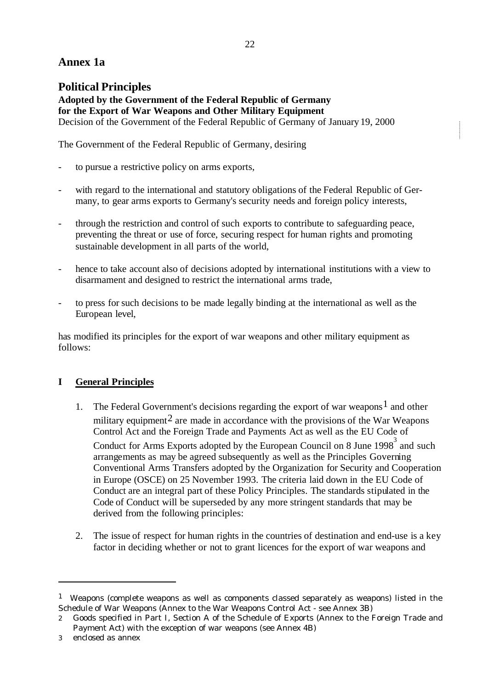## **Annex 1a**

## **Political Principles**

**Adopted by the Government of the Federal Republic of Germany for the Export of War Weapons and Other Military Equipment** Decision of the Government of the Federal Republic of Germany of January 19, 2000

The Government of the Federal Republic of Germany, desiring

- to pursue a restrictive policy on arms exports,
- with regard to the international and statutory obligations of the Federal Republic of Germany, to gear arms exports to Germany's security needs and foreign policy interests,
- through the restriction and control of such exports to contribute to safeguarding peace, preventing the threat or use of force, securing respect for human rights and promoting sustainable development in all parts of the world,
- hence to take account also of decisions adopted by international institutions with a view to disarmament and designed to restrict the international arms trade,
- to press for such decisions to be made legally binding at the international as well as the European level,

has modified its principles for the export of war weapons and other military equipment as follows:

## **I General Principles**

- 1. The Federal Government's decisions regarding the export of war weapons<sup>1</sup> and other military equipment<sup>2</sup> are made in accordance with the provisions of the War Weapons Control Act and the Foreign Trade and Payments Act as well as the EU Code of Conduct for Arms Exports adopted by the European Council on 8 June 1998<sup>3</sup> and such arrangements as may be agreed subsequently as well as the Principles Governing Conventional Arms Transfers adopted by the Organization for Security and Cooperation in Europe (OSCE) on 25 November 1993. The criteria laid down in the EU Code of Conduct are an integral part of these Policy Principles. The standards stipulated in the Code of Conduct will be superseded by any more stringent standards that may be derived from the following principles:
- 2. The issue of respect for human rights in the countries of destination and end-use is a key factor in deciding whether or not to grant licences for the export of war weapons and

l

<sup>1</sup> Weapons (complete weapons as well as components classed separately as weapons) listed in the Schedule of War Weapons (Annex to the War Weapons Control Act - see Annex 3B)

<sup>2</sup> Goods specified in Part I, Section A of the Schedule of Exports (Annex to the Foreign Trade and Payment Act) with the exception of war weapons (see Annex 4B)

<sup>3</sup> enclosed as annex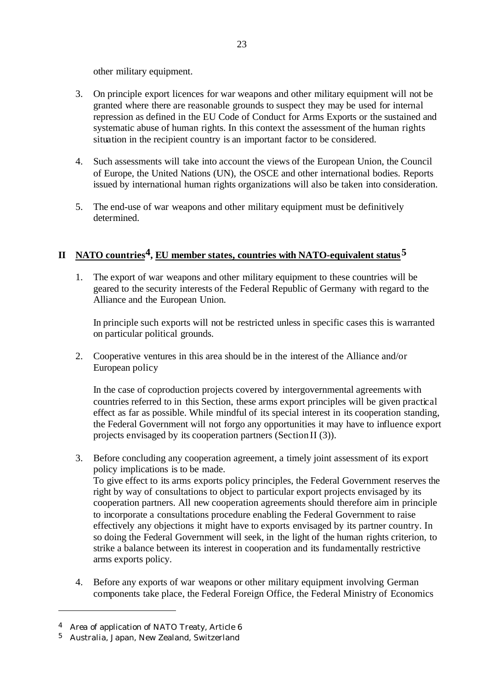other military equipment.

- 3. On principle export licences for war weapons and other military equipment will not be granted where there are reasonable grounds to suspect they may be used for internal repression as defined in the EU Code of Conduct for Arms Exports or the sustained and systematic abuse of human rights. In this context the assessment of the human rights situation in the recipient country is an important factor to be considered.
- 4. Such assessments will take into account the views of the European Union, the Council of Europe, the United Nations (UN), the OSCE and other international bodies. Reports issued by international human rights organizations will also be taken into consideration.
- 5. The end-use of war weapons and other military equipment must be definitively determined.

## **II NATO countries4, EU member states, countries with NATO-equivalent status5**

1. The export of war weapons and other military equipment to these countries will be geared to the security interests of the Federal Republic of Germany with regard to the Alliance and the European Union.

In principle such exports will not be restricted unless in specific cases this is warranted on particular political grounds.

2. Cooperative ventures in this area should be in the interest of the Alliance and/or European policy

In the case of coproduction projects covered by intergovernmental agreements with countries referred to in this Section, these arms export principles will be given practical effect as far as possible. While mindful of its special interest in its cooperation standing, the Federal Government will not forgo any opportunities it may have to influence export projects envisaged by its cooperation partners (Section II (3)).

- 3. Before concluding any cooperation agreement, a timely joint assessment of its export policy implications is to be made. To give effect to its arms exports policy principles, the Federal Government reserves the right by way of consultations to object to particular export projects envisaged by its cooperation partners. All new cooperation agreements should therefore aim in principle to incorporate a consultations procedure enabling the Federal Government to raise effectively any objections it might have to exports envisaged by its partner country. In so doing the Federal Government will seek, in the light of the human rights criterion, to strike a balance between its interest in cooperation and its fundamentally restrictive arms exports policy.
- 4. Before any exports of war weapons or other military equipment involving German components take place, the Federal Foreign Office, the Federal Ministry of Economics

l

<sup>4</sup> Area of application of NATO Treaty, Article 6

<sup>5</sup> Australia, Japan, New Zealand, Switzerland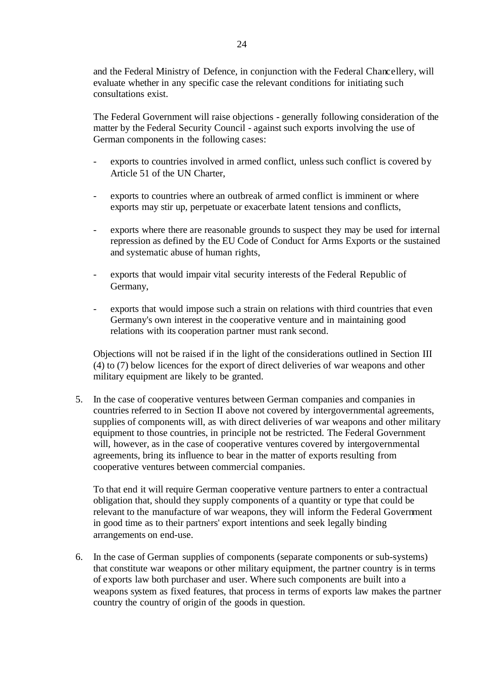and the Federal Ministry of Defence, in conjunction with the Federal Chancellery, will evaluate whether in any specific case the relevant conditions for initiating such consultations exist.

The Federal Government will raise objections - generally following consideration of the matter by the Federal Security Council - against such exports involving the use of German components in the following cases:

- exports to countries involved in armed conflict, unless such conflict is covered by Article 51 of the UN Charter,
- exports to countries where an outbreak of armed conflict is imminent or where exports may stir up, perpetuate or exacerbate latent tensions and conflicts,
- exports where there are reasonable grounds to suspect they may be used for internal repression as defined by the EU Code of Conduct for Arms Exports or the sustained and systematic abuse of human rights,
- exports that would impair vital security interests of the Federal Republic of Germany,
- exports that would impose such a strain on relations with third countries that even Germany's own interest in the cooperative venture and in maintaining good relations with its cooperation partner must rank second.

Objections will not be raised if in the light of the considerations outlined in Section III (4) to (7) below licences for the export of direct deliveries of war weapons and other military equipment are likely to be granted.

5. In the case of cooperative ventures between German companies and companies in countries referred to in Section II above not covered by intergovernmental agreements, supplies of components will, as with direct deliveries of war weapons and other military equipment to those countries, in principle not be restricted. The Federal Government will, however, as in the case of cooperative ventures covered by intergovernmental agreements, bring its influence to bear in the matter of exports resulting from cooperative ventures between commercial companies.

To that end it will require German cooperative venture partners to enter a contractual obligation that, should they supply components of a quantity or type that could be relevant to the manufacture of war weapons, they will inform the Federal Government in good time as to their partners' export intentions and seek legally binding arrangements on end-use.

6. In the case of German supplies of components (separate components or sub-systems) that constitute war weapons or other military equipment, the partner country is in terms of exports law both purchaser and user. Where such components are built into a weapons system as fixed features, that process in terms of exports law makes the partner country the country of origin of the goods in question.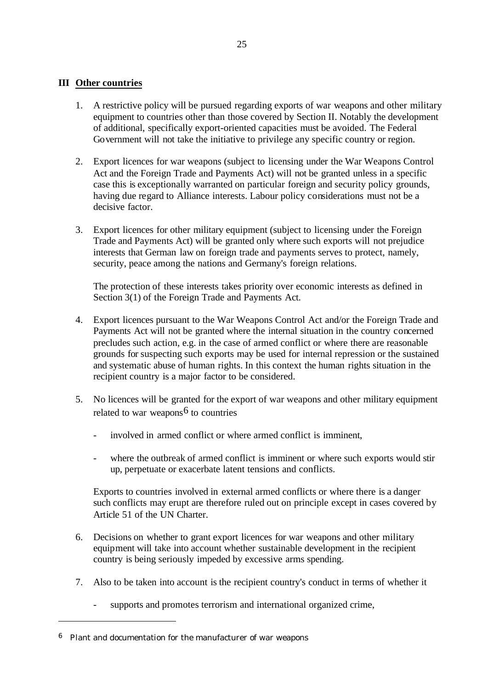## **III Other countries**

- 1. A restrictive policy will be pursued regarding exports of war weapons and other military equipment to countries other than those covered by Section II. Notably the development of additional, specifically export-oriented capacities must be avoided. The Federal Government will not take the initiative to privilege any specific country or region.
- 2. Export licences for war weapons (subject to licensing under the War Weapons Control Act and the Foreign Trade and Payments Act) will not be granted unless in a specific case this is exceptionally warranted on particular foreign and security policy grounds, having due regard to Alliance interests. Labour policy considerations must not be a decisive factor.
- 3. Export licences for other military equipment (subject to licensing under the Foreign Trade and Payments Act) will be granted only where such exports will not prejudice interests that German law on foreign trade and payments serves to protect, namely, security, peace among the nations and Germany's foreign relations.

The protection of these interests takes priority over economic interests as defined in Section 3(1) of the Foreign Trade and Payments Act.

- 4. Export licences pursuant to the War Weapons Control Act and/or the Foreign Trade and Payments Act will not be granted where the internal situation in the country concerned precludes such action, e.g. in the case of armed conflict or where there are reasonable grounds for suspecting such exports may be used for internal repression or the sustained and systematic abuse of human rights. In this context the human rights situation in the recipient country is a major factor to be considered.
- 5. No licences will be granted for the export of war weapons and other military equipment related to war weapons<sup>6</sup> to countries
	- involved in armed conflict or where armed conflict is imminent.
	- where the outbreak of armed conflict is imminent or where such exports would stir up, perpetuate or exacerbate latent tensions and conflicts.

Exports to countries involved in external armed conflicts or where there is a danger such conflicts may erupt are therefore ruled out on principle except in cases covered by Article 51 of the UN Charter.

- 6. Decisions on whether to grant export licences for war weapons and other military equipment will take into account whether sustainable development in the recipient country is being seriously impeded by excessive arms spending.
- 7. Also to be taken into account is the recipient country's conduct in terms of whether it
	- supports and promotes terrorism and international organized crime,

l

 $6$  Plant and documentation for the manufacturer of war weapons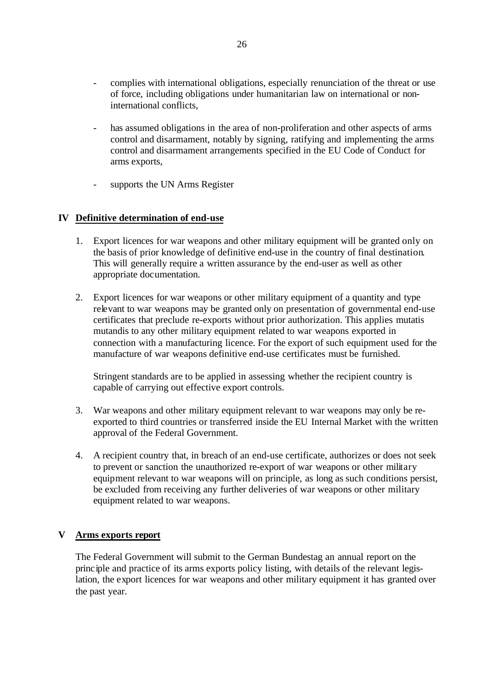- complies with international obligations, especially renunciation of the threat or use of force, including obligations under humanitarian law on international or noninternational conflicts,
- has assumed obligations in the area of non-proliferation and other aspects of arms control and disarmament, notably by signing, ratifying and implementing the arms control and disarmament arrangements specified in the EU Code of Conduct for arms exports,
- supports the UN Arms Register

## **IV Definitive determination of end-use**

- 1. Export licences for war weapons and other military equipment will be granted only on the basis of prior knowledge of definitive end-use in the country of final destination. This will generally require a written assurance by the end-user as well as other appropriate documentation.
- 2. Export licences for war weapons or other military equipment of a quantity and type relevant to war weapons may be granted only on presentation of governmental end-use certificates that preclude re-exports without prior authorization. This applies mutatis mutandis to any other military equipment related to war weapons exported in connection with a manufacturing licence. For the export of such equipment used for the manufacture of war weapons definitive end-use certificates must be furnished.

Stringent standards are to be applied in assessing whether the recipient country is capable of carrying out effective export controls.

- 3. War weapons and other military equipment relevant to war weapons may only be reexported to third countries or transferred inside the EU Internal Market with the written approval of the Federal Government.
- 4. A recipient country that, in breach of an end-use certificate, authorizes or does not seek to prevent or sanction the unauthorized re-export of war weapons or other military equipment relevant to war weapons will on principle, as long as such conditions persist, be excluded from receiving any further deliveries of war weapons or other military equipment related to war weapons.

## **V Arms exports report**

The Federal Government will submit to the German Bundestag an annual report on the principle and practice of its arms exports policy listing, with details of the relevant legislation, the export licences for war weapons and other military equipment it has granted over the past year.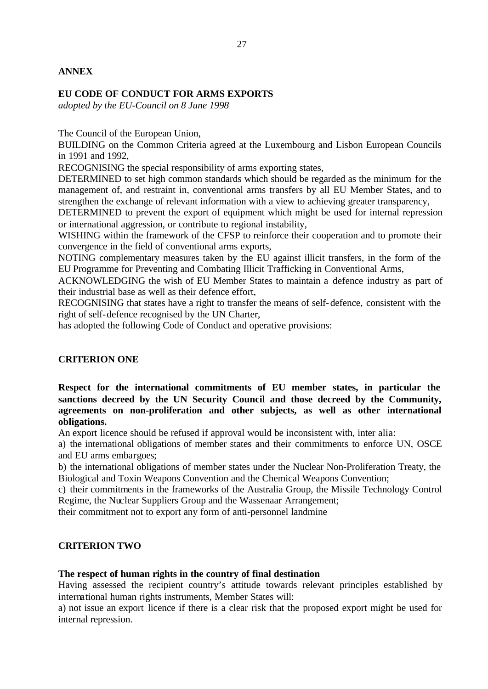## **EU CODE OF CONDUCT FOR ARMS EXPORTS**

*adopted by the EU-Council on 8 June 1998*

The Council of the European Union,

BUILDING on the Common Criteria agreed at the Luxembourg and Lisbon European Councils in 1991 and 1992,

RECOGNISING the special responsibility of arms exporting states,

DETERMINED to set high common standards which should be regarded as the minimum for the management of, and restraint in, conventional arms transfers by all EU Member States, and to strengthen the exchange of relevant information with a view to achieving greater transparency,

DETERMINED to prevent the export of equipment which might be used for internal repression or international aggression, or contribute to regional instability,

WISHING within the framework of the CFSP to reinforce their cooperation and to promote their convergence in the field of conventional arms exports,

NOTING complementary measures taken by the EU against illicit transfers, in the form of the EU Programme for Preventing and Combating Illicit Trafficking in Conventional Arms,

ACKNOWLEDGING the wish of EU Member States to maintain a defence industry as part of their industrial base as well as their defence effort,

RECOGNISING that states have a right to transfer the means of self-defence, consistent with the right of self-defence recognised by the UN Charter,

has adopted the following Code of Conduct and operative provisions:

## **CRITERION ONE**

**Respect for the international commitments of EU member states, in particular the sanctions decreed by the UN Security Council and those decreed by the Community, agreements on non-proliferation and other subjects, as well as other international obligations.**

An export licence should be refused if approval would be inconsistent with, inter alia:

a) the international obligations of member states and their commitments to enforce UN, OSCE and EU arms embargoes;

b) the international obligations of member states under the Nuclear Non-Proliferation Treaty, the Biological and Toxin Weapons Convention and the Chemical Weapons Convention;

c) their commitments in the frameworks of the Australia Group, the Missile Technology Control Regime, the Nuclear Suppliers Group and the Wassenaar Arrangement;

their commitment not to export any form of anti-personnel landmine

## **CRITERION TWO**

### **The respect of human rights in the country of final destination**

Having assessed the recipient country's attitude towards relevant principles established by international human rights instruments, Member States will:

a) not issue an export licence if there is a clear risk that the proposed export might be used for internal repression.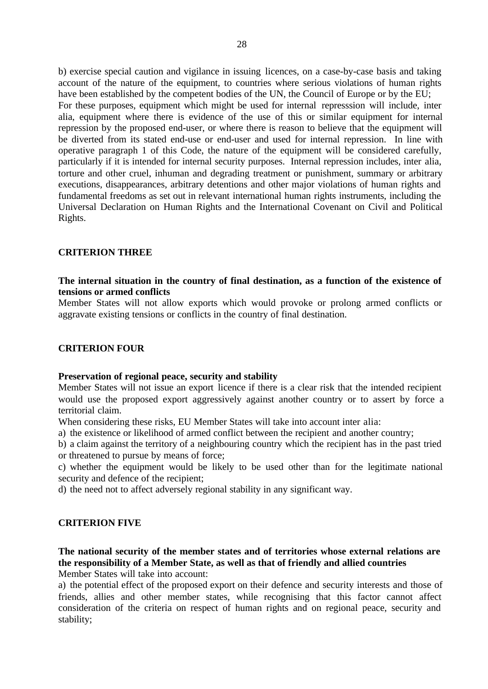b) exercise special caution and vigilance in issuing licences, on a case-by-case basis and taking account of the nature of the equipment, to countries where serious violations of human rights have been established by the competent bodies of the UN, the Council of Europe or by the EU; For these purposes, equipment which might be used for internal represssion will include, inter alia, equipment where there is evidence of the use of this or similar equipment for internal repression by the proposed end-user, or where there is reason to believe that the equipment will be diverted from its stated end-use or end-user and used for internal repression. In line with operative paragraph 1 of this Code, the nature of the equipment will be considered carefully, particularly if it is intended for internal security purposes. Internal repression includes, inter alia, torture and other cruel, inhuman and degrading treatment or punishment, summary or arbitrary executions, disappearances, arbitrary detentions and other major violations of human rights and fundamental freedoms as set out in relevant international human rights instruments, including the Universal Declaration on Human Rights and the International Covenant on Civil and Political Rights.

## **CRITERION THREE**

## **The internal situation in the country of final destination, as a function of the existence of tensions or armed conflicts**

Member States will not allow exports which would provoke or prolong armed conflicts or aggravate existing tensions or conflicts in the country of final destination.

## **CRITERION FOUR**

## **Preservation of regional peace, security and stability**

Member States will not issue an export licence if there is a clear risk that the intended recipient would use the proposed export aggressively against another country or to assert by force a territorial claim.

When considering these risks, EU Member States will take into account inter alia:

a) the existence or likelihood of armed conflict between the recipient and another country;

b) a claim against the territory of a neighbouring country which the recipient has in the past tried or threatened to pursue by means of force;

c) whether the equipment would be likely to be used other than for the legitimate national security and defence of the recipient;

d) the need not to affect adversely regional stability in any significant way.

## **CRITERION FIVE**

## **The national security of the member states and of territories whose external relations are the responsibility of a Member State, as well as that of friendly and allied countries**

Member States will take into account:

a) the potential effect of the proposed export on their defence and security interests and those of friends, allies and other member states, while recognising that this factor cannot affect consideration of the criteria on respect of human rights and on regional peace, security and stability;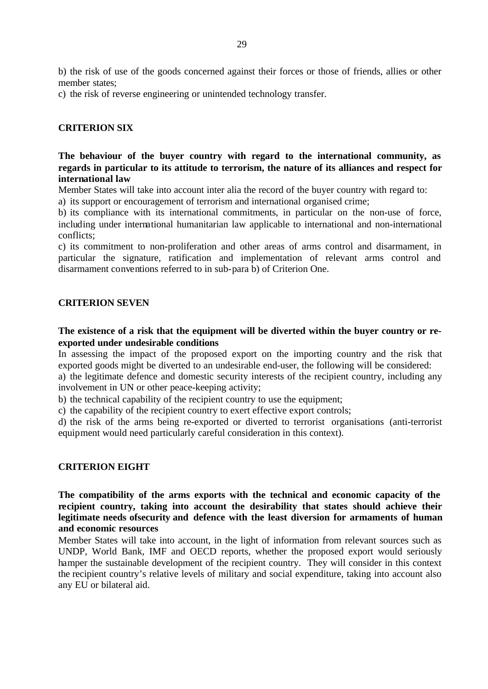b) the risk of use of the goods concerned against their forces or those of friends, allies or other member states;

c) the risk of reverse engineering or unintended technology transfer.

#### **CRITERION SIX**

**The behaviour of the buyer country with regard to the international community, as regards in particular to its attitude to terrorism, the nature of its alliances and respect for international law**

Member States will take into account inter alia the record of the buyer country with regard to:

a) its support or encouragement of terrorism and international organised crime;

b) its compliance with its international commitments, in particular on the non-use of force, including under international humanitarian law applicable to international and non-international conflicts;

c) its commitment to non-proliferation and other areas of arms control and disarmament, in particular the signature, ratification and implementation of relevant arms control and disarmament conventions referred to in sub-para b) of Criterion One.

#### **CRITERION SEVEN**

## **The existence of a risk that the equipment will be diverted within the buyer country or reexported under undesirable conditions**

In assessing the impact of the proposed export on the importing country and the risk that exported goods might be diverted to an undesirable end-user, the following will be considered:

a) the legitimate defence and domestic security interests of the recipient country, including any involvement in UN or other peace-keeping activity;

b) the technical capability of the recipient country to use the equipment;

c) the capability of the recipient country to exert effective export controls;

d) the risk of the arms being re-exported or diverted to terrorist organisations (anti-terrorist equipment would need particularly careful consideration in this context).

#### **CRITERION EIGHT**

**The compatibility of the arms exports with the technical and economic capacity of the recipient country, taking into account the desirability that states should achieve their legitimate needs ofsecurity and defence with the least diversion for armaments of human and economic resources**

Member States will take into account, in the light of information from relevant sources such as UNDP, World Bank, IMF and OECD reports, whether the proposed export would seriously hamper the sustainable development of the recipient country. They will consider in this context the recipient country's relative levels of military and social expenditure, taking into account also any EU or bilateral aid.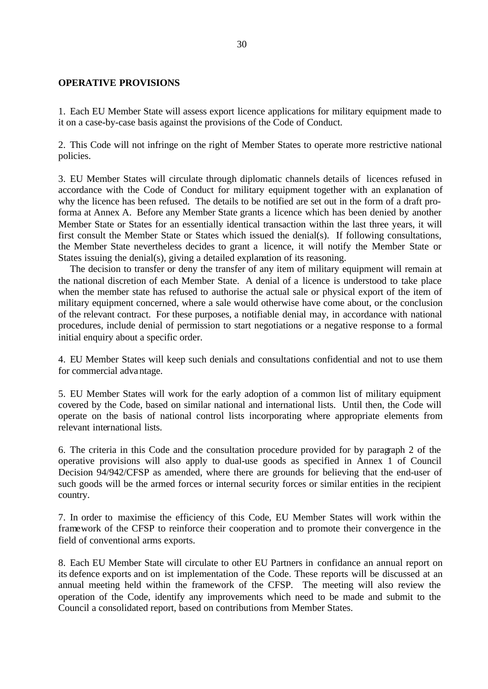#### **OPERATIVE PROVISIONS**

1. Each EU Member State will assess export licence applications for military equipment made to it on a case-by-case basis against the provisions of the Code of Conduct.

2. This Code will not infringe on the right of Member States to operate more restrictive national policies.

3. EU Member States will circulate through diplomatic channels details of licences refused in accordance with the Code of Conduct for military equipment together with an explanation of why the licence has been refused. The details to be notified are set out in the form of a draft proforma at Annex A. Before any Member State grants a licence which has been denied by another Member State or States for an essentially identical transaction within the last three years, it will first consult the Member State or States which issued the denial(s). If following consultations, the Member State nevertheless decides to grant a licence, it will notify the Member State or States issuing the denial(s), giving a detailed explanation of its reasoning.

The decision to transfer or deny the transfer of any item of military equipment will remain at the national discretion of each Member State. A denial of a licence is understood to take place when the member state has refused to authorise the actual sale or physical export of the item of military equipment concerned, where a sale would otherwise have come about, or the conclusion of the relevant contract. For these purposes, a notifiable denial may, in accordance with national procedures, include denial of permission to start negotiations or a negative response to a formal initial enquiry about a specific order.

4. EU Member States will keep such denials and consultations confidential and not to use them for commercial advantage.

5. EU Member States will work for the early adoption of a common list of military equipment covered by the Code, based on similar national and international lists. Until then, the Code will operate on the basis of national control lists incorporating where appropriate elements from relevant international lists.

6. The criteria in this Code and the consultation procedure provided for by paragraph 2 of the operative provisions will also apply to dual-use goods as specified in Annex 1 of Council Decision 94/942/CFSP as amended, where there are grounds for believing that the end-user of such goods will be the armed forces or internal security forces or similar entities in the recipient country.

7. In order to maximise the efficiency of this Code, EU Member States will work within the framework of the CFSP to reinforce their cooperation and to promote their convergence in the field of conventional arms exports.

8. Each EU Member State will circulate to other EU Partners in confidance an annual report on its defence exports and on ist implementation of the Code. These reports will be discussed at an annual meeting held within the framework of the CFSP. The meeting will also review the operation of the Code, identify any improvements which need to be made and submit to the Council a consolidated report, based on contributions from Member States.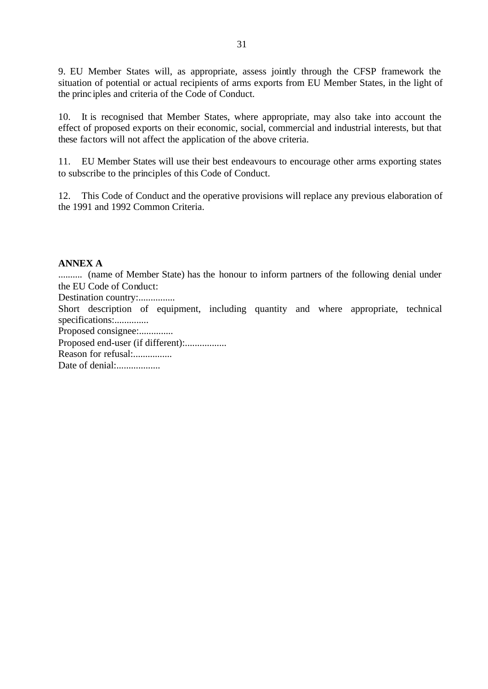9. EU Member States will, as appropriate, assess jointly through the CFSP framework the situation of potential or actual recipients of arms exports from EU Member States, in the light of the principles and criteria of the Code of Conduct.

10. It is recognised that Member States, where appropriate, may also take into account the effect of proposed exports on their economic, social, commercial and industrial interests, but that these factors will not affect the application of the above criteria.

11. EU Member States will use their best endeavours to encourage other arms exporting states to subscribe to the principles of this Code of Conduct.

12. This Code of Conduct and the operative provisions will replace any previous elaboration of the 1991 and 1992 Common Criteria.

#### **ANNEX A**

.......... (name of Member State) has the honour to inform partners of the following denial under the EU Code of Conduct:

Destination country:...............

Short description of equipment, including quantity and where appropriate, technical specifications:..............

Proposed consignee:...............

Proposed end-user (if different):.................

Reason for refusal:................

Date of denial: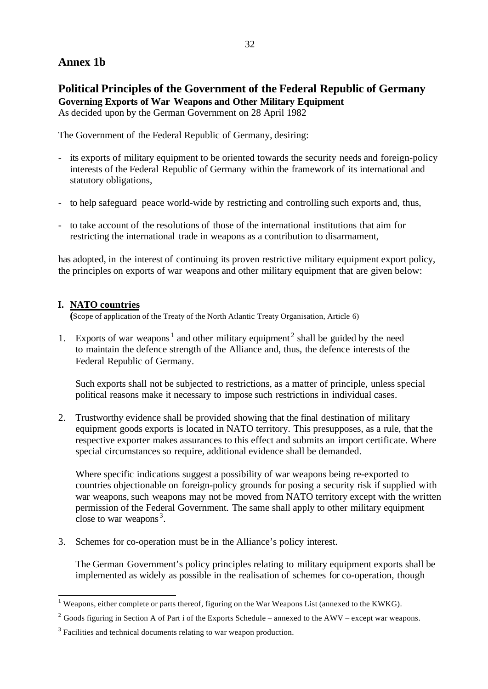## **Annex 1b**

**Political Principles of the Government of the Federal Republic of Germany Governing Exports of War Weapons and Other Military Equipment** As decided upon by the German Government on 28 April 1982

The Government of the Federal Republic of Germany, desiring:

- its exports of military equipment to be oriented towards the security needs and foreign-policy interests of the Federal Republic of Germany within the framework of its international and statutory obligations,
- to help safeguard peace world-wide by restricting and controlling such exports and, thus,
- to take account of the resolutions of those of the international institutions that aim for restricting the international trade in weapons as a contribution to disarmament,

has adopted, in the interest of continuing its proven restrictive military equipment export policy, the principles on exports of war weapons and other military equipment that are given below:

## **I. NATO countries**

**(**Scope of application of the Treaty of the North Atlantic Treaty Organisation, Article 6)

1. Exports of war weapons<sup>1</sup> and other military equipment<sup>2</sup> shall be guided by the need to maintain the defence strength of the Alliance and, thus, the defence interests of the Federal Republic of Germany.

Such exports shall not be subjected to restrictions, as a matter of principle, unless special political reasons make it necessary to impose such restrictions in individual cases.

2. Trustworthy evidence shall be provided showing that the final destination of military equipment goods exports is located in NATO territory. This presupposes, as a rule, that the respective exporter makes assurances to this effect and submits an import certificate. Where special circumstances so require, additional evidence shall be demanded.

Where specific indications suggest a possibility of war weapons being re-exported to countries objectionable on foreign-policy grounds for posing a security risk if supplied with war weapons, such weapons may not be moved from NATO territory except with the written permission of the Federal Government. The same shall apply to other military equipment close to war weapons<sup>3</sup>.

3. Schemes for co-operation must be in the Alliance's policy interest.

The German Government's policy principles relating to military equipment exports shall be implemented as widely as possible in the realisation of schemes for co-operation, though

<sup>&</sup>lt;sup>1</sup> Weapons, either complete or parts thereof, figuring on the War Weapons List (annexed to the KWKG).

<sup>&</sup>lt;sup>2</sup> Goods figuring in Section A of Part i of the Exports Schedule – annexed to the AWV – except war weapons.

 $3$  Facilities and technical documents relating to war weapon production.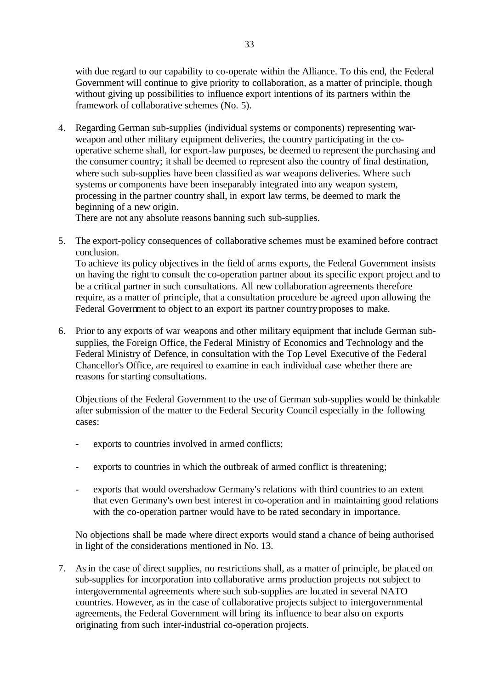with due regard to our capability to co-operate within the Alliance. To this end, the Federal Government will continue to give priority to collaboration, as a matter of principle, though without giving up possibilities to influence export intentions of its partners within the framework of collaborative schemes (No. 5).

4. Regarding German sub-supplies (individual systems or components) representing warweapon and other military equipment deliveries, the country participating in the cooperative scheme shall, for export-law purposes, be deemed to represent the purchasing and the consumer country; it shall be deemed to represent also the country of final destination, where such sub-supplies have been classified as war weapons deliveries. Where such systems or components have been inseparably integrated into any weapon system, processing in the partner country shall, in export law terms, be deemed to mark the beginning of a new origin.

There are not any absolute reasons banning such sub-supplies.

5. The export-policy consequences of collaborative schemes must be examined before contract conclusion.

To achieve its policy objectives in the field of arms exports, the Federal Government insists on having the right to consult the co-operation partner about its specific export project and to be a critical partner in such consultations. All new collaboration agreements therefore require, as a matter of principle, that a consultation procedure be agreed upon allowing the Federal Government to object to an export its partner country proposes to make.

6. Prior to any exports of war weapons and other military equipment that include German subsupplies, the Foreign Office, the Federal Ministry of Economics and Technology and the Federal Ministry of Defence, in consultation with the Top Level Executive of the Federal Chancellor's Office, are required to examine in each individual case whether there are reasons for starting consultations.

Objections of the Federal Government to the use of German sub-supplies would be thinkable after submission of the matter to the Federal Security Council especially in the following cases:

- exports to countries involved in armed conflicts;
- exports to countries in which the outbreak of armed conflict is threatening;
- exports that would overshadow Germany's relations with third countries to an extent that even Germany's own best interest in co-operation and in maintaining good relations with the co-operation partner would have to be rated secondary in importance.

No objections shall be made where direct exports would stand a chance of being authorised in light of the considerations mentioned in No. 13.

7. As in the case of direct supplies, no restrictions shall, as a matter of principle, be placed on sub-supplies for incorporation into collaborative arms production projects not subject to intergovernmental agreements where such sub-supplies are located in several NATO countries. However, as in the case of collaborative projects subject to intergovernmental agreements, the Federal Government will bring its influence to bear also on exports originating from such inter-industrial co-operation projects.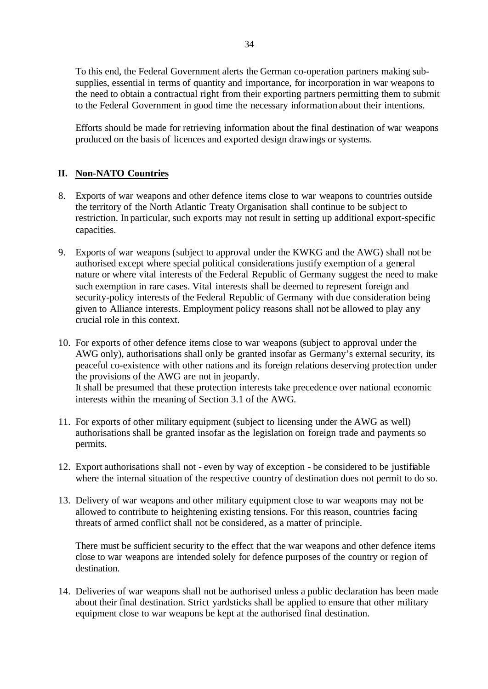To this end, the Federal Government alerts the German co-operation partners making subsupplies, essential in terms of quantity and importance, for incorporation in war weapons to the need to obtain a contractual right from their exporting partners permitting them to submit to the Federal Government in good time the necessary information about their intentions.

Efforts should be made for retrieving information about the final destination of war weapons produced on the basis of licences and exported design drawings or systems.

## **II. Non-NATO Countries**

- 8. Exports of war weapons and other defence items close to war weapons to countries outside the territory of the North Atlantic Treaty Organisation shall continue to be subject to restriction. In particular, such exports may not result in setting up additional export-specific capacities.
- 9. Exports of war weapons (subject to approval under the KWKG and the AWG) shall not be authorised except where special political considerations justify exemption of a general nature or where vital interests of the Federal Republic of Germany suggest the need to make such exemption in rare cases. Vital interests shall be deemed to represent foreign and security-policy interests of the Federal Republic of Germany with due consideration being given to Alliance interests. Employment policy reasons shall not be allowed to play any crucial role in this context.
- 10. For exports of other defence items close to war weapons (subject to approval under the AWG only), authorisations shall only be granted insofar as Germany's external security, its peaceful co-existence with other nations and its foreign relations deserving protection under the provisions of the AWG are not in jeopardy. It shall be presumed that these protection interests take precedence over national economic interests within the meaning of Section 3.1 of the AWG.
- 11. For exports of other military equipment (subject to licensing under the AWG as well) authorisations shall be granted insofar as the legislation on foreign trade and payments so permits.
- 12. Export authorisations shall not even by way of exception be considered to be justifiable where the internal situation of the respective country of destination does not permit to do so.
- 13. Delivery of war weapons and other military equipment close to war weapons may not be allowed to contribute to heightening existing tensions. For this reason, countries facing threats of armed conflict shall not be considered, as a matter of principle.

There must be sufficient security to the effect that the war weapons and other defence items close to war weapons are intended solely for defence purposes of the country or region of destination.

14. Deliveries of war weapons shall not be authorised unless a public declaration has been made about their final destination. Strict yardsticks shall be applied to ensure that other military equipment close to war weapons be kept at the authorised final destination.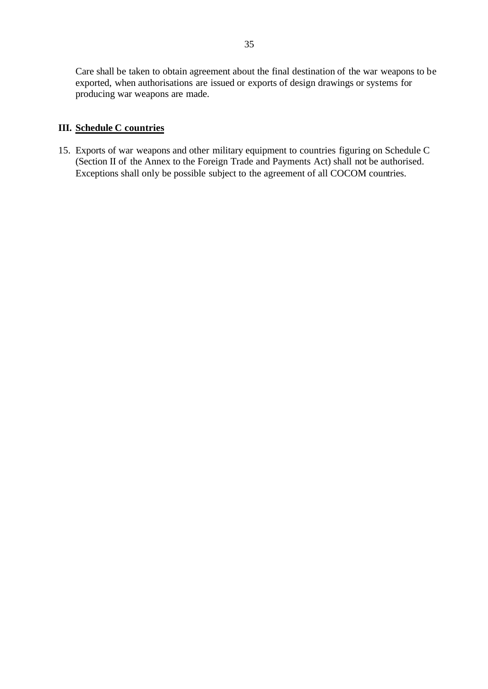Care shall be taken to obtain agreement about the final destination of the war weapons to be exported, when authorisations are issued or exports of design drawings or systems for producing war weapons are made.

### **III. Schedule C countries**

15. Exports of war weapons and other military equipment to countries figuring on Schedule C (Section II of the Annex to the Foreign Trade and Payments Act) shall not be authorised. Exceptions shall only be possible subject to the agreement of all COCOM countries.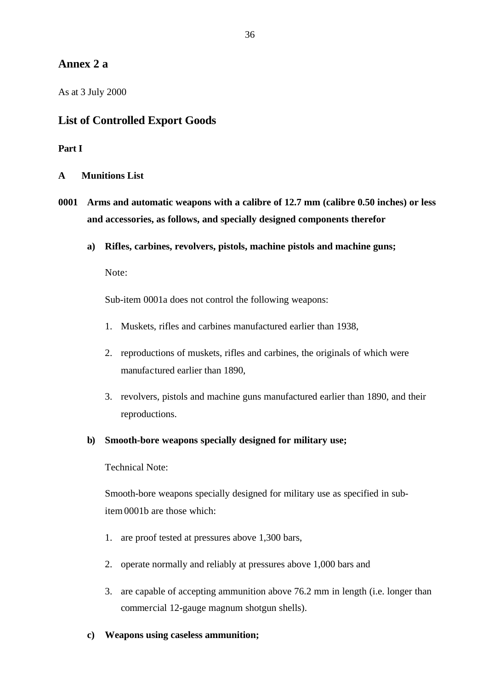### **Annex 2 a**

As at 3 July 2000

#### **List of Controlled Export Goods**

#### **Part I**

#### **A Munitions List**

- **0001 Arms and automatic weapons with a calibre of 12.7 mm (calibre 0.50 inches) or less and accessories, as follows, and specially designed components therefor**
	- **a) Rifles, carbines, revolvers, pistols, machine pistols and machine guns;**

Note:

Sub-item 0001a does not control the following weapons:

- 1. Muskets, rifles and carbines manufactured earlier than 1938,
- 2. reproductions of muskets, rifles and carbines, the originals of which were manufactured earlier than 1890,
- 3. revolvers, pistols and machine guns manufactured earlier than 1890, and their reproductions.

#### **b) Smooth-bore weapons specially designed for military use;**

Technical Note:

Smooth-bore weapons specially designed for military use as specified in subitem 0001b are those which:

- 1. are proof tested at pressures above 1,300 bars,
- 2. operate normally and reliably at pressures above 1,000 bars and
- 3. are capable of accepting ammunition above 76.2 mm in length (i.e. longer than commercial 12-gauge magnum shotgun shells).

#### **c) Weapons using caseless ammunition;**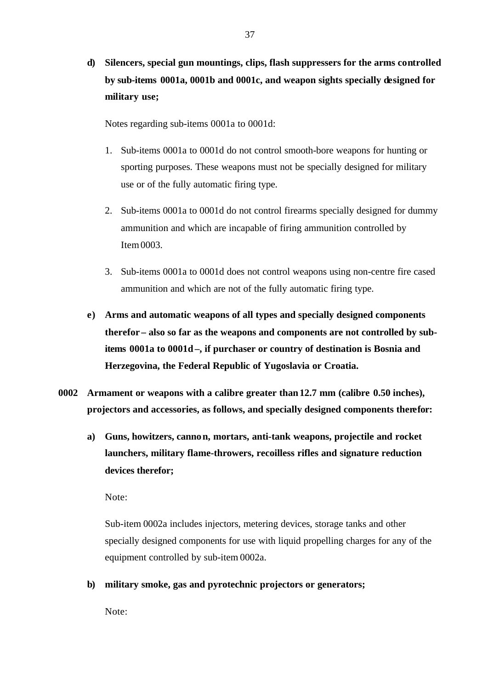**d) Silencers, special gun mountings, clips, flash suppressers for the arms controlled by sub-items 0001a, 0001b and 0001c, and weapon sights specially designed for military use;**

Notes regarding sub-items 0001a to 0001d:

- 1. Sub-items 0001a to 0001d do not control smooth-bore weapons for hunting or sporting purposes. These weapons must not be specially designed for military use or of the fully automatic firing type.
- 2. Sub-items 0001a to 0001d do not control firearms specially designed for dummy ammunition and which are incapable of firing ammunition controlled by Item 0003.
- 3. Sub-items 0001a to 0001d does not control weapons using non-centre fire cased ammunition and which are not of the fully automatic firing type.
- **e) Arms and automatic weapons of all types and specially designed components therefor – also so far as the weapons and components are not controlled by subitems 0001a to 0001d –, if purchaser or country of destination is Bosnia and Herzegovina, the Federal Republic of Yugoslavia or Croatia.**
- **0002 Armament or weapons with a calibre greater than 12.7 mm (calibre 0.50 inches), projectors and accessories, as follows, and specially designed components therefor:**
	- **a) Guns, howitzers, cannon, mortars, anti-tank weapons, projectile and rocket launchers, military flame-throwers, recoilless rifles and signature reduction devices therefor;**

Note:

Sub-item 0002a includes injectors, metering devices, storage tanks and other specially designed components for use with liquid propelling charges for any of the equipment controlled by sub-item 0002a.

**b) military smoke, gas and pyrotechnic projectors or generators;**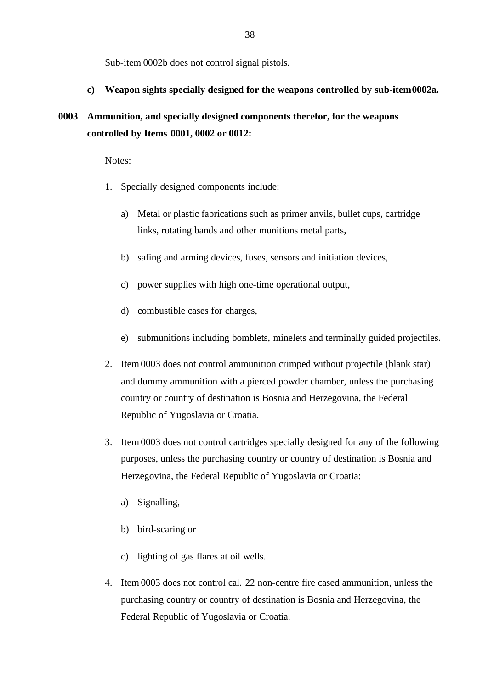Sub-item 0002b does not control signal pistols.

**c) Weapon sights specially designed for the weapons controlled by sub-item 0002a.**

# **0003 Ammunition, and specially designed components therefor, for the weapons controlled by Items 0001, 0002 or 0012:**

- 1. Specially designed components include:
	- a) Metal or plastic fabrications such as primer anvils, bullet cups, cartridge links, rotating bands and other munitions metal parts,
	- b) safing and arming devices, fuses, sensors and initiation devices,
	- c) power supplies with high one-time operational output,
	- d) combustible cases for charges,
	- e) submunitions including bomblets, minelets and terminally guided projectiles.
- 2. Item 0003 does not control ammunition crimped without projectile (blank star) and dummy ammunition with a pierced powder chamber, unless the purchasing country or country of destination is Bosnia and Herzegovina, the Federal Republic of Yugoslavia or Croatia.
- 3. Item 0003 does not control cartridges specially designed for any of the following purposes, unless the purchasing country or country of destination is Bosnia and Herzegovina, the Federal Republic of Yugoslavia or Croatia:
	- a) Signalling,
	- b) bird-scaring or
	- c) lighting of gas flares at oil wells.
- 4. Item 0003 does not control cal. 22 non-centre fire cased ammunition, unless the purchasing country or country of destination is Bosnia and Herzegovina, the Federal Republic of Yugoslavia or Croatia.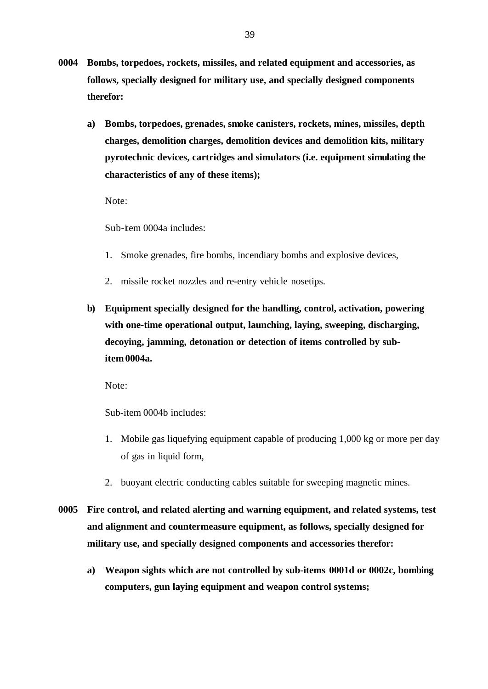- **0004 Bombs, torpedoes, rockets, missiles, and related equipment and accessories, as follows, specially designed for military use, and specially designed components therefor:**
	- **a) Bombs, torpedoes, grenades, smoke canisters, rockets, mines, missiles, depth charges, demolition charges, demolition devices and demolition kits, military pyrotechnic devices, cartridges and simulators (i.e. equipment simulating the characteristics of any of these items);**

Sub-item 0004a includes:

- 1. Smoke grenades, fire bombs, incendiary bombs and explosive devices,
- 2. missile rocket nozzles and re-entry vehicle nosetips.
- **b) Equipment specially designed for the handling, control, activation, powering with one-time operational output, launching, laying, sweeping, discharging, decoying, jamming, detonation or detection of items controlled by subitem 0004a.**

Note:

Sub-item 0004b includes:

- 1. Mobile gas liquefying equipment capable of producing 1,000 kg or more per day of gas in liquid form,
- 2. buoyant electric conducting cables suitable for sweeping magnetic mines.
- **0005 Fire control, and related alerting and warning equipment, and related systems, test and alignment and countermeasure equipment, as follows, specially designed for military use, and specially designed components and accessories therefor:**
	- **a) Weapon sights which are not controlled by sub-items 0001d or 0002c, bombing computers, gun laying equipment and weapon control systems;**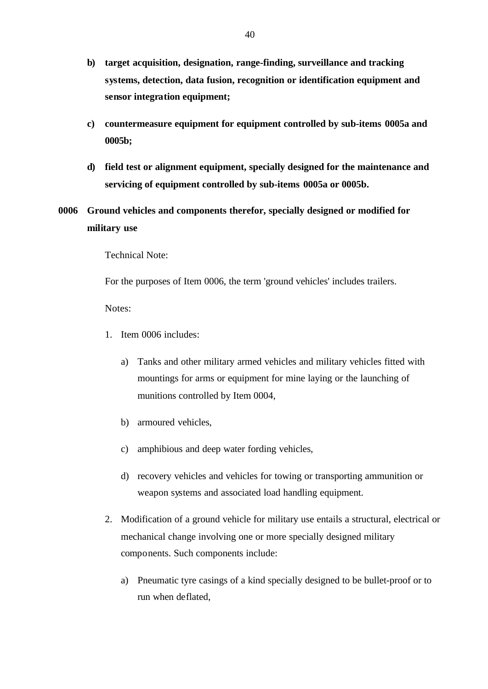- **b) target acquisition, designation, range-finding, surveillance and tracking systems, detection, data fusion, recognition or identification equipment and sensor integration equipment;**
- **c) countermeasure equipment for equipment controlled by sub-items 0005a and 0005b;**
- **d) field test or alignment equipment, specially designed for the maintenance and servicing of equipment controlled by sub-items 0005a or 0005b.**
- **0006 Ground vehicles and components therefor, specially designed or modified for military use**

Technical Note:

For the purposes of Item 0006, the term 'ground vehicles' includes trailers.

- 1. Item 0006 includes:
	- a) Tanks and other military armed vehicles and military vehicles fitted with mountings for arms or equipment for mine laying or the launching of munitions controlled by Item 0004,
	- b) armoured vehicles,
	- c) amphibious and deep water fording vehicles,
	- d) recovery vehicles and vehicles for towing or transporting ammunition or weapon systems and associated load handling equipment.
- 2. Modification of a ground vehicle for military use entails a structural, electrical or mechanical change involving one or more specially designed military components. Such components include:
	- a) Pneumatic tyre casings of a kind specially designed to be bullet-proof or to run when deflated,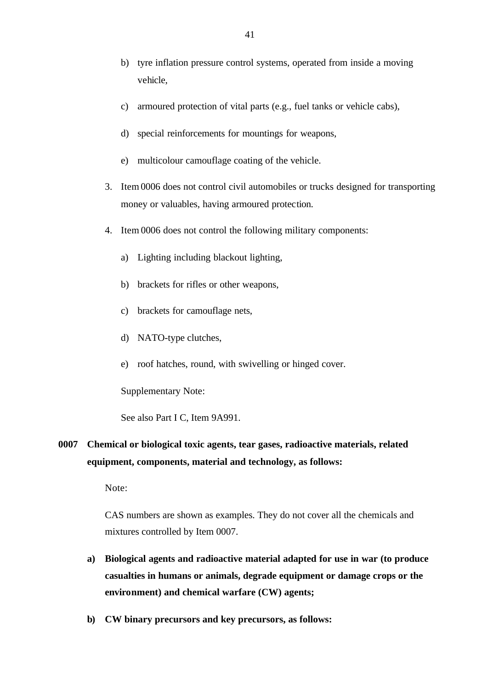- b) tyre inflation pressure control systems, operated from inside a moving vehicle,
- c) armoured protection of vital parts (e.g., fuel tanks or vehicle cabs),
- d) special reinforcements for mountings for weapons,
- e) multicolour camouflage coating of the vehicle.
- 3. Item 0006 does not control civil automobiles or trucks designed for transporting money or valuables, having armoured protection.
- 4. Item 0006 does not control the following military components:
	- a) Lighting including blackout lighting,
	- b) brackets for rifles or other weapons,
	- c) brackets for camouflage nets,
	- d) NATO-type clutches,
	- e) roof hatches, round, with swivelling or hinged cover.

Supplementary Note:

See also Part I C, Item 9A991.

# **0007 Chemical or biological toxic agents, tear gases, radioactive materials, related equipment, components, material and technology, as follows:**

Note:

CAS numbers are shown as examples. They do not cover all the chemicals and mixtures controlled by Item 0007.

- **a) Biological agents and radioactive material adapted for use in war (to produce casualties in humans or animals, degrade equipment or damage crops or the environment) and chemical warfare (CW) agents;**
- **b) CW binary precursors and key precursors, as follows:**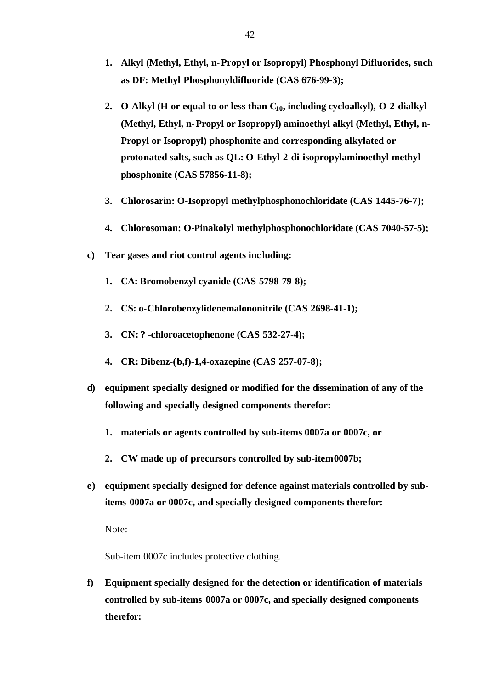- **1. Alkyl (Methyl, Ethyl, n-Propyl or Isopropyl) Phosphonyl Difluorides, such as DF: Methyl Phosphonyldifluoride (CAS 676-99-3);**
- **2. O-Alkyl (H or equal to or less than C10, including cycloalkyl), O-2-dialkyl (Methyl, Ethyl, n-Propyl or Isopropyl) aminoethyl alkyl (Methyl, Ethyl, n-Propyl or Isopropyl) phosphonite and corresponding alkylated or protonated salts, such as QL: O-Ethyl-2-di-isopropylaminoethyl methyl phosphonite (CAS 57856-11-8);**
- **3. Chlorosarin: O-Isopropyl methylphosphonochloridate (CAS 1445-76-7);**
- **4. Chlorosoman: O-Pinakolyl methylphosphonochloridate (CAS 7040-57-5);**
- **c) Tear gases and riot control agents inc luding:**
	- **1. CA: Bromobenzyl cyanide (CAS 5798-79-8);**
	- **2. CS: o-Chlorobenzylidenemalononitrile (CAS 2698-41-1);**
	- **3. CN: ?-chloroacetophenone (CAS 532-27-4);**
	- **4. CR: Dibenz-(b,f)-1,4-oxazepine (CAS 257-07-8);**
- **d) equipment specially designed or modified for the dissemination of any of the following and specially designed components therefor:**
	- **1. materials or agents controlled by sub-items 0007a or 0007c, or**
	- **2. CW made up of precursors controlled by sub-item 0007b;**
- **e) equipment specially designed for defence against materials controlled by subitems 0007a or 0007c, and specially designed components therefor:**

Sub-item 0007c includes protective clothing.

**f) Equipment specially designed for the detection or identification of materials controlled by sub-items 0007a or 0007c, and specially designed components therefor:**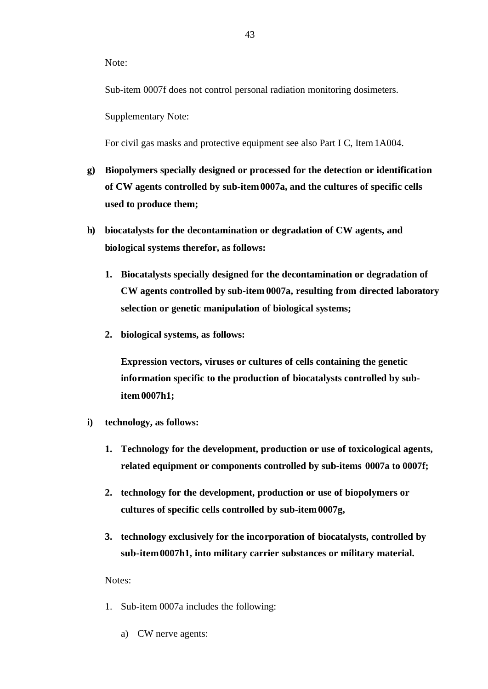Sub-item 0007f does not control personal radiation monitoring dosimeters.

Supplementary Note:

For civil gas masks and protective equipment see also Part I C, Item 1A004.

- **g) Biopolymers specially designed or processed for the detection or identification of CW agents controlled by sub-item 0007a, and the cultures of specific cells used to produce them;**
- **h) biocatalysts for the decontamination or degradation of CW agents, and biological systems therefor, as follows:**
	- **1. Biocatalysts specially designed for the decontamination or degradation of CW agents controlled by sub-item 0007a, resulting from directed laboratory selection or genetic manipulation of biological systems;**
	- **2. biological systems, as follows:**

**Expression vectors, viruses or cultures of cells containing the genetic information specific to the production of biocatalysts controlled by subitem 0007h1;**

- **i) technology, as follows:**
	- **1. Technology for the development, production or use of toxicological agents, related equipment or components controlled by sub-items 0007a to 0007f;**
	- **2. technology for the development, production or use of biopolymers or cultures of specific cells controlled by sub-item 0007g,**
	- **3. technology exclusively for the incorporation of biocatalysts, controlled by sub-item 0007h1, into military carrier substances or military material.**

- 1. Sub-item 0007a includes the following:
	- a) CW nerve agents: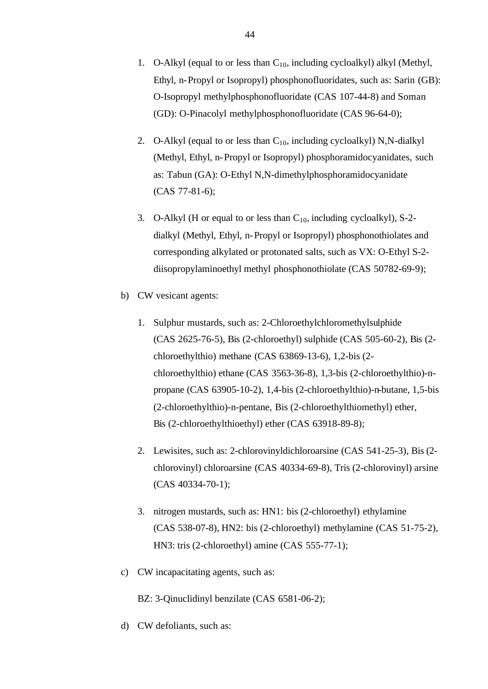- 1. O-Alkyl (equal to or less than  $C_{10}$ , including cycloalkyl) alkyl (Methyl, Ethyl, n-Propyl or Isopropyl) phosphonofluoridates, such as: Sarin (GB): O-Isopropyl methylphosphonofluoridate (CAS 107-44-8) and Soman (GD): O-Pinacolyl methylphosphonofluoridate (CAS 96-64-0);
- 2. O-Alkyl (equal to or less than  $C_{10}$ , including cycloalkyl) N,N-dialkyl (Methyl, Ethyl, n-Propyl or Isopropyl) phosphoramidocyanidates, such as: Tabun (GA): O-Ethyl N,N-dimethylphosphoramidocyanidate (CAS 77-81-6);
- 3. O-Alkyl (H or equal to or less than  $C_{10}$ , including cycloalkyl), S-2dialkyl (Methyl, Ethyl, n-Propyl or Isopropyl) phosphonothiolates and corresponding alkylated or protonated salts, such as VX: O-Ethyl S-2 diisopropylaminoethyl methyl phosphonothiolate (CAS 50782-69-9);
- b) CW vesicant agents:
	- 1. Sulphur mustards, such as: 2-Chloroethylchloromethylsulphide (CAS 2625-76-5), Bis (2-chloroethyl) sulphide (CAS 505-60-2), Bis (2 chloroethylthio) methane (CAS 63869-13-6), 1,2-bis (2 chloroethylthio) ethane (CAS 3563-36-8), 1,3-bis (2-chloroethylthio)-npropane (CAS 63905-10-2), 1,4-bis (2-chloroethylthio)-n-butane, 1,5-bis (2-chloroethylthio)-n-pentane, Bis (2-chloroethylthiomethyl) ether, Bis (2-chloroethylthioethyl) ether (CAS 63918-89-8);
	- 2. Lewisites, such as: 2-chlorovinyldichloroarsine (CAS 541-25-3), Bis (2 chlorovinyl) chloroarsine (CAS 40334-69-8), Tris (2-chlorovinyl) arsine (CAS 40334-70-1);
	- 3. nitrogen mustards, such as: HN1: bis (2-chloroethyl) ethylamine (CAS 538-07-8), HN2: bis (2-chloroethyl) methylamine (CAS 51-75-2), HN3: tris (2-chloroethyl) amine (CAS 555-77-1);
- c) CW incapacitating agents, such as:

BZ: 3-Qinuclidinyl benzilate (CAS 6581-06-2);

d) CW defoliants, such as:

44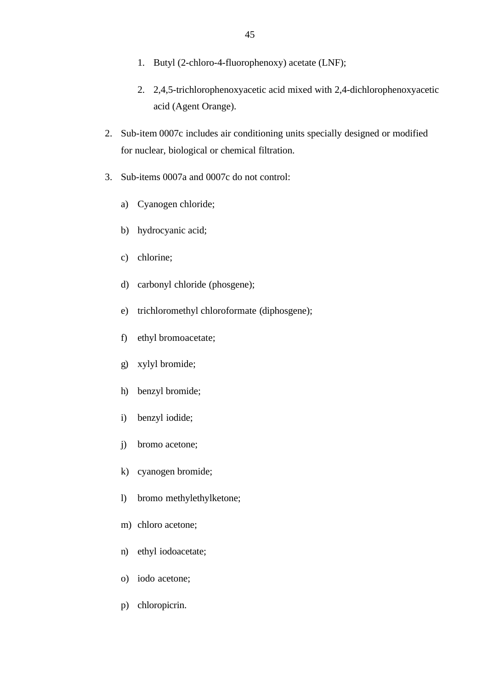- 1. Butyl (2-chloro-4-fluorophenoxy) acetate (LNF);
- 2. 2,4,5-trichlorophenoxyacetic acid mixed with 2,4-dichlorophenoxyacetic acid (Agent Orange).
- 2. Sub-item 0007c includes air conditioning units specially designed or modified for nuclear, biological or chemical filtration.
- 3. Sub-items 0007a and 0007c do not control:
	- a) Cyanogen chloride;
	- b) hydrocyanic acid;
	- c) chlorine;
	- d) carbonyl chloride (phosgene);
	- e) trichloromethyl chloroformate (diphosgene);
	- f) ethyl bromoacetate;
	- g) xylyl bromide;
	- h) benzyl bromide;
	- i) benzyl iodide;
	- j) bromo acetone;
	- k) cyanogen bromide;
	- l) bromo methylethylketone;
	- m) chloro acetone;
	- n) ethyl iodoacetate;
	- o) iodo acetone;
	- p) chloropicrin.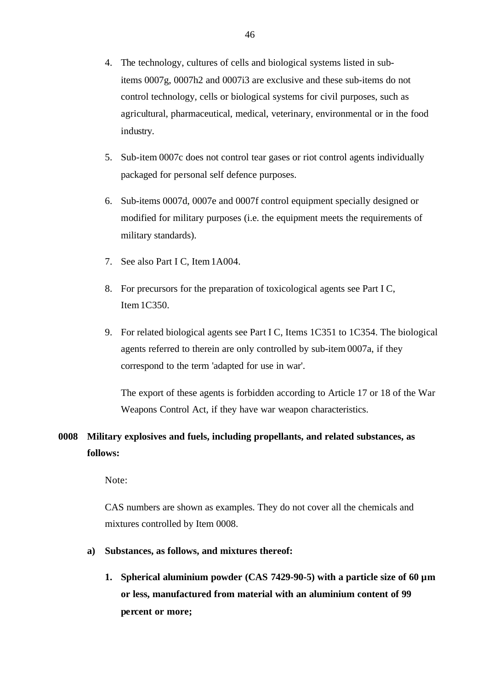- 4. The technology, cultures of cells and biological systems listed in subitems 0007g, 0007h2 and 0007i3 are exclusive and these sub-items do not control technology, cells or biological systems for civil purposes, such as agricultural, pharmaceutical, medical, veterinary, environmental or in the food industry.
- 5. Sub-item 0007c does not control tear gases or riot control agents individually packaged for personal self defence purposes.
- 6. Sub-items 0007d, 0007e and 0007f control equipment specially designed or modified for military purposes (i.e. the equipment meets the requirements of military standards).
- 7. See also Part I C, Item 1A004.
- 8. For precursors for the preparation of toxicological agents see Part I C, Item 1C350.
- 9. For related biological agents see Part I C, Items 1C351 to 1C354. The biological agents referred to therein are only controlled by sub-item 0007a, if they correspond to the term 'adapted for use in war'.

The export of these agents is forbidden according to Article 17 or 18 of the War Weapons Control Act, if they have war weapon characteristics.

### **0008 Military explosives and fuels, including propellants, and related substances, as follows:**

Note:

CAS numbers are shown as examples. They do not cover all the chemicals and mixtures controlled by Item 0008.

- **a) Substances, as follows, and mixtures thereof:**
	- **1. Spherical aluminium powder (CAS 7429-90-5) with a particle size of 60 µm or less, manufactured from material with an aluminium content of 99 percent or more;**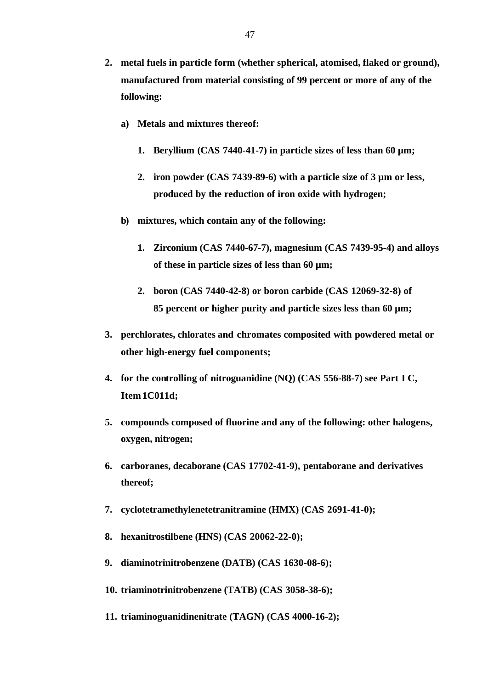- **a) Metals and mixtures thereof:**
	- **1. Beryllium (CAS 7440-41-7) in particle sizes of less than 60 µm;**
	- **2. iron powder (CAS 7439-89-6) with a particle size of 3 µm or less, produced by the reduction of iron oxide with hydrogen;**
- **b) mixtures, which contain any of the following:**
	- **1. Zirconium (CAS 7440-67-7), magnesium (CAS 7439-95-4) and alloys of these in particle sizes of less than 60 µm;**
	- **2. boron (CAS 7440-42-8) or boron carbide (CAS 12069-32-8) of 85 percent or higher purity and particle sizes less than 60 µm;**
- **3. perchlorates, chlorates and chromates composited with powdered metal or other high-energy fuel components;**
- **4. for the controlling of nitroguanidine (NQ) (CAS 556-88-7) see Part I C, Item 1C011d;**
- **5. compounds composed of fluorine and any of the following: other halogens, oxygen, nitrogen;**
- **6. carboranes, decaborane (CAS 17702-41-9), pentaborane and derivatives thereof;**
- **7. cyclotetramethylenetetranitramine (HMX) (CAS 2691-41-0);**
- **8. hexanitrostilbene (HNS) (CAS 20062-22-0);**
- **9. diaminotrinitrobenzene (DATB) (CAS 1630-08-6);**
- **10. triaminotrinitrobenzene (TATB) (CAS 3058-38-6);**
- **11. triaminoguanidinenitrate (TAGN) (CAS 4000-16-2);**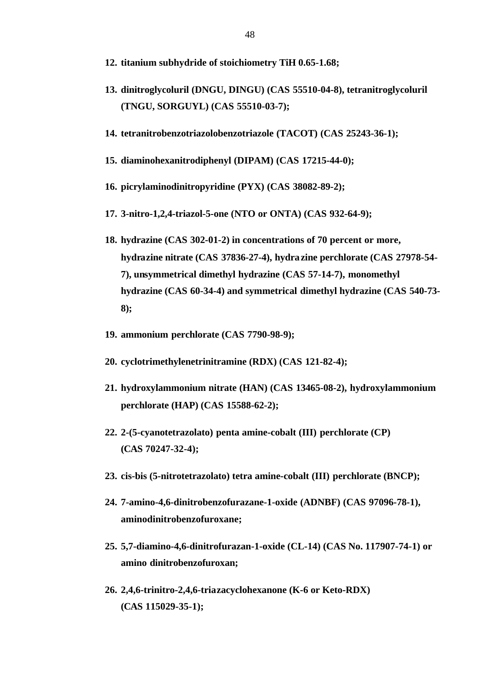- **12. titanium subhydride of stoichiometry TiH 0.65-1.68;**
- **13. dinitroglycoluril (DNGU, DINGU) (CAS 55510-04-8), tetranitroglycoluril (TNGU, SORGUYL) (CAS 55510-03-7);**
- **14. tetranitrobenzotriazolobenzotriazole (TACOT) (CAS 25243-36-1);**
- **15. diaminohexanitrodiphenyl (DIPAM) (CAS 17215-44-0);**
- **16. picrylaminodinitropyridine (PYX) (CAS 38082-89-2);**
- **17. 3-nitro-1,2,4-triazol-5-one (NTO or ONTA) (CAS 932-64-9);**
- **18. hydrazine (CAS 302-01-2) in concentrations of 70 percent or more, hydrazine nitrate (CAS 37836-27-4), hydrazine perchlorate (CAS 27978-54- 7), unsymmetrical dimethyl hydrazine (CAS 57-14-7), monomethyl hydrazine (CAS 60-34-4) and symmetrical dimethyl hydrazine (CAS 540-73- 8);**
- **19. ammonium perchlorate (CAS 7790-98-9);**
- **20. cyclotrimethylenetrinitramine (RDX) (CAS 121-82-4);**
- **21. hydroxylammonium nitrate (HAN) (CAS 13465-08-2), hydroxylammonium perchlorate (HAP) (CAS 15588-62-2);**
- **22. 2-(5-cyanotetrazolato) penta amine-cobalt (III) perchlorate (CP) (CAS 70247-32-4);**
- **23. cis-bis (5-nitrotetrazolato) tetra amine-cobalt (III) perchlorate (BNCP);**
- **24. 7-amino-4,6-dinitrobenzofurazane-1-oxide (ADNBF) (CAS 97096-78-1), aminodinitrobenzofuroxane;**
- **25. 5,7-diamino-4,6-dinitrofurazan-1-oxide (CL-14) (CAS No. 117907-74-1) or amino dinitrobenzofuroxan;**
- **26. 2,4,6-trinitro-2,4,6-triazacyclohexanone (K-6 or Keto-RDX) (CAS 115029-35-1);**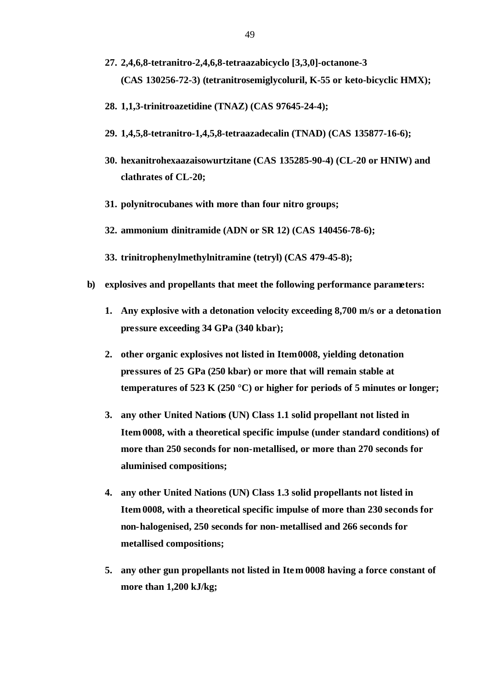- **27. 2,4,6,8-tetranitro-2,4,6,8-tetraazabicyclo [3,3,0]-octanone-3 (CAS 130256-72-3) (tetranitrosemiglycoluril, K-55 or keto-bicyclic HMX);**
- **28. 1,1,3-trinitroazetidine (TNAZ) (CAS 97645-24-4);**
- **29. 1,4,5,8-tetranitro-1,4,5,8-tetraazadecalin (TNAD) (CAS 135877-16-6);**
- **30. hexanitrohexaazaisowurtzitane (CAS 135285-90-4) (CL-20 or HNIW) and clathrates of CL-20;**
- **31. polynitrocubanes with more than four nitro groups;**
- **32. ammonium dinitramide (ADN or SR 12) (CAS 140456-78-6);**
- **33. trinitrophenylmethylnitramine (tetryl) (CAS 479-45-8);**
- **b) explosives and propellants that meet the following performance parameters:**
	- **1. Any explosive with a detonation velocity exceeding 8,700 m/s or a detonation pressure exceeding 34 GPa (340 kbar);**
	- **2. other organic explosives not listed in Item 0008, yielding detonation pressures of 25 GPa (250 kbar) or more that will remain stable at temperatures of 523 K (250 °C) or higher for periods of 5 minutes or longer;**
	- **3. any other United Nations (UN) Class 1.1 solid propellant not listed in Item 0008, with a theoretical specific impulse (under standard conditions) of more than 250 seconds for non-metallised, or more than 270 seconds for aluminised compositions;**
	- **4. any other United Nations (UN) Class 1.3 solid propellants not listed in Item 0008, with a theoretical specific impulse of more than 230 seconds for non-halogenised, 250 seconds for non-metallised and 266 seconds for metallised compositions;**
	- **5. any other gun propellants not listed in Item 0008 having a force constant of more than 1,200 kJ/kg;**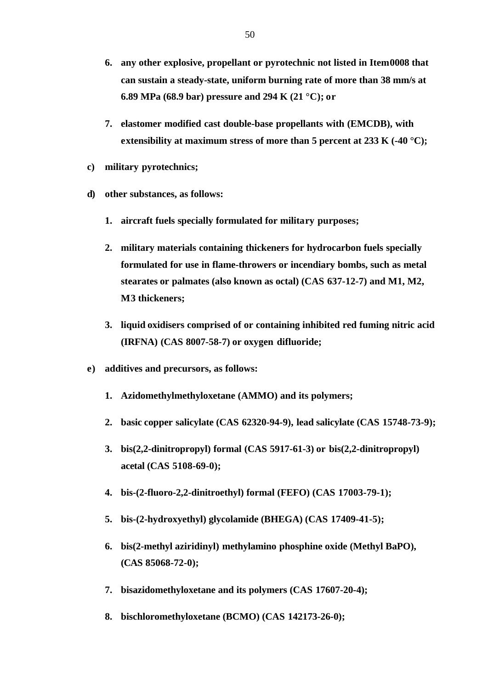- **6. any other explosive, propellant or pyrotechnic not listed in Item 0008 that can sustain a steady-state, uniform burning rate of more than 38 mm/s at 6.89 MPa (68.9 bar) pressure and 294 K (21 °C); or**
- **7. elastomer modified cast double-base propellants with (EMCDB), with extensibility at maximum stress of more than 5 percent at 233 K (-40 °C);**
- **c) military pyrotechnics;**
- **d) other substances, as follows:**
	- **1. aircraft fuels specially formulated for military purposes;**
	- **2. military materials containing thickeners for hydrocarbon fuels specially formulated for use in flame-throwers or incendiary bombs, such as metal stearates or palmates (also known as octal) (CAS 637-12-7) and M1, M2, M3 thickeners;**
	- **3. liquid oxidisers comprised of or containing inhibited red fuming nitric acid (IRFNA) (CAS 8007-58-7) or oxygen difluoride;**
- **e) additives and precursors, as follows:**
	- **1. Azidomethylmethyloxetane (AMMO) and its polymers;**
	- **2. basic copper salicylate (CAS 62320-94-9), lead salicylate (CAS 15748-73-9);**
	- **3. bis(2,2-dinitropropyl) formal (CAS 5917-61-3) or bis(2,2-dinitropropyl) acetal (CAS 5108-69-0);**
	- **4. bis-(2-fluoro-2,2-dinitroethyl) formal (FEFO) (CAS 17003-79-1);**
	- **5. bis-(2-hydroxyethyl) glycolamide (BHEGA) (CAS 17409-41-5);**
	- **6. bis(2-methyl aziridinyl) methylamino phosphine oxide (Methyl BaPO), (CAS 85068-72-0);**
	- **7. bisazidomethyloxetane and its polymers (CAS 17607-20-4);**
	- **8. bischloromethyloxetane (BCMO) (CAS 142173-26-0);**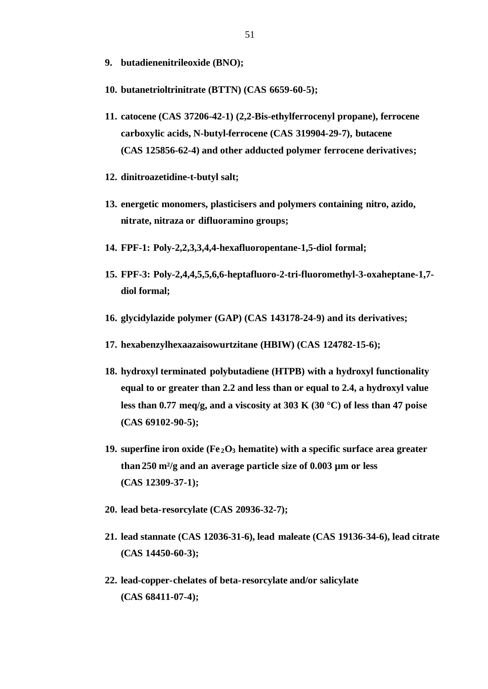- **9. butadienenitrileoxide (BNO);**
- **10. butanetrioltrinitrate (BTTN) (CAS 6659-60-5);**
- **11. catocene (CAS 37206-42-1) (2,2-Bis-ethylferrocenyl propane), ferrocene carboxylic acids, N-butyl-ferrocene (CAS 319904-29-7), butacene (CAS 125856-62-4) and other adducted polymer ferrocene derivatives;**
- **12. dinitroazetidine-t-butyl salt;**
- **13. energetic monomers, plasticisers and polymers containing nitro, azido, nitrate, nitraza or difluoramino groups;**
- **14. FPF-1: Poly-2,2,3,3,4,4-hexafluoropentane-1,5-diol formal;**
- **15. FPF-3: Poly-2,4,4,5,5,6,6-heptafluoro-2-tri-fluoromethyl-3-oxaheptane-1,7 diol formal;**
- **16. glycidylazide polymer (GAP) (CAS 143178-24-9) and its derivatives;**
- **17. hexabenzylhexaazaisowurtzitane (HBIW) (CAS 124782-15-6);**
- **18. hydroxyl terminated polybutadiene (HTPB) with a hydroxyl functionality equal to or greater than 2.2 and less than or equal to 2.4, a hydroxyl value less than 0.77 meq/g, and a viscosity at 303 K (30 °C) of less than 47 poise (CAS 69102-90-5);**
- **19. superfine iron oxide (Fe <sup>2</sup>O3 hematite) with a specific surface area greater than 250 m²/g and an average particle size of 0.003 µm or less (CAS 12309-37-1);**
- **20. lead beta-resorcylate (CAS 20936-32-7);**
- **21. lead stannate (CAS 12036-31-6), lead maleate (CAS 19136-34-6), lead citrate (CAS 14450-60-3);**
- **22. lead-copper-chelates of beta-resorcylate and/or salicylate (CAS 68411-07-4);**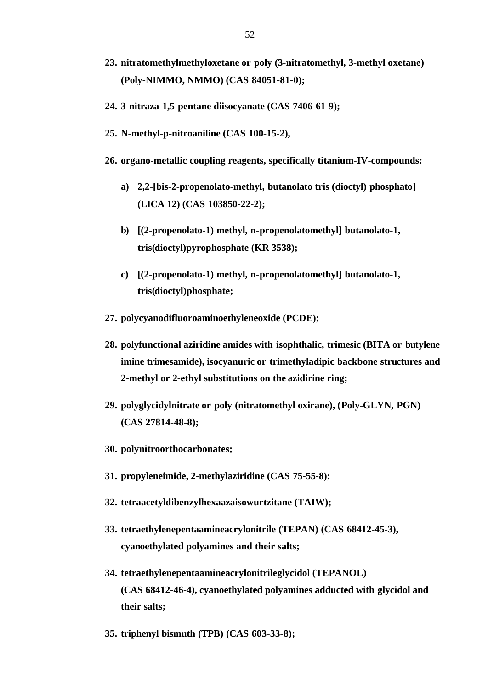- **23. nitratomethylmethyloxetane or poly (3-nitratomethyl, 3-methyl oxetane) (Poly-NIMMO, NMMO) (CAS 84051-81-0);**
- **24. 3-nitraza-1,5-pentane diisocyanate (CAS 7406-61-9);**
- **25. N-methyl-p-nitroaniline (CAS 100-15-2),**
- **26. organo-metallic coupling reagents, specifically titanium-IV-compounds:**
	- **a) 2,2-[bis-2-propenolato-methyl, butanolato tris (dioctyl) phosphato] (LICA 12) (CAS 103850-22-2);**
	- **b) [(2-propenolato-1) methyl, n-propenolatomethyl] butanolato-1, tris(dioctyl)pyrophosphate (KR 3538);**
	- **c) [(2-propenolato-1) methyl, n-propenolatomethyl] butanolato-1, tris(dioctyl)phosphate;**
- **27. polycyanodifluoroaminoethyleneoxide (PCDE);**
- **28. polyfunctional aziridine amides with isophthalic, trimesic (BITA or butylene imine trimesamide), isocyanuric or trimethyladipic backbone structures and 2-methyl or 2-ethyl substitutions on the azidirine ring;**
- **29. polyglycidylnitrate or poly (nitratomethyl oxirane), (Poly-GLYN, PGN) (CAS 27814-48-8);**
- **30. polynitroorthocarbonates;**
- **31. propyleneimide, 2-methylaziridine (CAS 75-55-8);**
- **32. tetraacetyldibenzylhexaazaisowurtzitane (TAIW);**
- **33. tetraethylenepentaamineacrylonitrile (TEPAN) (CAS 68412-45-3), cyanoethylated polyamines and their salts;**
- **34. tetraethylenepentaamineacrylonitrileglycidol (TEPANOL) (CAS 68412-46-4), cyanoethylated polyamines adducted with glycidol and their salts;**
- **35. triphenyl bismuth (TPB) (CAS 603-33-8);**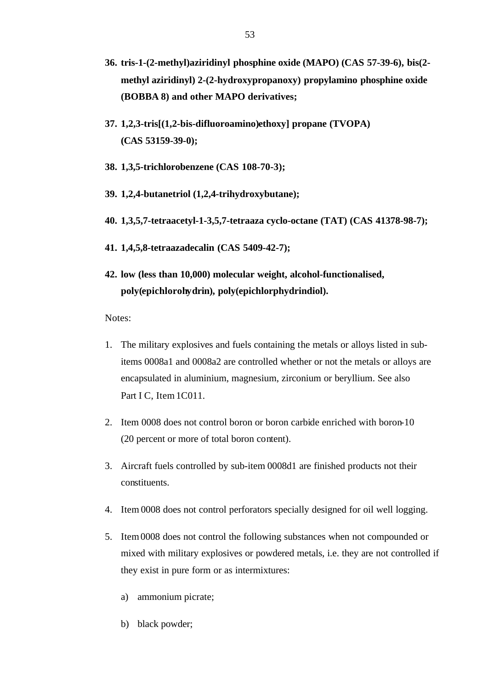- **36. tris-1-(2-methyl)aziridinyl phosphine oxide (MAPO) (CAS 57-39-6), bis(2 methyl aziridinyl) 2-(2-hydroxypropanoxy) propylamino phosphine oxide (BOBBA 8) and other MAPO derivatives;**
- **37. 1,2,3-tris[(1,2-bis-difluoroamino)ethoxy] propane (TVOPA) (CAS 53159-39-0);**
- **38. 1,3,5-trichlorobenzene (CAS 108-70-3);**
- **39. 1,2,4-butanetriol (1,2,4-trihydroxybutane);**
- **40. 1,3,5,7-tetraacetyl-1-3,5,7-tetraaza cyclo-octane (TAT) (CAS 41378-98-7);**
- **41. 1,4,5,8-tetraazadecalin (CAS 5409-42-7);**
- **42. low (less than 10,000) molecular weight, alcohol-functionalised, poly(epichlorohydrin), poly(epichlorphydrindiol).**

- 1. The military explosives and fuels containing the metals or alloys listed in subitems 0008a1 and 0008a2 are controlled whether or not the metals or alloys are encapsulated in aluminium, magnesium, zirconium or beryllium. See also Part I C, Item 1C011.
- 2. Item 0008 does not control boron or boron carbide enriched with boron-10 (20 percent or more of total boron content).
- 3. Aircraft fuels controlled by sub-item 0008d1 are finished products not their constituents.
- 4. Item 0008 does not control perforators specially designed for oil well logging.
- 5. Item0008 does not control the following substances when not compounded or mixed with military explosives or powdered metals, i.e. they are not controlled if they exist in pure form or as intermixtures:
	- a) ammonium picrate;
	- b) black powder;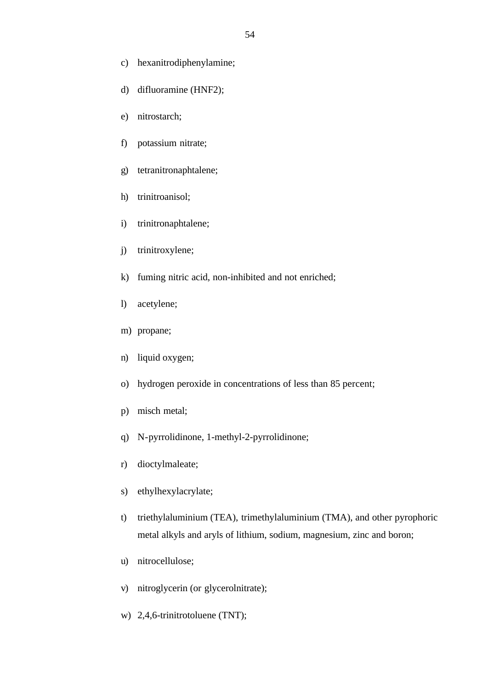- d) difluoramine (HNF2);
- e) nitrostarch;
- f) potassium nitrate;
- g) tetranitronaphtalene;
- h) trinitroanisol;
- i) trinitronaphtalene;
- j) trinitroxylene;
- k) fuming nitric acid, non-inhibited and not enriched;
- l) acetylene;
- m) propane;
- n) liquid oxygen;
- o) hydrogen peroxide in concentrations of less than 85 percent;
- p) misch metal;
- q) N-pyrrolidinone, 1-methyl-2-pyrrolidinone;
- r) dioctylmaleate;
- s) ethylhexylacrylate;
- t) triethylaluminium (TEA), trimethylaluminium (TMA), and other pyrophoric metal alkyls and aryls of lithium, sodium, magnesium, zinc and boron;
- u) nitrocellulose;
- v) nitroglycerin (or glycerolnitrate);
- w) 2,4,6-trinitrotoluene (TNT);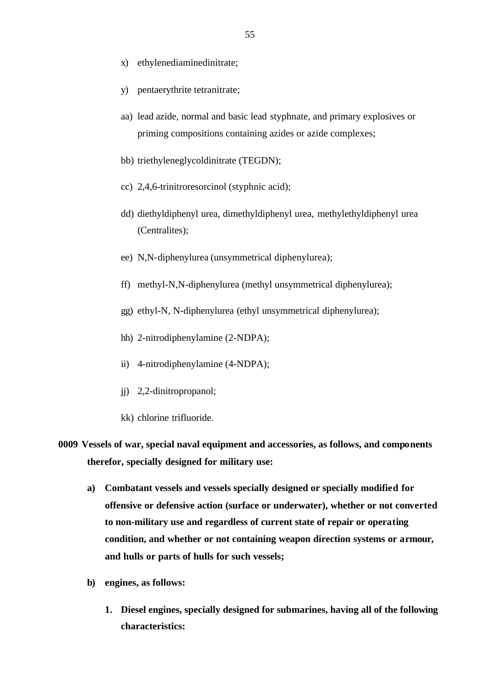- x) ethylenediaminedinitrate;
- y) pentaerythrite tetranitrate;
- aa) lead azide, normal and basic lead styphnate, and primary explosives or priming compositions containing azides or azide complexes;
- bb) triethyleneglycoldinitrate (TEGDN);
- cc) 2,4,6-trinitroresorcinol (styphnic acid);
- dd) diethyldiphenyl urea, dimethyldiphenyl urea, methylethyldiphenyl urea (Centralites);
- ee) N,N-diphenylurea (unsymmetrical diphenylurea);
- ff) methyl-N,N-diphenylurea (methyl unsymmetrical diphenylurea);
- gg) ethyl-N, N-diphenylurea (ethyl unsymmetrical diphenylurea);
- hh) 2-nitrodiphenylamine (2-NDPA);
- ii) 4-nitrodiphenylamine (4-NDPA);
- jj) 2,2-dinitropropanol;
- kk) chlorine trifluoride.
- **0009 Vessels of war, special naval equipment and accessories, as follows, and components therefor, specially designed for military use:**
	- **a) Combatant vessels and vessels specially designed or specially modified for offensive or defensive action (surface or underwater), whether or not converted to non-military use and regardless of current state of repair or operating condition, and whether or not containing weapon direction systems or armour, and hulls or parts of hulls for such vessels;**
	- **b) engines, as follows:**
		- **1. Diesel engines, specially designed for submarines, having all of the following characteristics:**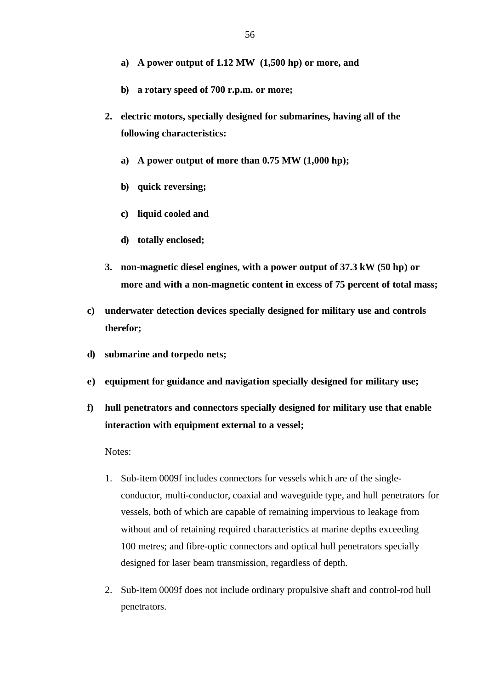- **a) A power output of 1.12 MW (1,500 hp) or more, and**
- **b) a rotary speed of 700 r.p.m. or more;**
- **2. electric motors, specially designed for submarines, having all of the following characteristics:**
	- **a) A power output of more than 0.75 MW (1,000 hp);**
	- **b) quick reversing;**
	- **c) liquid cooled and**
	- **d) totally enclosed;**
- **3. non-magnetic diesel engines, with a power output of 37.3 kW (50 hp) or more and with a non-magnetic content in excess of 75 percent of total mass;**
- **c) underwater detection devices specially designed for military use and controls therefor;**
- **d) submarine and torpedo nets;**
- **e) equipment for guidance and navigation specially designed for military use;**
- **f) hull penetrators and connectors specially designed for military use that enable interaction with equipment external to a vessel;**

- 1. Sub-item 0009f includes connectors for vessels which are of the singleconductor, multi-conductor, coaxial and waveguide type, and hull penetrators for vessels, both of which are capable of remaining impervious to leakage from without and of retaining required characteristics at marine depths exceeding 100 metres; and fibre-optic connectors and optical hull penetrators specially designed for laser beam transmission, regardless of depth.
- 2. Sub-item 0009f does not include ordinary propulsive shaft and control-rod hull penetrators.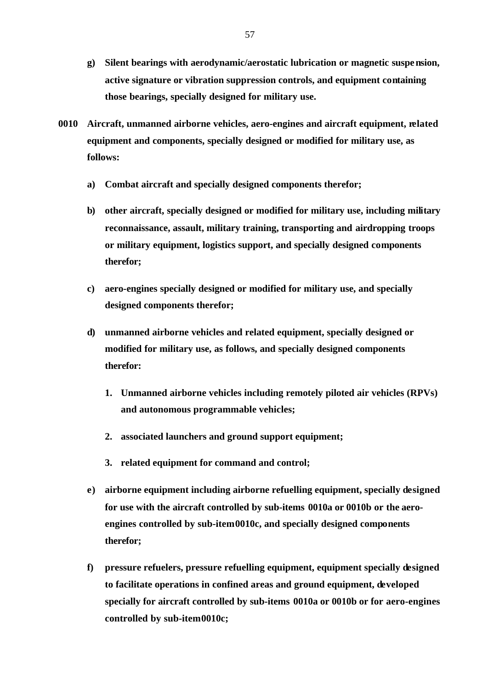- **g) Silent bearings with aerodynamic/aerostatic lubrication or magnetic suspension, active signature or vibration suppression controls, and equipment containing those bearings, specially designed for military use.**
- **0010 Aircraft, unmanned airborne vehicles, aero-engines and aircraft equipment, related equipment and components, specially designed or modified for military use, as follows:**
	- **a) Combat aircraft and specially designed components therefor;**
	- **b) other aircraft, specially designed or modified for military use, including military reconnaissance, assault, military training, transporting and airdropping troops or military equipment, logistics support, and specially designed components therefor;**
	- **c) aero-engines specially designed or modified for military use, and specially designed components therefor;**
	- **d) unmanned airborne vehicles and related equipment, specially designed or modified for military use, as follows, and specially designed components therefor:**
		- **1. Unmanned airborne vehicles including remotely piloted air vehicles (RPVs) and autonomous programmable vehicles;**
		- **2. associated launchers and ground support equipment;**
		- **3. related equipment for command and control;**
	- **e) airborne equipment including airborne refuelling equipment, specially designed for use with the aircraft controlled by sub-items 0010a or 0010b or the aeroengines controlled by sub-item 0010c, and specially designed components therefor;**
	- **f) pressure refuelers, pressure refuelling equipment, equipment specially designed to facilitate operations in confined areas and ground equipment, developed specially for aircraft controlled by sub-items 0010a or 0010b or for aero-engines controlled by sub-item 0010c;**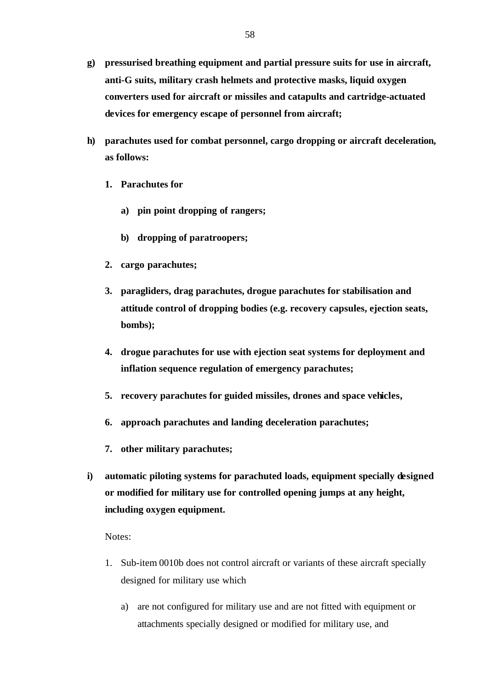- **g) pressurised breathing equipment and partial pressure suits for use in aircraft, anti-G suits, military crash helmets and protective masks, liquid oxygen converters used for aircraft or missiles and catapults and cartridge-actuated devices for emergency escape of personnel from aircraft;**
- **h) parachutes used for combat personnel, cargo dropping or aircraft deceleration, as follows:**
	- **1. Parachutes for**
		- **a) pin point dropping of rangers;**
		- **b) dropping of paratroopers;**
	- **2. cargo parachutes;**
	- **3. paragliders, drag parachutes, drogue parachutes for stabilisation and attitude control of dropping bodies (e.g. recovery capsules, ejection seats, bombs);**
	- **4. drogue parachutes for use with ejection seat systems for deployment and inflation sequence regulation of emergency parachutes;**
	- **5. recovery parachutes for guided missiles, drones and space vehicles,**
	- **6. approach parachutes and landing deceleration parachutes;**
	- **7. other military parachutes;**
- **i) automatic piloting systems for parachuted loads, equipment specially designed or modified for military use for controlled opening jumps at any height, including oxygen equipment.**

- 1. Sub-item 0010b does not control aircraft or variants of these aircraft specially designed for military use which
	- a) are not configured for military use and are not fitted with equipment or attachments specially designed or modified for military use, and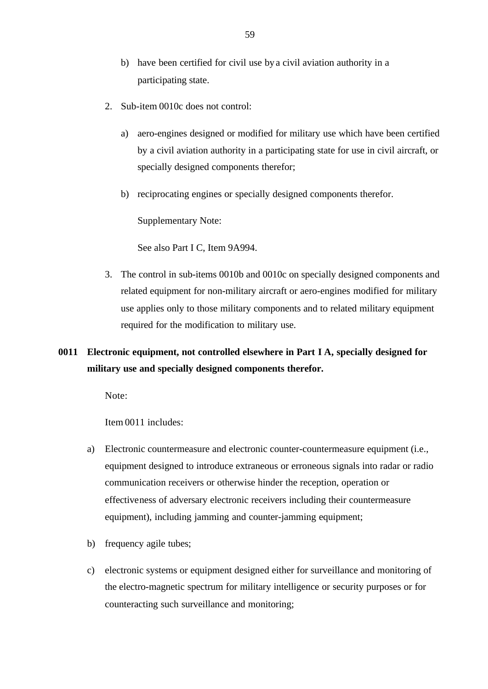- b) have been certified for civil use by a civil aviation authority in a participating state.
- 2. Sub-item 0010c does not control:
	- a) aero-engines designed or modified for military use which have been certified by a civil aviation authority in a participating state for use in civil aircraft, or specially designed components therefor;
	- b) reciprocating engines or specially designed components therefor.

Supplementary Note:

See also Part I C, Item 9A994.

3. The control in sub-items 0010b and 0010c on specially designed components and related equipment for non-military aircraft or aero-engines modified for military use applies only to those military components and to related military equipment required for the modification to military use.

## **0011 Electronic equipment, not controlled elsewhere in Part I A, specially designed for military use and specially designed components therefor.**

Note:

Item 0011 includes:

- a) Electronic countermeasure and electronic counter-countermeasure equipment (i.e., equipment designed to introduce extraneous or erroneous signals into radar or radio communication receivers or otherwise hinder the reception, operation or effectiveness of adversary electronic receivers including their countermeasure equipment), including jamming and counter-jamming equipment;
- b) frequency agile tubes;
- c) electronic systems or equipment designed either for surveillance and monitoring of the electro-magnetic spectrum for military intelligence or security purposes or for counteracting such surveillance and monitoring;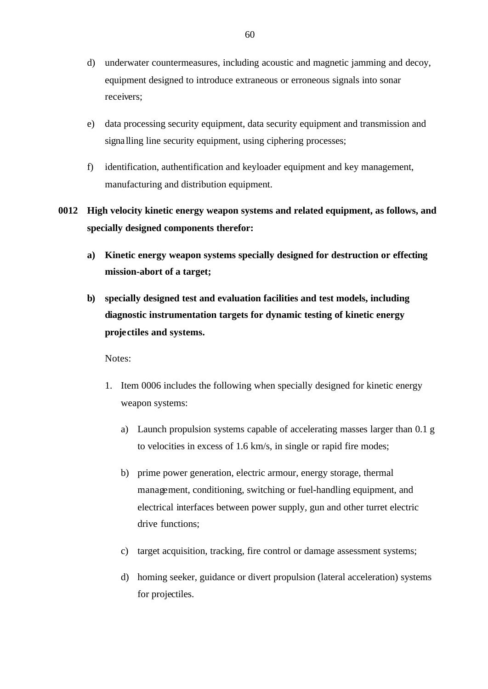- d) underwater countermeasures, including acoustic and magnetic jamming and decoy, equipment designed to introduce extraneous or erroneous signals into sonar receivers;
- e) data processing security equipment, data security equipment and transmission and signalling line security equipment, using ciphering processes;
- f) identification, authentification and keyloader equipment and key management, manufacturing and distribution equipment.

# **0012 High velocity kinetic energy weapon systems and related equipment, as follows, and specially designed components therefor:**

- **a) Kinetic energy weapon systems specially designed for destruction or effecting mission-abort of a target;**
- **b) specially designed test and evaluation facilities and test models, including diagnostic instrumentation targets for dynamic testing of kinetic energy projectiles and systems.**

- 1. Item 0006 includes the following when specially designed for kinetic energy weapon systems:
	- a) Launch propulsion systems capable of accelerating masses larger than 0.1 g to velocities in excess of 1.6 km/s, in single or rapid fire modes;
	- b) prime power generation, electric armour, energy storage, thermal management, conditioning, switching or fuel-handling equipment, and electrical interfaces between power supply, gun and other turret electric drive functions;
	- c) target acquisition, tracking, fire control or damage assessment systems;
	- d) homing seeker, guidance or divert propulsion (lateral acceleration) systems for projectiles.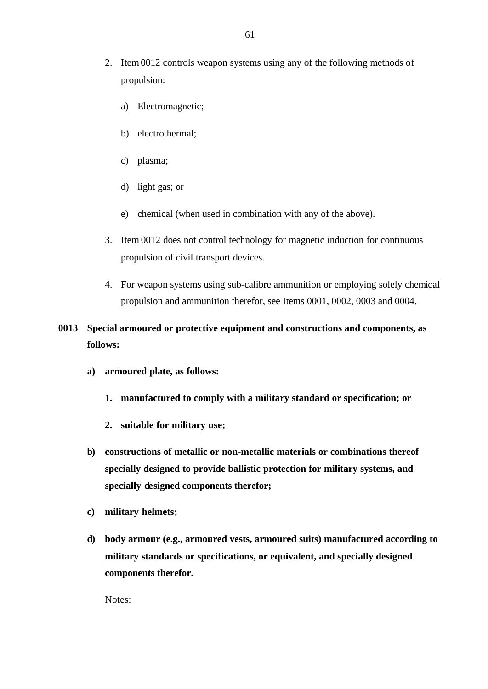- 2. Item 0012 controls weapon systems using any of the following methods of propulsion:
	- a) Electromagnetic;
	- b) electrothermal;
	- c) plasma;
	- d) light gas; or
	- e) chemical (when used in combination with any of the above).
- 3. Item 0012 does not control technology for magnetic induction for continuous propulsion of civil transport devices.
- 4. For weapon systems using sub-calibre ammunition or employing solely chemical propulsion and ammunition therefor, see Items 0001, 0002, 0003 and 0004.
- **0013 Special armoured or protective equipment and constructions and components, as follows:**
	- **a) armoured plate, as follows:**
		- **1. manufactured to comply with a military standard or specification; or**
		- **2. suitable for military use;**
	- **b) constructions of metallic or non-metallic materials or combinations thereof specially designed to provide ballistic protection for military systems, and specially designed components therefor;**
	- **c) military helmets;**
	- **d) body armour (e.g., armoured vests, armoured suits) manufactured according to military standards or specifications, or equivalent, and specially designed components therefor.**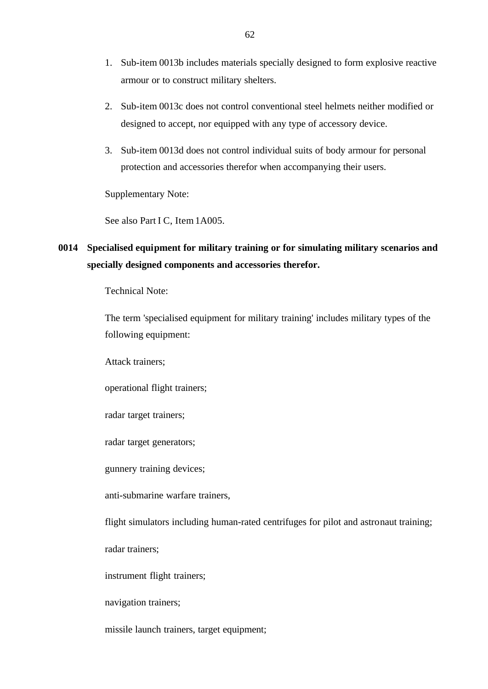- 1. Sub-item 0013b includes materials specially designed to form explosive reactive armour or to construct military shelters.
- 2. Sub-item 0013c does not control conventional steel helmets neither modified or designed to accept, nor equipped with any type of accessory device.
- 3. Sub-item 0013d does not control individual suits of body armour for personal protection and accessories therefor when accompanying their users.

Supplementary Note:

See also Part I C, Item 1A005.

# **0014 Specialised equipment for military training or for simulating military scenarios and specially designed components and accessories therefor.**

Technical Note:

The term 'specialised equipment for military training' includes military types of the following equipment:

Attack trainers;

operational flight trainers;

radar target trainers;

radar target generators;

gunnery training devices;

anti-submarine warfare trainers,

flight simulators including human-rated centrifuges for pilot and astronaut training;

radar trainers;

instrument flight trainers;

navigation trainers;

missile launch trainers, target equipment;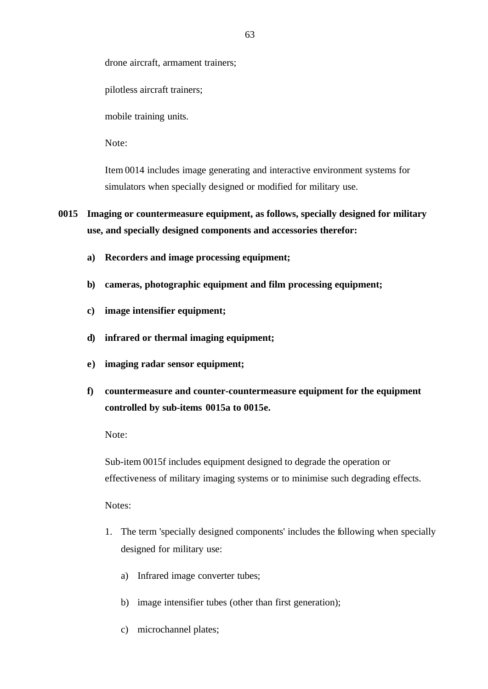drone aircraft, armament trainers;

pilotless aircraft trainers;

mobile training units.

Note:

Item 0014 includes image generating and interactive environment systems for simulators when specially designed or modified for military use.

### **0015 Imaging or countermeasure equipment, as follows, specially designed for military use, and specially designed components and accessories therefor:**

- **a) Recorders and image processing equipment;**
- **b) cameras, photographic equipment and film processing equipment;**
- **c) image intensifier equipment;**
- **d) infrared or thermal imaging equipment;**
- **e) imaging radar sensor equipment;**
- **f) countermeasure and counter-countermeasure equipment for the equipment controlled by sub-items 0015a to 0015e.**

Note:

Sub-item 0015f includes equipment designed to degrade the operation or effectiveness of military imaging systems or to minimise such degrading effects.

- 1. The term 'specially designed components' includes the following when specially designed for military use:
	- a) Infrared image converter tubes;
	- b) image intensifier tubes (other than first generation);
	- c) microchannel plates;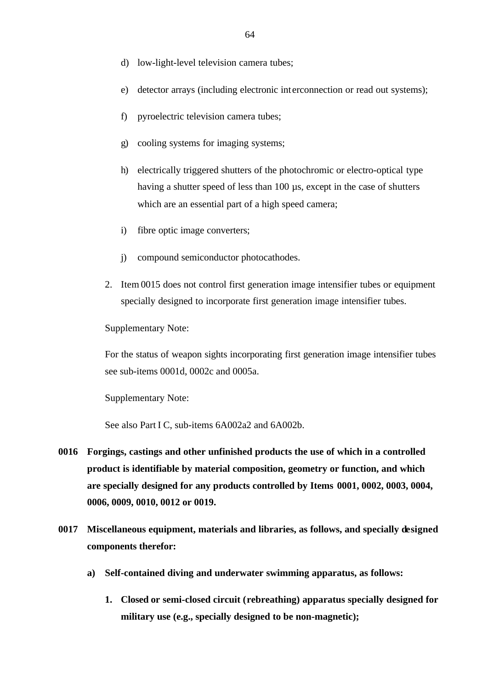- d) low-light-level television camera tubes;
- e) detector arrays (including electronic int erconnection or read out systems);
- f) pyroelectric television camera tubes;
- g) cooling systems for imaging systems;
- h) electrically triggered shutters of the photochromic or electro-optical type having a shutter speed of less than 100 µs, except in the case of shutters which are an essential part of a high speed camera;
- i) fibre optic image converters;
- j) compound semiconductor photocathodes.
- 2. Item 0015 does not control first generation image intensifier tubes or equipment specially designed to incorporate first generation image intensifier tubes.

Supplementary Note:

For the status of weapon sights incorporating first generation image intensifier tubes see sub-items 0001d, 0002c and 0005a.

Supplementary Note:

See also Part I C, sub-items  $6A002a2$  and  $6A002b$ .

- **0016 Forgings, castings and other unfinished products the use of which in a controlled product is identifiable by material composition, geometry or function, and which are specially designed for any products controlled by Items 0001, 0002, 0003, 0004, 0006, 0009, 0010, 0012 or 0019.**
- **0017 Miscellaneous equipment, materials and libraries, as follows, and specially designed components therefor:**
	- **a) Self-contained diving and underwater swimming apparatus, as follows:**
		- **1. Closed or semi-closed circuit (rebreathing) apparatus specially designed for military use (e.g., specially designed to be non-magnetic);**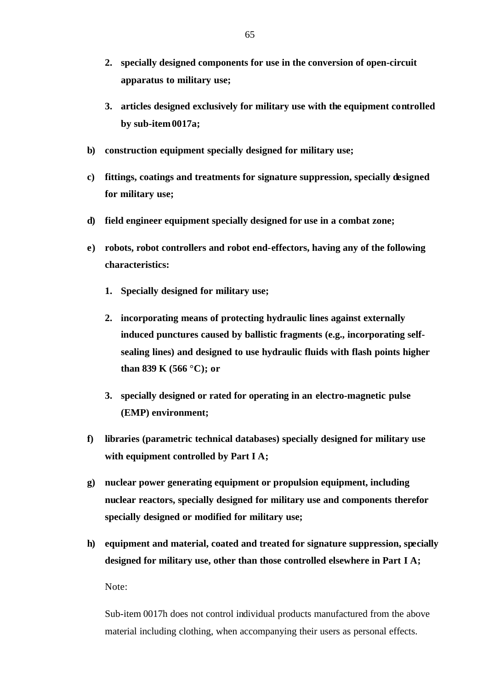- **2. specially designed components for use in the conversion of open-circuit apparatus to military use;**
- **3. articles designed exclusively for military use with the equipment controlled by sub-item 0017a;**
- **b) construction equipment specially designed for military use;**
- **c) fittings, coatings and treatments for signature suppression, specially designed for military use;**
- **d) field engineer equipment specially designed for use in a combat zone;**
- **e) robots, robot controllers and robot end-effectors, having any of the following characteristics:**
	- **1. Specially designed for military use;**
	- **2. incorporating means of protecting hydraulic lines against externally induced punctures caused by ballistic fragments (e.g., incorporating selfsealing lines) and designed to use hydraulic fluids with flash points higher than 839 K (566 °C); or**
	- **3. specially designed or rated for operating in an electro-magnetic pulse (EMP) environment;**
- **f) libraries (parametric technical databases) specially designed for military use with equipment controlled by Part I A;**
- **g) nuclear power generating equipment or propulsion equipment, including nuclear reactors, specially designed for military use and components therefor specially designed or modified for military use;**
- **h) equipment and material, coated and treated for signature suppression, specially designed for military use, other than those controlled elsewhere in Part I A;**

Sub-item 0017h does not control individual products manufactured from the above material including clothing, when accompanying their users as personal effects.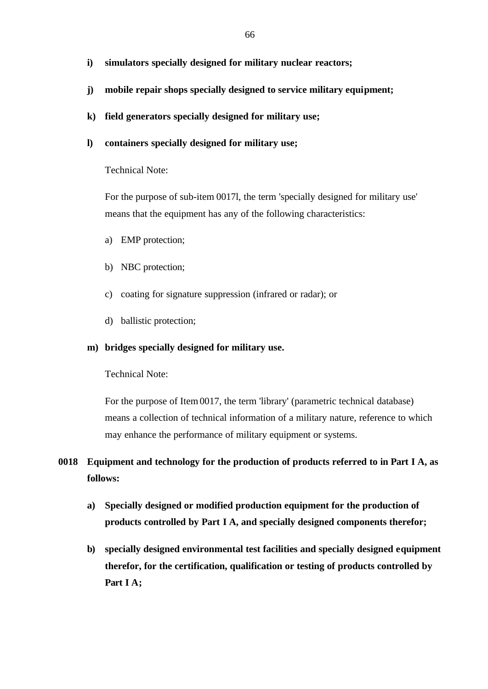- **i) simulators specially designed for military nuclear reactors;**
- **j) mobile repair shops specially designed to service military equipment;**
- **k) field generators specially designed for military use;**
- **l) containers specially designed for military use;**

Technical Note:

For the purpose of sub-item 0017l, the term 'specially designed for military use' means that the equipment has any of the following characteristics:

- a) EMP protection;
- b) NBC protection;
- c) coating for signature suppression (infrared or radar); or
- d) ballistic protection;

#### **m) bridges specially designed for military use.**

Technical Note:

For the purpose of Item 0017, the term 'library' (parametric technical database) means a collection of technical information of a military nature, reference to which may enhance the performance of military equipment or systems.

## **0018 Equipment and technology for the production of products referred to in Part I A, as follows:**

- **a) Specially designed or modified production equipment for the production of products controlled by Part I A, and specially designed components therefor;**
- **b) specially designed environmental test facilities and specially designed equipment therefor, for the certification, qualification or testing of products controlled by Part I A;**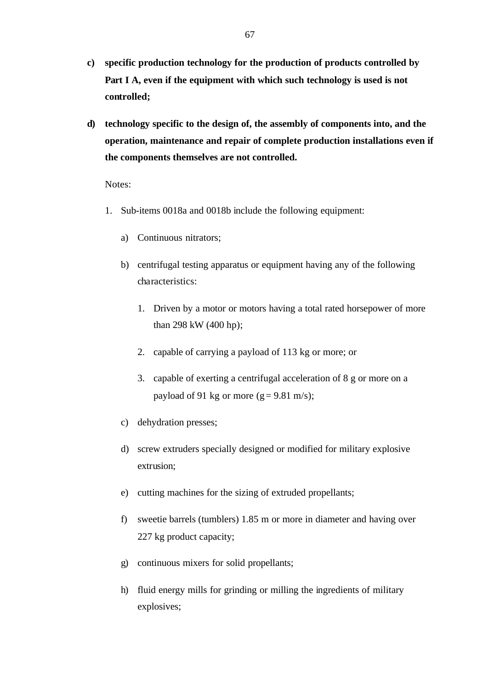- **c) specific production technology for the production of products controlled by Part I A, even if the equipment with which such technology is used is not controlled;**
- **d) technology specific to the design of, the assembly of components into, and the operation, maintenance and repair of complete production installations even if the components themselves are not controlled.**

- 1. Sub-items 0018a and 0018b include the following equipment:
	- a) Continuous nitrators;
	- b) centrifugal testing apparatus or equipment having any of the following characteristics:
		- 1. Driven by a motor or motors having a total rated horsepower of more than 298 kW (400 hp);
		- 2. capable of carrying a payload of 113 kg or more; or
		- 3. capable of exerting a centrifugal acceleration of 8 g or more on a payload of 91 kg or more ( $g = 9.81$  m/s);
	- c) dehydration presses;
	- d) screw extruders specially designed or modified for military explosive extrusion;
	- e) cutting machines for the sizing of extruded propellants;
	- f) sweetie barrels (tumblers) 1.85 m or more in diameter and having over 227 kg product capacity;
	- g) continuous mixers for solid propellants;
	- h) fluid energy mills for grinding or milling the ingredients of military explosives;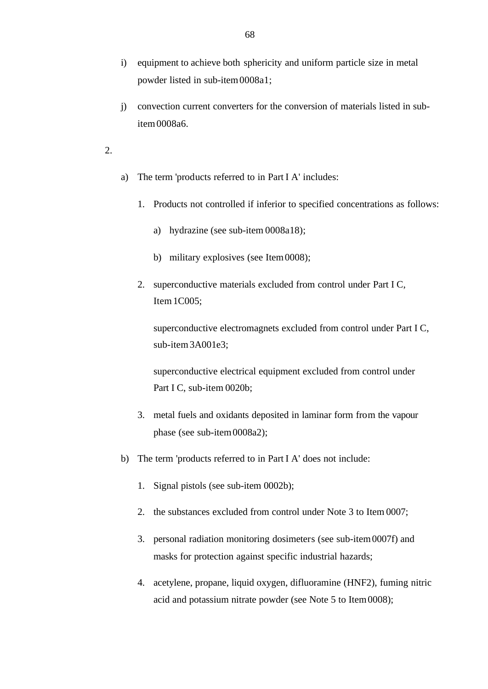- i) equipment to achieve both sphericity and uniform particle size in metal powder listed in sub-item 0008a1;
- j) convection current converters for the conversion of materials listed in subitem 0008a6.
- 2.
- a) The term 'products referred to in Part I A' includes:
	- 1. Products not controlled if inferior to specified concentrations as follows:
		- a) hydrazine (see sub-item 0008a18);
		- b) military explosives (see Item 0008);
	- 2. superconductive materials excluded from control under Part I C, Item 1C005:

superconductive electromagnets excluded from control under Part I C, sub-item 3A001e3;

superconductive electrical equipment excluded from control under Part I C, sub-item 0020b;

- 3. metal fuels and oxidants deposited in laminar form from the vapour phase (see sub-item 0008a2);
- b) The term 'products referred to in Part I A' does not include:
	- 1. Signal pistols (see sub-item 0002b);
	- 2. the substances excluded from control under Note 3 to Item 0007;
	- 3. personal radiation monitoring dosimeters (see sub-item 0007f) and masks for protection against specific industrial hazards;
	- 4. acetylene, propane, liquid oxygen, difluoramine (HNF2), fuming nitric acid and potassium nitrate powder (see Note 5 to Item 0008);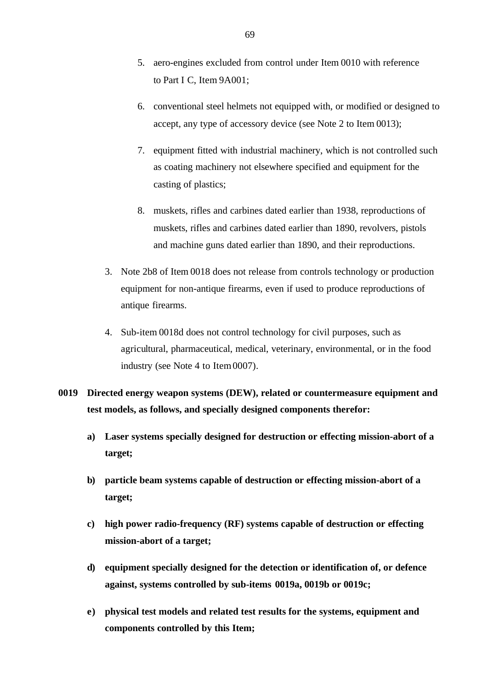- 5. aero-engines excluded from control under Item 0010 with reference to Part I C, Item 9A001;
- 6. conventional steel helmets not equipped with, or modified or designed to accept, any type of accessory device (see Note 2 to Item 0013);
- 7. equipment fitted with industrial machinery, which is not controlled such as coating machinery not elsewhere specified and equipment for the casting of plastics;
- 8. muskets, rifles and carbines dated earlier than 1938, reproductions of muskets, rifles and carbines dated earlier than 1890, revolvers, pistols and machine guns dated earlier than 1890, and their reproductions.
- 3. Note 2b8 of Item 0018 does not release from controls technology or production equipment for non-antique firearms, even if used to produce reproductions of antique firearms.
- 4. Sub-item 0018d does not control technology for civil purposes, such as agricultural, pharmaceutical, medical, veterinary, environmental, or in the food industry (see Note 4 to Item 0007).
- **0019 Directed energy weapon systems (DEW), related or countermeasure equipment and test models, as follows, and specially designed components therefor:**
	- **a) Laser systems specially designed for destruction or effecting mission-abort of a target;**
	- **b) particle beam systems capable of destruction or effecting mission-abort of a target;**
	- **c) high power radio-frequency (RF) systems capable of destruction or effecting mission-abort of a target;**
	- **d) equipment specially designed for the detection or identification of, or defence against, systems controlled by sub-items 0019a, 0019b or 0019c;**
	- **e) physical test models and related test results for the systems, equipment and components controlled by this Item;**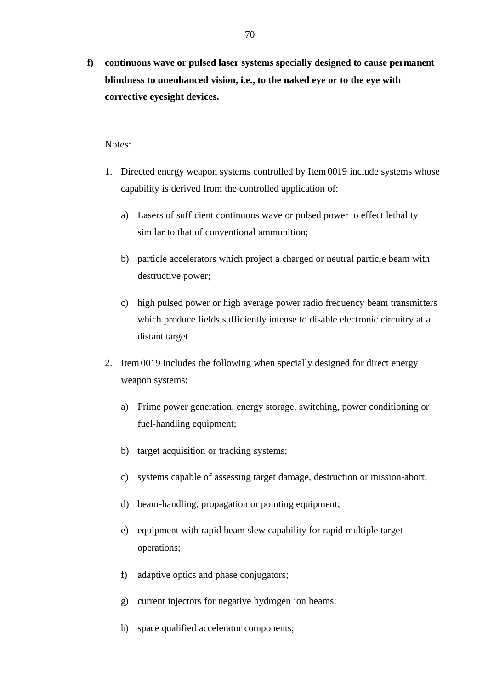**f) continuous wave or pulsed laser systems specially designed to cause permanent blindness to unenhanced vision, i.e., to the naked eye or to the eye with corrective eyesight devices.**

- 1. Directed energy weapon systems controlled by Item 0019 include systems whose capability is derived from the controlled application of:
	- a) Lasers of sufficient continuous wave or pulsed power to effect lethality similar to that of conventional ammunition;
	- b) particle accelerators which project a charged or neutral particle beam with destructive power;
	- c) high pulsed power or high average power radio frequency beam transmitters which produce fields sufficiently intense to disable electronic circuitry at a distant target.
- 2. Item 0019 includes the following when specially designed for direct energy weapon systems:
	- a) Prime power generation, energy storage, switching, power conditioning or fuel-handling equipment;
	- b) target acquisition or tracking systems;
	- c) systems capable of assessing target damage, destruction or mission-abort;
	- d) beam-handling, propagation or pointing equipment;
	- e) equipment with rapid beam slew capability for rapid multiple target operations;
	- f) adaptive optics and phase conjugators;
	- g) current injectors for negative hydrogen ion beams;
	- h) space qualified accelerator components;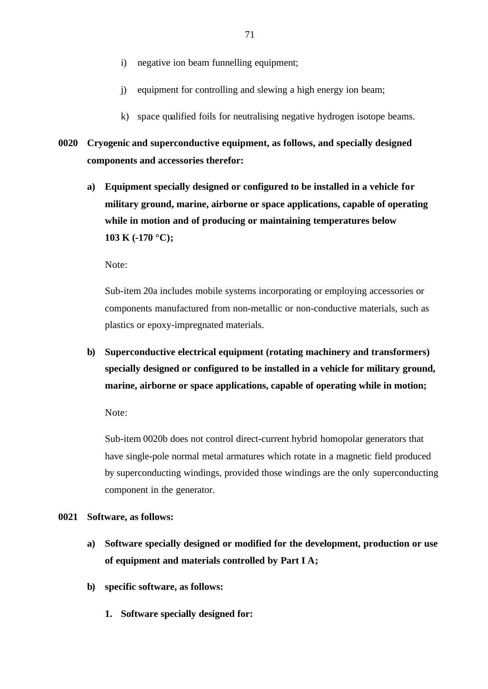- i) negative ion beam funnelling equipment;
- j) equipment for controlling and slewing a high energy ion beam;
- k) space qualified foils for neutralising negative hydrogen isotope beams.
- **0020 Cryogenic and superconductive equipment, as follows, and specially designed components and accessories therefor:**
	- **a) Equipment specially designed or configured to be installed in a vehicle for military ground, marine, airborne or space applications, capable of operating while in motion and of producing or maintaining temperatures below 103 K (-170 °C);**

Sub-item 20a includes mobile systems incorporating or employing accessories or components manufactured from non-metallic or non-conductive materials, such as plastics or epoxy-impregnated materials.

**b) Superconductive electrical equipment (rotating machinery and transformers) specially designed or configured to be installed in a vehicle for military ground, marine, airborne or space applications, capable of operating while in motion;**

Note:

Sub-item 0020b does not control direct-current hybrid homopolar generators that have single-pole normal metal armatures which rotate in a magnetic field produced by superconducting windings, provided those windings are the only superconducting component in the generator.

#### **0021 Software, as follows:**

- **a) Software specially designed or modified for the development, production or use of equipment and materials controlled by Part I A;**
- **b) specific software, as follows:**
	- **1. Software specially designed for:**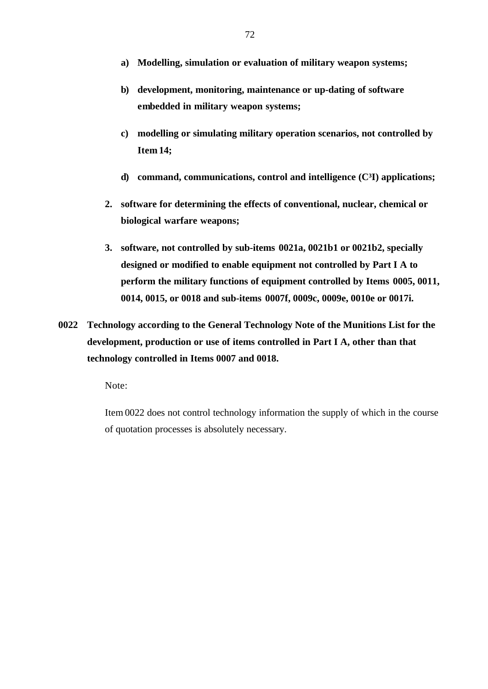- **a) Modelling, simulation or evaluation of military weapon systems;**
- **b) development, monitoring, maintenance or up-dating of software embedded in military weapon systems;**
- **c) modelling or simulating military operation scenarios, not controlled by Item 14;**
- **d) command, communications, control and intelligence (C³I) applications;**
- **2. software for determining the effects of conventional, nuclear, chemical or biological warfare weapons;**
- **3. software, not controlled by sub-items 0021a, 0021b1 or 0021b2, specially designed or modified to enable equipment not controlled by Part I A to perform the military functions of equipment controlled by Items 0005, 0011, 0014, 0015, or 0018 and sub-items 0007f, 0009c, 0009e, 0010e or 0017i.**
- **0022 Technology according to the General Technology Note of the Munitions List for the development, production or use of items controlled in Part I A, other than that technology controlled in Items 0007 and 0018.**

Note:

Item 0022 does not control technology information the supply of which in the course of quotation processes is absolutely necessary.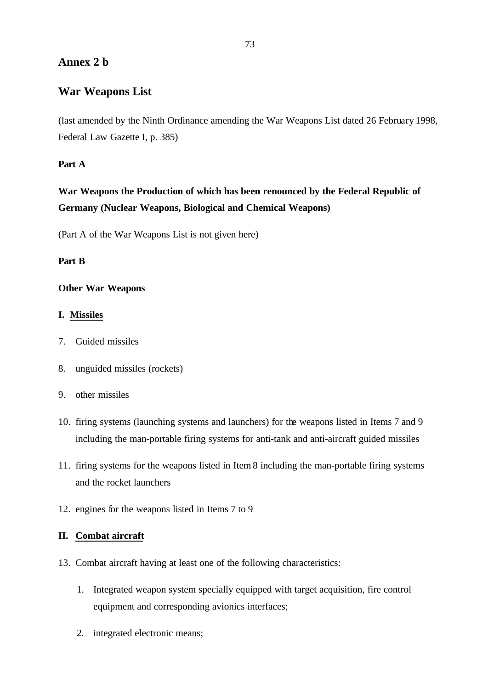### **Annex 2 b**

#### **War Weapons List**

(last amended by the Ninth Ordinance amending the War Weapons List dated 26 February 1998, Federal Law Gazette I, p. 385)

#### **Part A**

### **War Weapons the Production of which has been renounced by the Federal Republic of Germany (Nuclear Weapons, Biological and Chemical Weapons)**

(Part A of the War Weapons List is not given here)

#### **Part B**

#### **Other War Weapons**

#### **I. Missiles**

- 7. Guided missiles
- 8. unguided missiles (rockets)
- 9. other missiles
- 10. firing systems (launching systems and launchers) for the weapons listed in Items 7 and 9 including the man-portable firing systems for anti-tank and anti-aircraft guided missiles
- 11. firing systems for the weapons listed in Item 8 including the man-portable firing systems and the rocket launchers
- 12. engines for the weapons listed in Items 7 to 9

#### **II. Combat aircraft**

- 13. Combat aircraft having at least one of the following characteristics:
	- 1. Integrated weapon system specially equipped with target acquisition, fire control equipment and corresponding avionics interfaces;
	- 2. integrated electronic means;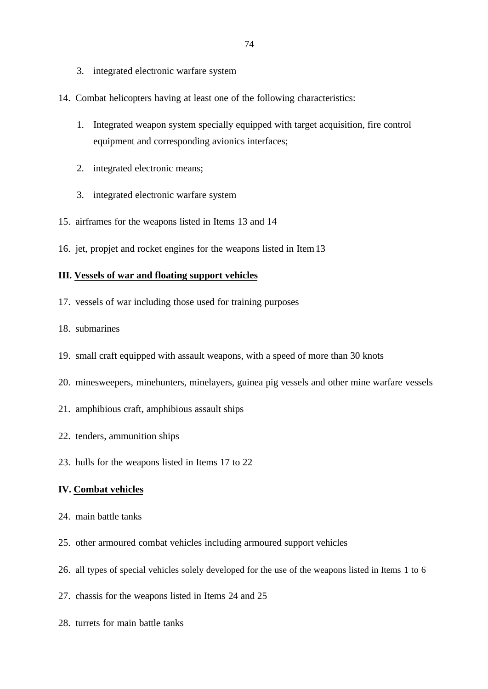- 3. integrated electronic warfare system
- 14. Combat helicopters having at least one of the following characteristics:
	- 1. Integrated weapon system specially equipped with target acquisition, fire control equipment and corresponding avionics interfaces;
	- 2. integrated electronic means;
	- 3. integrated electronic warfare system
- 15. airframes for the weapons listed in Items 13 and 14
- 16. jet, propjet and rocket engines for the weapons listed in Item 13

#### **III. Vessels of war and floating support vehicles**

- 17. vessels of war including those used for training purposes
- 18. submarines
- 19. small craft equipped with assault weapons, with a speed of more than 30 knots
- 20. minesweepers, minehunters, minelayers, guinea pig vessels and other mine warfare vessels
- 21. amphibious craft, amphibious assault ships
- 22. tenders, ammunition ships
- 23. hulls for the weapons listed in Items 17 to 22

#### **IV. Combat vehicles**

- 24. main battle tanks
- 25. other armoured combat vehicles including armoured support vehicles
- 26. all types of special vehicles solely developed for the use of the weapons listed in Items 1 to 6
- 27. chassis for the weapons listed in Items 24 and 25
- 28. turrets for main battle tanks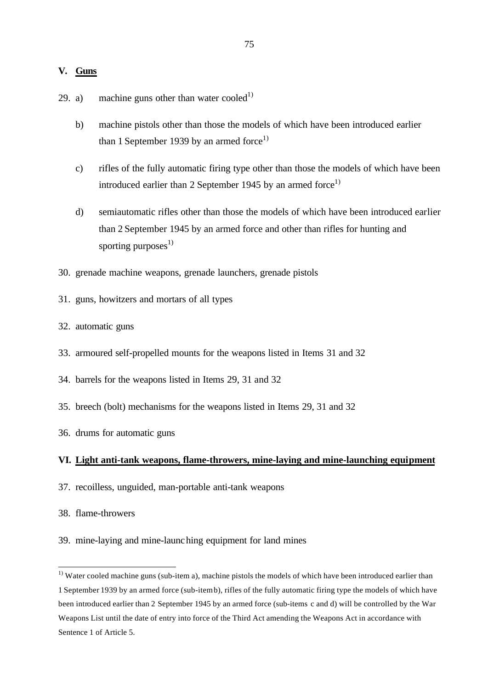#### **V. Guns**

- 29. a) machine guns other than water cooled<sup>1)</sup>
	- b) machine pistols other than those the models of which have been introduced earlier than 1 September 1939 by an armed force<sup>1)</sup>
	- c) rifles of the fully automatic firing type other than those the models of which have been introduced earlier than 2 September 1945 by an armed force<sup>1)</sup>
	- d) semiautomatic rifles other than those the models of which have been introduced earlier than 2 September 1945 by an armed force and other than rifles for hunting and sporting purposes $^{1)}$
- 30. grenade machine weapons, grenade launchers, grenade pistols
- 31. guns, howitzers and mortars of all types
- 32. automatic guns
- 33. armoured self-propelled mounts for the weapons listed in Items 31 and 32
- 34. barrels for the weapons listed in Items 29, 31 and 32
- 35. breech (bolt) mechanisms for the weapons listed in Items 29, 31 and 32
- 36. drums for automatic guns

#### **VI. Light anti-tank weapons, flame-throwers, mine-laying and mine-launching equipment**

- 37. recoilless, unguided, man-portable anti-tank weapons
- 38. flame-throwers

 $\overline{\phantom{a}}$ 

39. mine-laying and mine-launching equipment for land mines

 $1)$  Water cooled machine guns (sub-item a), machine pistols the models of which have been introduced earlier than 1 September 1939 by an armed force (sub-item b), rifles of the fully automatic firing type the models of which have been introduced earlier than 2 September 1945 by an armed force (sub-items c and d) will be controlled by the War Weapons List until the date of entry into force of the Third Act amending the Weapons Act in accordance with Sentence 1 of Article 5.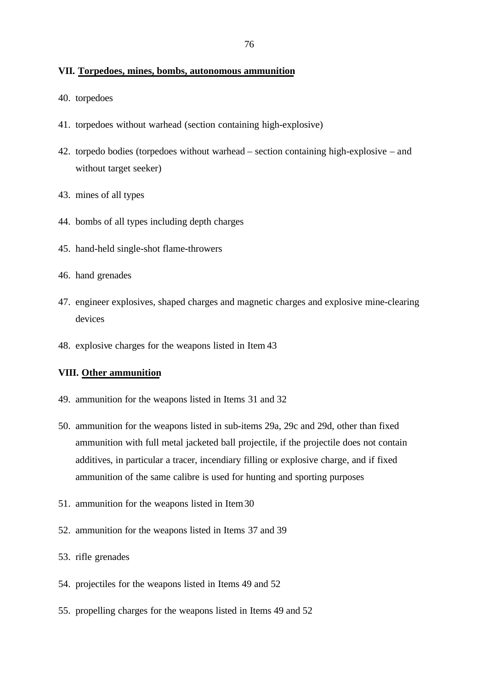#### **VII. Torpedoes, mines, bombs, autonomous ammunition**

- 40. torpedoes
- 41. torpedoes without warhead (section containing high-explosive)
- 42. torpedo bodies (torpedoes without warhead section containing high-explosive and without target seeker)
- 43. mines of all types
- 44. bombs of all types including depth charges
- 45. hand-held single-shot flame-throwers
- 46. hand grenades
- 47. engineer explosives, shaped charges and magnetic charges and explosive mine-clearing devices
- 48. explosive charges for the weapons listed in Item 43

#### **VIII. Other ammunition**

- 49. ammunition for the weapons listed in Items 31 and 32
- 50. ammunition for the weapons listed in sub-items 29a, 29c and 29d, other than fixed ammunition with full metal jacketed ball projectile, if the projectile does not contain additives, in particular a tracer, incendiary filling or explosive charge, and if fixed ammunition of the same calibre is used for hunting and sporting purposes
- 51. ammunition for the weapons listed in Item 30
- 52. ammunition for the weapons listed in Items 37 and 39
- 53. rifle grenades
- 54. projectiles for the weapons listed in Items 49 and 52
- 55. propelling charges for the weapons listed in Items 49 and 52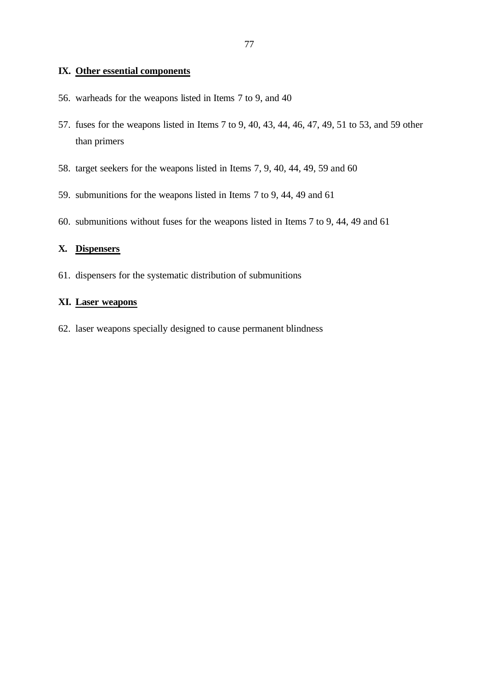#### **IX. Other essential components**

- 56. warheads for the weapons listed in Items 7 to 9, and 40
- 57. fuses for the weapons listed in Items 7 to 9, 40, 43, 44, 46, 47, 49, 51 to 53, and 59 other than primers
- 58. target seekers for the weapons listed in Items 7, 9, 40, 44, 49, 59 and 60
- 59. submunitions for the weapons listed in Items 7 to 9, 44, 49 and 61
- 60. submunitions without fuses for the weapons listed in Items 7 to 9, 44, 49 and 61

#### **X. Dispensers**

61. dispensers for the systematic distribution of submunitions

#### **XI. Laser weapons**

62. laser weapons specially designed to cause permanent blindness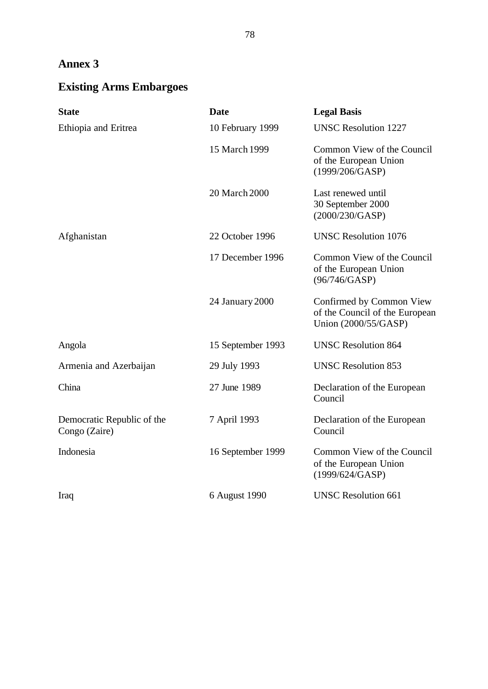## **Annex 3**

# **Existing Arms Embargoes**

| <b>State</b>                                | <b>Date</b>       | <b>Legal Basis</b>                                                                 |
|---------------------------------------------|-------------------|------------------------------------------------------------------------------------|
| Ethiopia and Eritrea                        | 10 February 1999  | <b>UNSC Resolution 1227</b>                                                        |
|                                             | 15 March 1999     | Common View of the Council<br>of the European Union<br>(1999/206/GASP)             |
|                                             | 20 March 2000     | Last renewed until<br>30 September 2000<br>(2000/230/GASP)                         |
| Afghanistan                                 | 22 October 1996   | <b>UNSC Resolution 1076</b>                                                        |
|                                             | 17 December 1996  | Common View of the Council<br>of the European Union<br>(96/746/GASP)               |
|                                             | 24 January 2000   | Confirmed by Common View<br>of the Council of the European<br>Union (2000/55/GASP) |
| Angola                                      | 15 September 1993 | <b>UNSC Resolution 864</b>                                                         |
| Armenia and Azerbaijan                      | 29 July 1993      | <b>UNSC Resolution 853</b>                                                         |
| China                                       | 27 June 1989      | Declaration of the European<br>Council                                             |
| Democratic Republic of the<br>Congo (Zaire) | 7 April 1993      | Declaration of the European<br>Council                                             |
| Indonesia                                   | 16 September 1999 | Common View of the Council<br>of the European Union<br>(1999/624/GASP)             |
| Iraq                                        | 6 August 1990     | <b>UNSC Resolution 661</b>                                                         |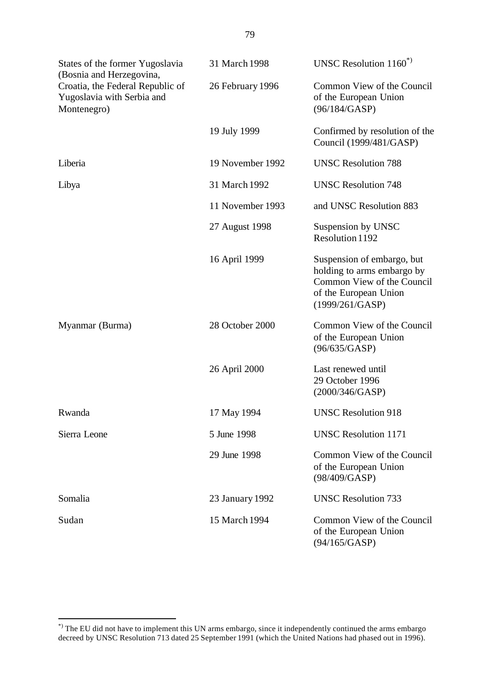| States of the former Yugoslavia<br>(Bosnia and Herzegovina,                   | 31 March 1998    | UNSC Resolution $1160^{\circ}$                                                                                                     |
|-------------------------------------------------------------------------------|------------------|------------------------------------------------------------------------------------------------------------------------------------|
| Croatia, the Federal Republic of<br>Yugoslavia with Serbia and<br>Montenegro) | 26 February 1996 | Common View of the Council<br>of the European Union<br>(96/184/GASP)                                                               |
|                                                                               | 19 July 1999     | Confirmed by resolution of the<br>Council (1999/481/GASP)                                                                          |
| Liberia                                                                       | 19 November 1992 | <b>UNSC Resolution 788</b>                                                                                                         |
| Libya                                                                         | 31 March 1992    | <b>UNSC Resolution 748</b>                                                                                                         |
|                                                                               | 11 November 1993 | and UNSC Resolution 883                                                                                                            |
|                                                                               | 27 August 1998   | Suspension by UNSC<br>Resolution 1192                                                                                              |
|                                                                               | 16 April 1999    | Suspension of embargo, but<br>holding to arms embargo by<br>Common View of the Council<br>of the European Union<br>(1999/261/GASP) |
| Myanmar (Burma)                                                               | 28 October 2000  | Common View of the Council<br>of the European Union<br>(96/635/GASP)                                                               |
|                                                                               | 26 April 2000    | Last renewed until<br>29 October 1996<br>(2000/346/GASP)                                                                           |
| Rwanda                                                                        | 17 May 1994      | <b>UNSC Resolution 918</b>                                                                                                         |
| Sierra Leone                                                                  | 5 June 1998      | <b>UNSC Resolution 1171</b>                                                                                                        |
|                                                                               | 29 June 1998     | Common View of the Council<br>of the European Union<br>(98/409/GASP)                                                               |
| Somalia                                                                       | 23 January 1992  | <b>UNSC Resolution 733</b>                                                                                                         |
| Sudan                                                                         | 15 March 1994    | Common View of the Council<br>of the European Union<br>(94/165/GASP)                                                               |

l

<sup>\*)</sup> The EU did not have to implement this UN arms embargo, since it independently continued the arms embargo decreed by UNSC Resolution 713 dated 25 September 1991 (which the United Nations had phased out in 1996).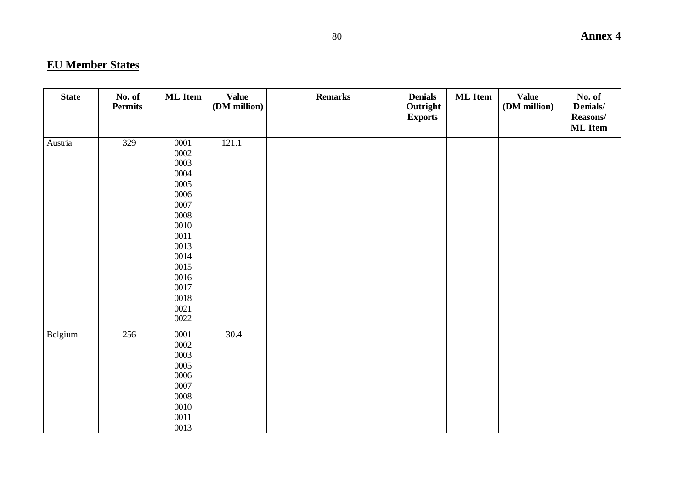## **EU Member States**

| <b>State</b> | No. of<br><b>Permits</b> | <b>ML</b> Item                                                                                                                                   | <b>Value</b><br>(DM million) | <b>Remarks</b> | <b>Denials</b><br>Outright<br><b>Exports</b> | <b>ML</b> Item | <b>Value</b><br>(DM million) | No. of<br>Denials/<br>Reasons/<br><b>ML</b> Item |
|--------------|--------------------------|--------------------------------------------------------------------------------------------------------------------------------------------------|------------------------------|----------------|----------------------------------------------|----------------|------------------------------|--------------------------------------------------|
| Austria      | 329                      | 0001<br>0002<br>0003<br>0004<br>0005<br>0006<br>0007<br>$0008\,$<br>0010<br>0011<br>0013<br>0014<br>0015<br>0016<br>0017<br>0018<br>0021<br>0022 | 121.1                        |                |                                              |                |                              |                                                  |
| Belgium      | 256                      | 0001<br>0002<br>0003<br>0005<br>0006<br>0007<br>0008<br>0010<br>0011<br>0013                                                                     | 30.4                         |                |                                              |                |                              |                                                  |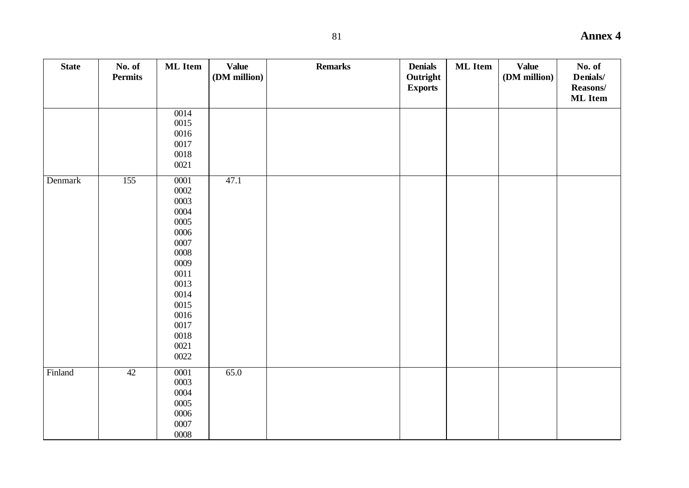| <b>State</b> | No. of<br><b>Permits</b> | <b>ML</b> Item                                                                                                                                   | <b>Value</b><br>(DM million) | <b>Remarks</b> | <b>Denials</b><br>Outright<br><b>Exports</b> | <b>ML</b> Item | <b>Value</b><br>(DM million) | No. of<br>Denials/<br>Reasons/<br><b>ML</b> Item |
|--------------|--------------------------|--------------------------------------------------------------------------------------------------------------------------------------------------|------------------------------|----------------|----------------------------------------------|----------------|------------------------------|--------------------------------------------------|
|              |                          | 0014<br>0015<br>0016<br>0017<br>0018<br>0021                                                                                                     |                              |                |                                              |                |                              |                                                  |
| Denmark      | 155                      | 0001<br>0002<br>0003<br>0004<br>0005<br>0006<br>0007<br>$0008\,$<br>0009<br>0011<br>0013<br>0014<br>0015<br>0016<br>0017<br>0018<br>0021<br>0022 | 47.1                         |                |                                              |                |                              |                                                  |
| Finland      | 42                       | 0001<br>0003<br>0004<br>0005<br>0006<br>0007<br>0008                                                                                             | 65.0                         |                |                                              |                |                              |                                                  |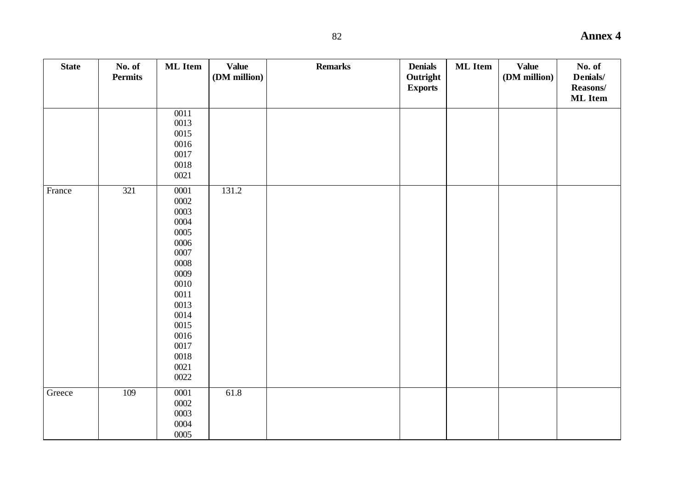| <b>State</b> | No. of<br>Permits | <b>ML</b> Item                                                                                                                                       | <b>Value</b><br>(DM million) | <b>Remarks</b> | <b>Denials</b><br>Outright<br><b>Exports</b> | <b>ML</b> Item | <b>Value</b><br>(DM million) | No. of<br>Denials/<br>Reasons/<br><b>ML</b> Item |
|--------------|-------------------|------------------------------------------------------------------------------------------------------------------------------------------------------|------------------------------|----------------|----------------------------------------------|----------------|------------------------------|--------------------------------------------------|
|              |                   | 0011<br>0013<br>0015<br>0016<br>0017<br>0018<br>0021                                                                                                 |                              |                |                                              |                |                              |                                                  |
| France       | 321               | 0001<br>0002<br>0003<br>0004<br>0005<br>0006<br>0007<br>0008<br>0009<br>0010<br>0011<br>0013<br>0014<br>0015<br>0016<br>0017<br>0018<br>0021<br>0022 | 131.2                        |                |                                              |                |                              |                                                  |
| Greece       | 109               | 0001<br>0002<br>0003<br>0004<br>0005                                                                                                                 | 61.8                         |                |                                              |                |                              |                                                  |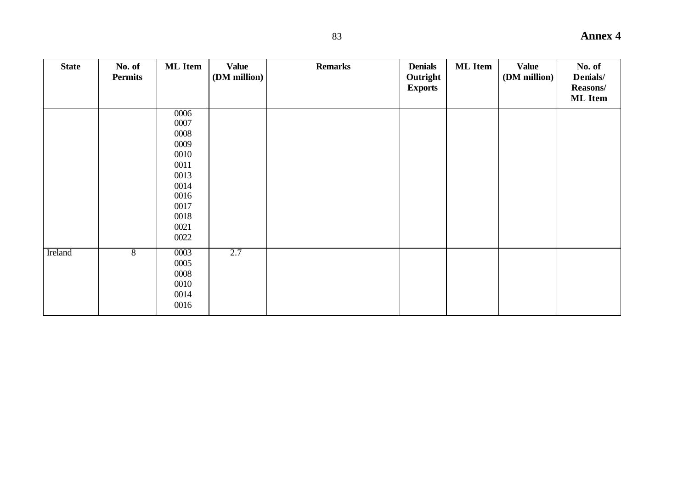| <b>State</b> | No. of<br><b>Permits</b> | <b>ML</b> Item                                                                                       | <b>Value</b><br>(DM million) | <b>Remarks</b> | <b>Denials</b><br>Outright<br><b>Exports</b> | <b>ML</b> Item | <b>Value</b><br>(DM million) | No. of<br>Denials/<br>Reasons/<br><b>ML</b> Item |
|--------------|--------------------------|------------------------------------------------------------------------------------------------------|------------------------------|----------------|----------------------------------------------|----------------|------------------------------|--------------------------------------------------|
|              |                          | 0006<br>0007<br>0008<br>0009<br>0010<br>0011<br>0013<br>0014<br>0016<br>0017<br>0018<br>0021<br>0022 |                              |                |                                              |                |                              |                                                  |
| Ireland      | $\sqrt{8}$               | 0003<br>0005<br>0008<br>0010<br>0014<br>0016                                                         | 2.7                          |                |                                              |                |                              |                                                  |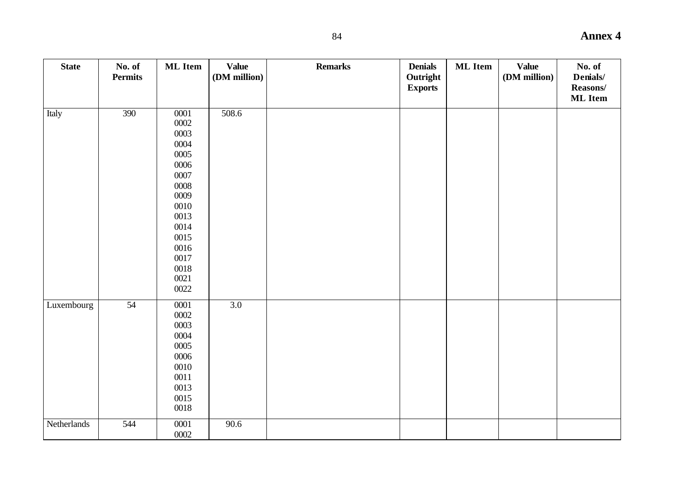| <b>State</b> | No. of<br><b>Permits</b> | <b>ML</b> Item                                                                                                                                       | <b>Value</b><br>(DM million) | <b>Remarks</b> | <b>Denials</b><br>Outright<br><b>Exports</b> | <b>ML</b> Item | <b>Value</b><br>(DM million) | No. of<br>Denials/<br>Reasons/<br><b>ML</b> Item |
|--------------|--------------------------|------------------------------------------------------------------------------------------------------------------------------------------------------|------------------------------|----------------|----------------------------------------------|----------------|------------------------------|--------------------------------------------------|
| Italy        | 390                      | 0001<br>$0002\,$<br>0003<br>0004<br>0005<br>0006<br>0007<br>$0008\,$<br>0009<br>0010<br>0013<br>0014<br>0015<br>0016<br>0017<br>0018<br>0021<br>0022 | 508.6                        |                |                                              |                |                              |                                                  |
| Luxembourg   | 54                       | 0001<br>0002<br>0003<br>0004<br>0005<br>0006<br>0010<br>0011<br>0013<br>0015<br>0018                                                                 | 3.0                          |                |                                              |                |                              |                                                  |
| Netherlands  | 544                      | 0001<br>0002                                                                                                                                         | 90.6                         |                |                                              |                |                              |                                                  |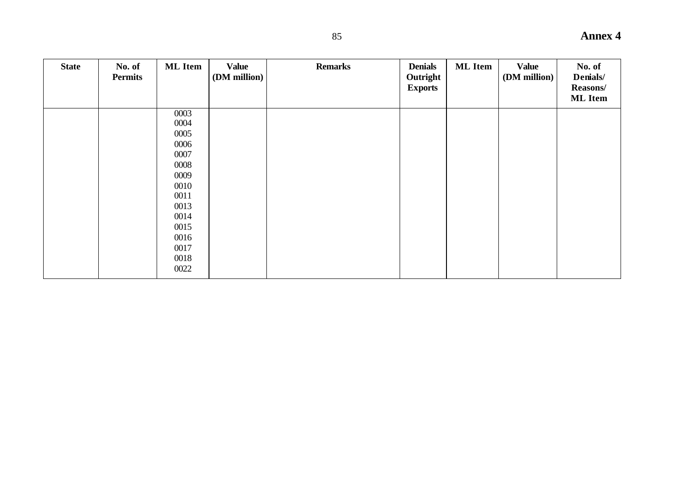| <b>State</b> | No. of<br><b>Permits</b> | <b>ML</b> Item | <b>Value</b><br>(DM million) | <b>Remarks</b> | <b>Denials</b><br>Outright<br><b>Exports</b> | <b>ML</b> Item | <b>Value</b><br>(DM million) | No. of<br>Denials/<br>Reasons/<br><b>ML</b> Item |
|--------------|--------------------------|----------------|------------------------------|----------------|----------------------------------------------|----------------|------------------------------|--------------------------------------------------|
|              |                          | 0003           |                              |                |                                              |                |                              |                                                  |
|              |                          | 0004           |                              |                |                                              |                |                              |                                                  |
|              |                          | 0005           |                              |                |                                              |                |                              |                                                  |
|              |                          | 0006           |                              |                |                                              |                |                              |                                                  |
|              |                          | 0007           |                              |                |                                              |                |                              |                                                  |
|              |                          | 0008           |                              |                |                                              |                |                              |                                                  |
|              |                          | 0009           |                              |                |                                              |                |                              |                                                  |
|              |                          | 0010           |                              |                |                                              |                |                              |                                                  |
|              |                          | 0011           |                              |                |                                              |                |                              |                                                  |
|              |                          | 0013           |                              |                |                                              |                |                              |                                                  |
|              |                          | 0014           |                              |                |                                              |                |                              |                                                  |
|              |                          | 0015           |                              |                |                                              |                |                              |                                                  |
|              |                          | 0016           |                              |                |                                              |                |                              |                                                  |
|              |                          | 0017           |                              |                |                                              |                |                              |                                                  |
|              |                          | 0018           |                              |                |                                              |                |                              |                                                  |
|              |                          | 0022           |                              |                |                                              |                |                              |                                                  |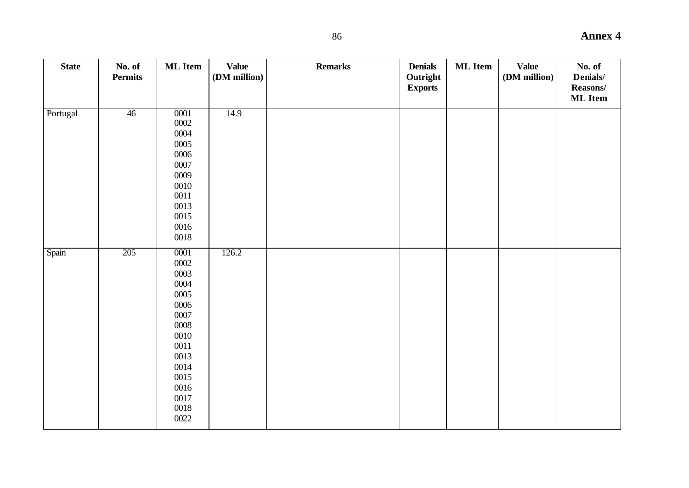| <b>State</b> | No. of<br><b>Permits</b> | <b>ML</b> Item                                                                                                                                                | <b>Value</b><br>(DM million) | <b>Remarks</b> | <b>Denials</b><br>Outright<br><b>Exports</b> | <b>ML</b> Item | <b>Value</b><br>(DM million) | No. of<br>Denials/<br>Reasons/<br><b>ML</b> Item |
|--------------|--------------------------|---------------------------------------------------------------------------------------------------------------------------------------------------------------|------------------------------|----------------|----------------------------------------------|----------------|------------------------------|--------------------------------------------------|
| Portugal     | 46                       | 0001<br>$0002\,$<br>0004<br>0005<br>0006<br>0007<br>0009<br>0010<br>0011<br>0013<br>0015<br>0016<br>0018                                                      | 14.9                         |                |                                              |                |                              |                                                  |
| Spain        | 205                      | $\overline{0001}$<br>$0002\,$<br>0003<br>0004<br>0005<br>0006<br>0007<br>$0008\,$<br>$0010\,$<br>0011<br>0013<br>0014<br>0015<br>0016<br>0017<br>0018<br>0022 | 126.2                        |                |                                              |                |                              |                                                  |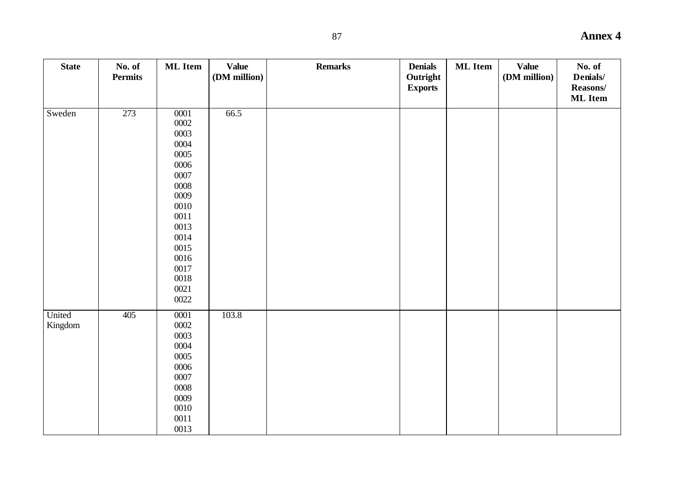| <b>State</b>      | No. of<br><b>Permits</b> | <b>ML</b> Item                                                                                                                                                       | <b>Value</b><br>(DM million) | <b>Remarks</b> | <b>Denials</b><br>Outright<br><b>Exports</b> | <b>ML</b> Item | <b>Value</b><br>(DM million) | No. of<br>Denials/<br>Reasons/<br><b>ML</b> Item |
|-------------------|--------------------------|----------------------------------------------------------------------------------------------------------------------------------------------------------------------|------------------------------|----------------|----------------------------------------------|----------------|------------------------------|--------------------------------------------------|
| Sweden            | 273                      | 0001<br>0002<br>0003<br>0004<br>0005<br>0006<br>$0007\,$<br>$0008\,$<br>0009<br>0010<br>0011<br>0013<br>0014<br>0015<br>0016<br>$0017\,$<br>$0018\,$<br>0021<br>0022 | 66.5                         |                |                                              |                |                              |                                                  |
| United<br>Kingdom | 405                      | 0001<br>0002<br>0003<br>0004<br>0005<br>0006<br>0007<br>0008<br>0009<br>0010<br>$0011$<br>0013                                                                       | 103.8                        |                |                                              |                |                              |                                                  |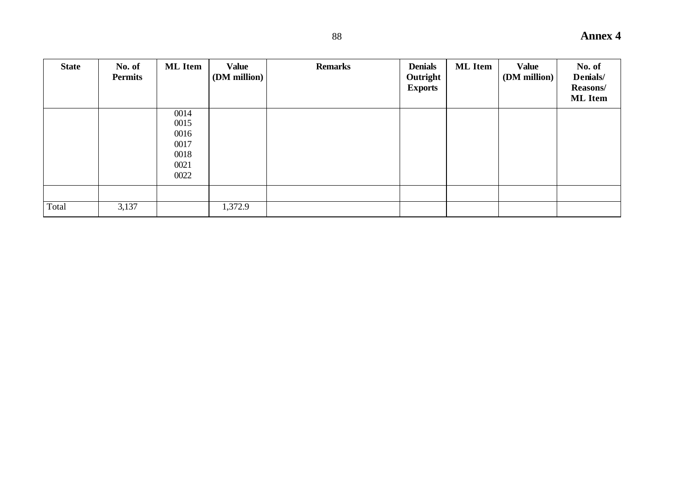| <b>State</b> | No. of<br><b>Permits</b> | <b>ML</b> Item                                       | <b>Value</b><br>(DM million) | <b>Remarks</b> | <b>Denials</b><br>Outright<br><b>Exports</b> | <b>ML</b> Item | <b>Value</b><br>(DM million) | No. of<br>Denials/<br>Reasons/<br><b>ML</b> Item |
|--------------|--------------------------|------------------------------------------------------|------------------------------|----------------|----------------------------------------------|----------------|------------------------------|--------------------------------------------------|
|              |                          | 0014<br>0015<br>0016<br>0017<br>0018<br>0021<br>0022 |                              |                |                                              |                |                              |                                                  |
|              |                          |                                                      |                              |                |                                              |                |                              |                                                  |
| Total        | 3,137                    |                                                      | 1,372.9                      |                |                                              |                |                              |                                                  |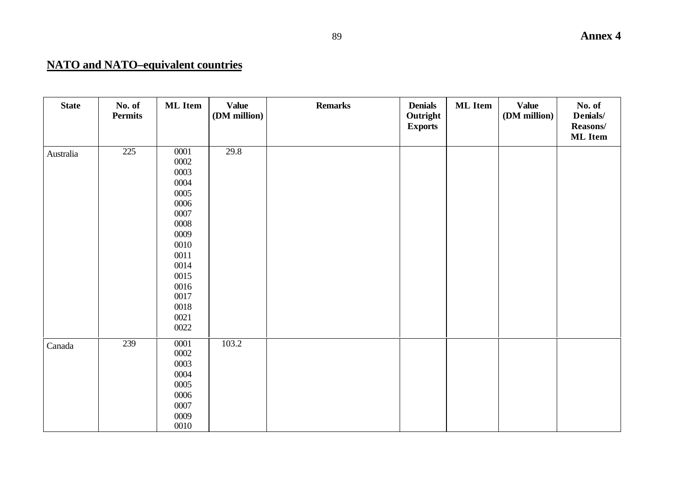## **NATO and NATO–equivalent countries**

| <b>State</b> | No. of<br><b>Permits</b> | <b>ML</b> Item                                                                                                                                       | <b>Value</b><br>(DM million) | <b>Remarks</b> | <b>Denials</b><br>Outright<br><b>Exports</b> | <b>ML</b> Item | <b>Value</b><br>(DM million) | No. of<br>Denials/<br>Reasons/<br>ML Item |
|--------------|--------------------------|------------------------------------------------------------------------------------------------------------------------------------------------------|------------------------------|----------------|----------------------------------------------|----------------|------------------------------|-------------------------------------------|
| Australia    | 225                      | 0001<br>0002<br>0003<br>0004<br>0005<br>0006<br>$0007\,$<br>$0008\,$<br>0009<br>0010<br>0011<br>0014<br>0015<br>0016<br>0017<br>0018<br>0021<br>0022 | 29.8                         |                |                                              |                |                              |                                           |
| Canada       | 239                      | 0001<br>0002<br>0003<br>0004<br>0005<br>0006<br>$0007\,$<br>0009<br>0010                                                                             | 103.2                        |                |                                              |                |                              |                                           |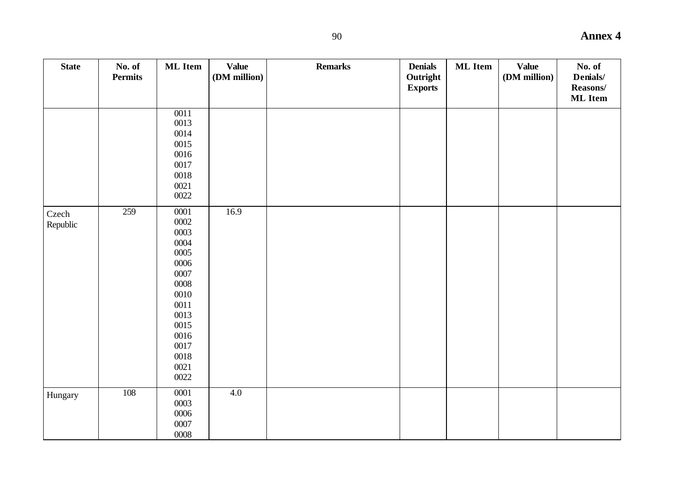| <b>State</b>      | No. of<br><b>Permits</b> | <b>ML</b> Item                                                                                                                       | <b>Value</b><br>(DM million) | <b>Remarks</b> | <b>Denials</b><br>Outright<br><b>Exports</b> | <b>ML</b> Item | <b>Value</b><br>(DM million) | No. of<br>Denials/<br>$\boldsymbol{\mathsf{Reasons}}/$<br><b>ML</b> Item |
|-------------------|--------------------------|--------------------------------------------------------------------------------------------------------------------------------------|------------------------------|----------------|----------------------------------------------|----------------|------------------------------|--------------------------------------------------------------------------|
|                   |                          | 0011<br>0013<br>0014<br>0015<br>0016<br>0017<br>$0018\,$<br>0021<br>0022                                                             |                              |                |                                              |                |                              |                                                                          |
| Czech<br>Republic | 259                      | 0001<br>0002<br>0003<br>0004<br>0005<br>0006<br>0007<br>0008<br>0010<br>0011<br>0013<br>0015<br>0016<br>0017<br>0018<br>0021<br>0022 | 16.9                         |                |                                              |                |                              |                                                                          |
| Hungary           | 108                      | 0001<br>0003<br>0006<br>0007<br>$0008\,$                                                                                             | 4.0                          |                |                                              |                |                              |                                                                          |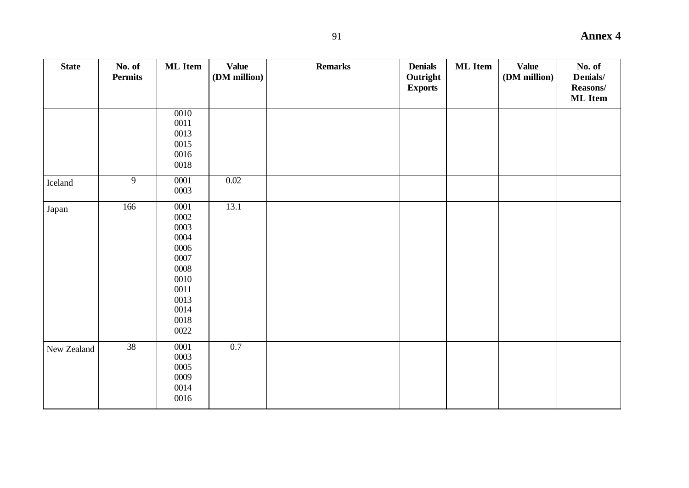| <b>State</b> | No. of<br><b>Permits</b> | <b>ML</b> Item                                                                                           | <b>Value</b><br>(DM million) | <b>Remarks</b> | <b>Denials</b><br>Outright<br><b>Exports</b> | <b>ML</b> Item | <b>Value</b><br>(DM million) | No. of<br>Denials/<br>Reasons/<br><b>ML</b> Item |
|--------------|--------------------------|----------------------------------------------------------------------------------------------------------|------------------------------|----------------|----------------------------------------------|----------------|------------------------------|--------------------------------------------------|
|              |                          | 0010<br>0011<br>0013<br>0015<br>0016<br>0018                                                             |                              |                |                                              |                |                              |                                                  |
| Iceland      | $\overline{9}$           | 0001<br>0003                                                                                             | 0.02                         |                |                                              |                |                              |                                                  |
| Japan        | 166                      | 0001<br>0002<br>0003<br>0004<br>0006<br>0007<br>$0008\,$<br>0010<br>0011<br>0013<br>0014<br>0018<br>0022 | 13.1                         |                |                                              |                |                              |                                                  |
| New Zealand  | 38                       | 0001<br>0003<br>0005<br>0009<br>0014<br>0016                                                             | 0.7                          |                |                                              |                |                              |                                                  |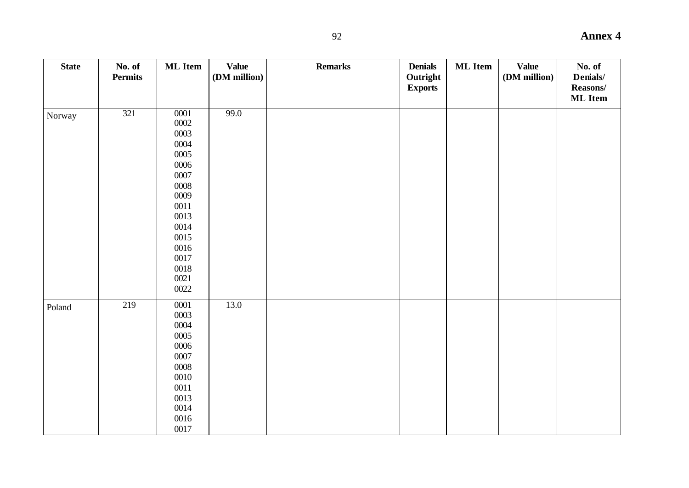| <b>State</b> | No. of<br><b>Permits</b> | <b>ML</b> Item                                                                                                                               | <b>Value</b><br>(DM million) | <b>Remarks</b> | <b>Denials</b><br>Outright<br><b>Exports</b> | <b>ML</b> Item | <b>Value</b><br>(DM million) | No. of<br>Denials/<br>Reasons/<br><b>ML</b> Item |
|--------------|--------------------------|----------------------------------------------------------------------------------------------------------------------------------------------|------------------------------|----------------|----------------------------------------------|----------------|------------------------------|--------------------------------------------------|
| Norway       | 321                      | 0001<br>0002<br>0003<br>0004<br>0005<br>0006<br>0007<br>0008<br>0009<br>0011<br>0013<br>0014<br>0015<br>0016<br>0017<br>0018<br>0021<br>0022 | 99.0                         |                |                                              |                |                              |                                                  |
| Poland       | 219                      | 0001<br>0003<br>0004<br>0005<br>0006<br>0007<br>$0008\,$<br>0010<br>0011<br>0013<br>0014<br>0016<br>$0017\,$                                 | 13.0                         |                |                                              |                |                              |                                                  |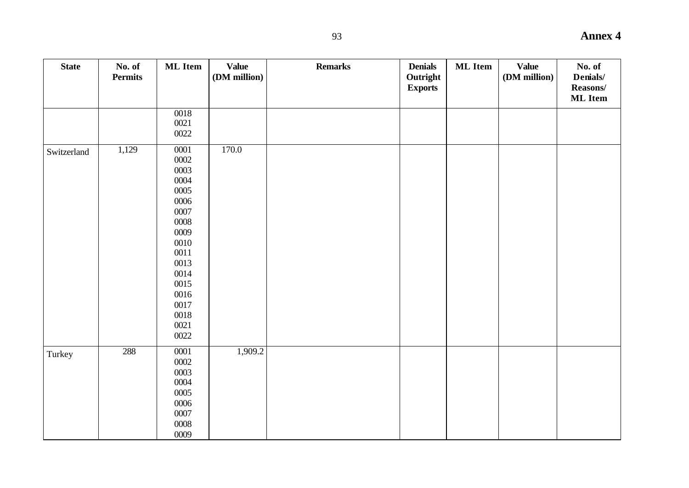| <b>State</b> | No. of<br>Permits | <b>ML</b> Item                                                                                                                                               | <b>Value</b><br>(DM million) | <b>Remarks</b> | <b>Denials</b><br>Outright<br><b>Exports</b> | <b>ML</b> Item | <b>Value</b><br>(DM million) | No. of<br>Denials/<br>Reasons/<br><b>ML</b> Item |
|--------------|-------------------|--------------------------------------------------------------------------------------------------------------------------------------------------------------|------------------------------|----------------|----------------------------------------------|----------------|------------------------------|--------------------------------------------------|
|              |                   | 0018<br>0021<br>$0022\,$                                                                                                                                     |                              |                |                                              |                |                              |                                                  |
| Switzerland  | 1,129             | 0001<br>$0002\,$<br>0003<br>0004<br>0005<br>0006<br>0007<br>0008<br>0009<br>$0010\,$<br>0011<br>0013<br>0014<br>0015<br>0016<br>0017<br>0018<br>0021<br>0022 | 170.0                        |                |                                              |                |                              |                                                  |
| Turkey       | 288               | 0001<br>0002<br>0003<br>0004<br>0005<br>0006<br>0007<br>$0008\,$<br>0009                                                                                     | 1,909.2                      |                |                                              |                |                              |                                                  |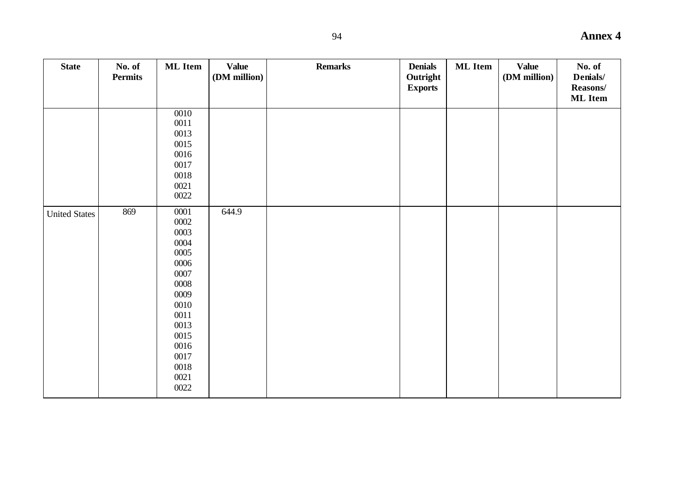| <b>State</b>         | No. of<br><b>Permits</b> | <b>ML</b> Item                                                                                                                               | <b>Value</b><br>(DM million) | <b>Remarks</b> | <b>Denials</b><br>Outright<br><b>Exports</b> | <b>ML</b> Item | <b>Value</b><br>(DM million) | No. of<br>Denials/<br>Reasons/<br><b>ML</b> Item |
|----------------------|--------------------------|----------------------------------------------------------------------------------------------------------------------------------------------|------------------------------|----------------|----------------------------------------------|----------------|------------------------------|--------------------------------------------------|
|                      |                          | 0010<br>0011<br>0013<br>0015<br>0016<br>0017<br>0018<br>0021<br>$0022\,$                                                                     |                              |                |                                              |                |                              |                                                  |
| <b>United States</b> | 869                      | 0001<br>0002<br>0003<br>0004<br>0005<br>0006<br>0007<br>0008<br>0009<br>0010<br>0011<br>0013<br>0015<br>0016<br>0017<br>0018<br>0021<br>0022 | 644.9                        |                |                                              |                |                              |                                                  |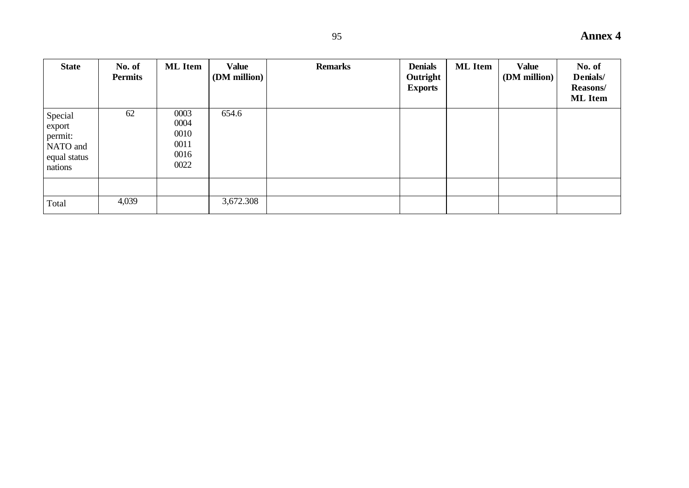| <b>State</b>                                                        | No. of<br><b>Permits</b> | <b>ML</b> Item                               | <b>Value</b><br>(DM million) | <b>Remarks</b> | <b>Denials</b><br>Outright<br><b>Exports</b> | <b>ML</b> Item | <b>Value</b><br>(DM million) | No. of<br>Denials/<br>Reasons/<br><b>ML</b> Item |
|---------------------------------------------------------------------|--------------------------|----------------------------------------------|------------------------------|----------------|----------------------------------------------|----------------|------------------------------|--------------------------------------------------|
| Special<br>export<br>permit:<br>NATO and<br>equal status<br>nations | 62                       | 0003<br>0004<br>0010<br>0011<br>0016<br>0022 | 654.6                        |                |                                              |                |                              |                                                  |
|                                                                     |                          |                                              |                              |                |                                              |                |                              |                                                  |
| Total                                                               | 4,039                    |                                              | 3,672.308                    |                |                                              |                |                              |                                                  |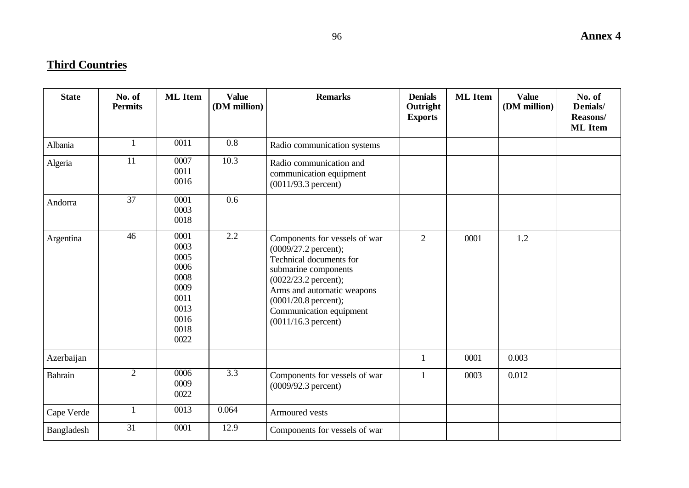## **Third Countries**

| <b>State</b> | No. of<br><b>Permits</b> | <b>ML</b> Item                                                                       | <b>Value</b><br>(DM million) | <b>Remarks</b>                                                                                                                                                                                                                                    | <b>Denials</b><br>Outright<br><b>Exports</b> | <b>ML</b> Item | <b>Value</b><br>(DM million) | No. of<br>Denials/<br>Reasons/<br><b>ML</b> Item |
|--------------|--------------------------|--------------------------------------------------------------------------------------|------------------------------|---------------------------------------------------------------------------------------------------------------------------------------------------------------------------------------------------------------------------------------------------|----------------------------------------------|----------------|------------------------------|--------------------------------------------------|
| Albania      | $\mathbf{1}$             | 0011                                                                                 | 0.8                          | Radio communication systems                                                                                                                                                                                                                       |                                              |                |                              |                                                  |
| Algeria      | 11                       | 0007<br>0011<br>0016                                                                 | 10.3                         | Radio communication and<br>communication equipment<br>$(0011/93.3)$ percent)                                                                                                                                                                      |                                              |                |                              |                                                  |
| Andorra      | 37                       | 0001<br>0003<br>0018                                                                 | 0.6                          |                                                                                                                                                                                                                                                   |                                              |                |                              |                                                  |
| Argentina    | 46                       | 0001<br>0003<br>0005<br>0006<br>0008<br>0009<br>0011<br>0013<br>0016<br>0018<br>0022 | 2.2                          | Components for vessels of war<br>$(0009/27.2$ percent);<br>Technical documents for<br>submarine components<br>$(0022/23.2$ percent);<br>Arms and automatic weapons<br>$(0001/20.8$ percent);<br>Communication equipment<br>$(0011/16.3)$ percent) | $\overline{2}$                               | 0001           | 1.2                          |                                                  |
| Azerbaijan   |                          |                                                                                      |                              |                                                                                                                                                                                                                                                   | $\mathbf{1}$                                 | 0001           | 0.003                        |                                                  |
| Bahrain      | $\overline{2}$           | 0006<br>0009<br>0022                                                                 | $\overline{3.3}$             | Components for vessels of war<br>$(0009/92.3$ percent)                                                                                                                                                                                            | 1                                            | 0003           | 0.012                        |                                                  |
| Cape Verde   | $\mathbf{1}$             | 0013                                                                                 | 0.064                        | Armoured vests                                                                                                                                                                                                                                    |                                              |                |                              |                                                  |
| Bangladesh   | 31                       | 0001                                                                                 | 12.9                         | Components for vessels of war                                                                                                                                                                                                                     |                                              |                |                              |                                                  |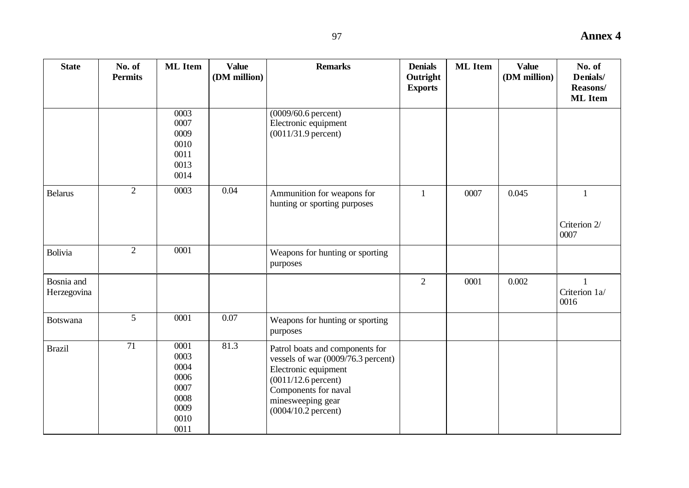| <b>State</b>              | No. of<br><b>Permits</b> | <b>ML</b> Item                                                       | <b>Value</b><br>(DM million) | <b>Remarks</b>                                                                                                                                                                                | <b>Denials</b><br>Outright<br><b>Exports</b> | <b>ML</b> Item | <b>Value</b><br>(DM million) | No. of<br>Denials/<br>Reasons/<br><b>ML</b> Item |
|---------------------------|--------------------------|----------------------------------------------------------------------|------------------------------|-----------------------------------------------------------------------------------------------------------------------------------------------------------------------------------------------|----------------------------------------------|----------------|------------------------------|--------------------------------------------------|
|                           |                          | 0003<br>0007<br>0009<br>0010<br>0011<br>0013<br>0014                 |                              | $(0009/60.6$ percent)<br>Electronic equipment<br>$(0011/31.9)$ percent)                                                                                                                       |                                              |                |                              |                                                  |
| <b>Belarus</b>            | $\overline{2}$           | 0003                                                                 | 0.04                         | Ammunition for weapons for<br>hunting or sporting purposes                                                                                                                                    | $\mathbf{1}$                                 | 0007           | 0.045                        | $\mathbf{1}$<br>Criterion 2/<br>0007             |
| <b>Bolivia</b>            | 2                        | 0001                                                                 |                              | Weapons for hunting or sporting<br>purposes                                                                                                                                                   |                                              |                |                              |                                                  |
| Bosnia and<br>Herzegovina |                          |                                                                      |                              |                                                                                                                                                                                               | 2                                            | 0001           | 0.002                        | $\mathbf{1}$<br>Criterion 1a/<br>0016            |
| Botswana                  | 5                        | 0001                                                                 | 0.07                         | Weapons for hunting or sporting<br>purposes                                                                                                                                                   |                                              |                |                              |                                                  |
| <b>Brazil</b>             | $\overline{71}$          | 0001<br>0003<br>0004<br>0006<br>0007<br>0008<br>0009<br>0010<br>0011 | 81.3                         | Patrol boats and components for<br>vessels of war (0009/76.3 percent)<br>Electronic equipment<br>$(0011/12.6)$ percent)<br>Components for naval<br>minesweeping gear<br>$(0004/10.2$ percent) |                                              |                |                              |                                                  |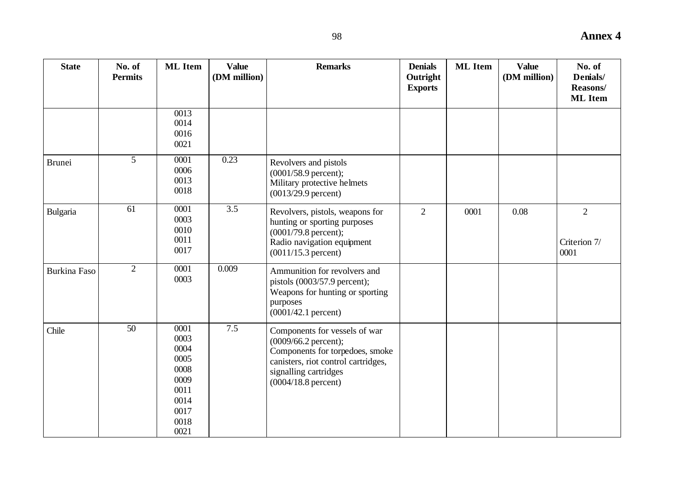| <b>State</b>        | No. of<br><b>Permits</b> | <b>ML</b> Item                                                                       | <b>Value</b><br>(DM million) | <b>Remarks</b>                                                                                                                                                                     | <b>Denials</b><br>Outright<br><b>Exports</b> | <b>ML</b> Item | <b>Value</b><br>(DM million) | No. of<br>Denials/<br>Reasons/<br><b>ML</b> Item |
|---------------------|--------------------------|--------------------------------------------------------------------------------------|------------------------------|------------------------------------------------------------------------------------------------------------------------------------------------------------------------------------|----------------------------------------------|----------------|------------------------------|--------------------------------------------------|
|                     |                          | 0013<br>0014<br>0016<br>0021                                                         |                              |                                                                                                                                                                                    |                                              |                |                              |                                                  |
| <b>Brunei</b>       | 5                        | 0001<br>0006<br>0013<br>0018                                                         | 0.23                         | Revolvers and pistols<br>$(0001/58.9)$ percent);<br>Military protective helmets<br>$(0013/29.9)$ percent)                                                                          |                                              |                |                              |                                                  |
| Bulgaria            | $\overline{61}$          | 0001<br>0003<br>0010<br>0011<br>0017                                                 | $\overline{3.5}$             | Revolvers, pistols, weapons for<br>hunting or sporting purposes<br>$(0001/79.8 \text{ percent});$<br>Radio navigation equipment<br>$(0011/15.3)$ percent)                          | $\overline{2}$                               | 0001           | 0.08                         | $\overline{2}$<br>Criterion 7/<br>0001           |
| <b>Burkina Faso</b> | 2                        | 0001<br>0003                                                                         | 0.009                        | Ammunition for revolvers and<br>pistols $(0003/57.9$ percent);<br>Weapons for hunting or sporting<br>purposes<br>$(0001/42.1)$ percent)                                            |                                              |                |                              |                                                  |
| Chile               | $\overline{50}$          | 0001<br>0003<br>0004<br>0005<br>0008<br>0009<br>0011<br>0014<br>0017<br>0018<br>0021 | 7.5                          | Components for vessels of war<br>(0009/66.2 percent);<br>Components for torpedoes, smoke<br>canisters, riot control cartridges,<br>signalling cartridges<br>$(0004/18.8)$ percent) |                                              |                |                              |                                                  |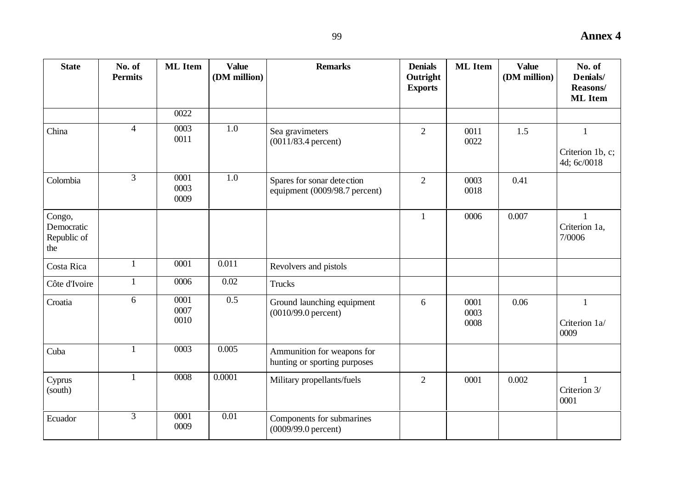| <b>State</b>                               | No. of<br><b>Permits</b> | <b>ML</b> Item       | <b>Value</b><br>(DM million) | <b>Remarks</b>                                              | <b>Denials</b><br>Outright<br><b>Exports</b> | <b>ML</b> Item       | <b>Value</b><br>(DM million) | No. of<br>Denials/<br>Reasons/<br><b>ML</b> Item |
|--------------------------------------------|--------------------------|----------------------|------------------------------|-------------------------------------------------------------|----------------------------------------------|----------------------|------------------------------|--------------------------------------------------|
|                                            |                          | 0022                 |                              |                                                             |                                              |                      |                              |                                                  |
| China                                      | $\overline{4}$           | 0003<br>0011         | 1.0                          | Sea gravimeters<br>$(0011/83.4)$ percent)                   | $\overline{2}$                               | 0011<br>0022         | 1.5                          | $\mathbf{1}$<br>Criterion 1b, c;<br>4d; 6c/0018  |
| Colombia                                   | $\overline{3}$           | 0001<br>0003<br>0009 | 1.0                          | Spares for sonar detection<br>equipment (0009/98.7 percent) | $\overline{2}$                               | 0003<br>0018         | 0.41                         |                                                  |
| Congo,<br>Democratic<br>Republic of<br>the |                          |                      |                              |                                                             | $\mathbf{1}$                                 | 0006                 | 0.007                        | $\mathbf{1}$<br>Criterion 1a,<br>7/0006          |
| Costa Rica                                 | $\mathbf{1}$             | 0001                 | 0.011                        | Revolvers and pistols                                       |                                              |                      |                              |                                                  |
| Côte d'Ivoire                              | $\mathbf{1}$             | 0006                 | $\overline{0.02}$            | <b>Trucks</b>                                               |                                              |                      |                              |                                                  |
| Croatia                                    | 6                        | 0001<br>0007<br>0010 | 0.5                          | Ground launching equipment<br>$(0010/99.0)$ percent)        | 6                                            | 0001<br>0003<br>0008 | 0.06                         | $\mathbf{1}$<br>Criterion 1a/<br>0009            |
| Cuba                                       | $\mathbf{1}$             | 0003                 | 0.005                        | Ammunition for weapons for<br>hunting or sporting purposes  |                                              |                      |                              |                                                  |
| Cyprus<br>(south)                          | $\mathbf{1}$             | 0008                 | 0.0001                       | Military propellants/fuels                                  | $\overline{2}$                               | 0001                 | 0.002                        | $\mathbf{1}$<br>Criterion 3/<br>0001             |
| Ecuador                                    | $\overline{3}$           | 0001<br>0009         | 0.01                         | Components for submarines<br>$(0009/99.0$ percent)          |                                              |                      |                              |                                                  |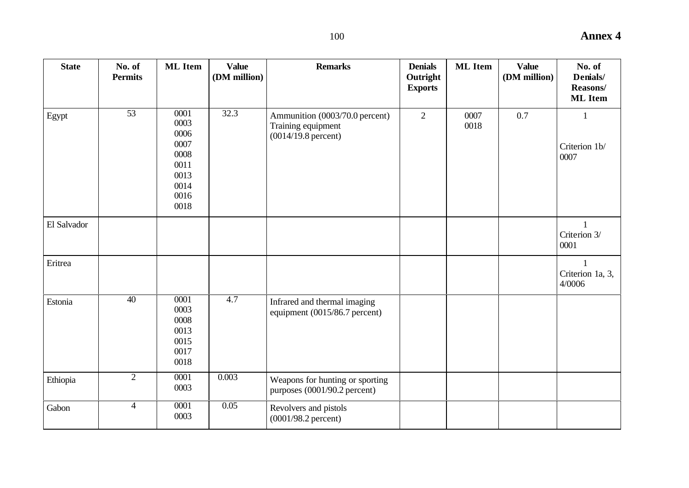| <b>State</b> | No. of<br><b>Permits</b> | <b>ML</b> Item                                                               | <b>Value</b><br>(DM million) | <b>Remarks</b>                                                                 | <b>Denials</b><br>Outright<br><b>Exports</b> | <b>ML</b> Item | <b>Value</b><br>(DM million) | No. of<br>Denials/<br>Reasons/<br><b>ML</b> Item |
|--------------|--------------------------|------------------------------------------------------------------------------|------------------------------|--------------------------------------------------------------------------------|----------------------------------------------|----------------|------------------------------|--------------------------------------------------|
| Egypt        | $\overline{53}$          | 0001<br>0003<br>0006<br>0007<br>0008<br>0011<br>0013<br>0014<br>0016<br>0018 | 32.3                         | Ammunition (0003/70.0 percent)<br>Training equipment<br>$(0014/19.8)$ percent) | $\overline{2}$                               | 0007<br>0018   | 0.7                          | $\mathbf{1}$<br>Criterion 1b/<br>0007            |
| El Salvador  |                          |                                                                              |                              |                                                                                |                                              |                |                              | $\mathbf{1}$<br>Criterion 3/<br>0001             |
| Eritrea      |                          |                                                                              |                              |                                                                                |                                              |                |                              | $\mathbf{1}$<br>Criterion 1a, 3,<br>4/0006       |
| Estonia      | 40                       | 0001<br>0003<br>0008<br>0013<br>0015<br>0017<br>0018                         | 4.7                          | Infrared and thermal imaging<br>equipment (0015/86.7 percent)                  |                                              |                |                              |                                                  |
| Ethiopia     | $\overline{2}$           | 0001<br>0003                                                                 | 0.003                        | Weapons for hunting or sporting<br>purposes (0001/90.2 percent)                |                                              |                |                              |                                                  |
| Gabon        | $\overline{4}$           | 0001<br>0003                                                                 | 0.05                         | Revolvers and pistols<br>$(0001/98.2)$ percent)                                |                                              |                |                              |                                                  |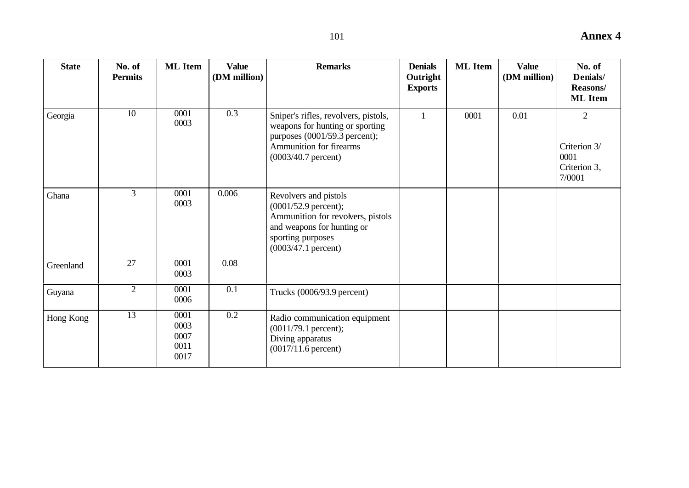| <b>State</b> | No. of<br><b>Permits</b> | <b>ML</b> Item                       | <b>Value</b><br>(DM million) | <b>Remarks</b>                                                                                                                                                     | <b>Denials</b><br>Outright<br><b>Exports</b> | <b>ML</b> Item | <b>Value</b><br>(DM million) | No. of<br>Denials/<br>Reasons/<br><b>ML</b> Item                 |
|--------------|--------------------------|--------------------------------------|------------------------------|--------------------------------------------------------------------------------------------------------------------------------------------------------------------|----------------------------------------------|----------------|------------------------------|------------------------------------------------------------------|
| Georgia      | 10                       | 0001<br>0003                         | 0.3                          | Sniper's rifles, revolvers, pistols,<br>weapons for hunting or sporting<br>purposes $(0001/59.3$ percent);<br>Ammunition for firearms<br>$(0003/40.7)$ percent)    | $\mathbf{1}$                                 | 0001           | 0.01                         | $\overline{2}$<br>Criterion 3/<br>0001<br>Criterion 3,<br>7/0001 |
| Ghana        | 3                        | 0001<br>0003                         | 0.006                        | Revolvers and pistols<br>$(0001/52.9)$ percent);<br>Ammunition for revolvers, pistols<br>and weapons for hunting or<br>sporting purposes<br>$(0003/47.1)$ percent) |                                              |                |                              |                                                                  |
| Greenland    | 27                       | 0001<br>0003                         | 0.08                         |                                                                                                                                                                    |                                              |                |                              |                                                                  |
| Guyana       | $\overline{2}$           | 0001<br>0006                         | 0.1                          | Trucks (0006/93.9 percent)                                                                                                                                         |                                              |                |                              |                                                                  |
| Hong Kong    | 13                       | 0001<br>0003<br>0007<br>0011<br>0017 | 0.2                          | Radio communication equipment<br>$(0011/79.1)$ percent);<br>Diving apparatus<br>$(0017/11.6$ percent)                                                              |                                              |                |                              |                                                                  |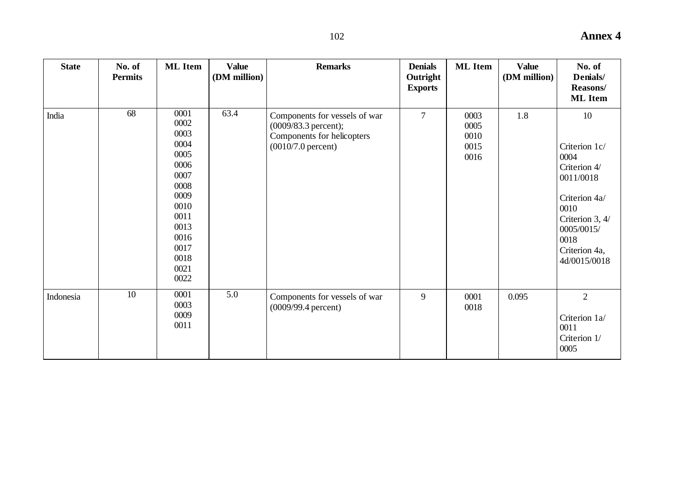| <b>State</b> | No. of<br><b>Permits</b> | <b>ML</b> Item                                                                                                                       | <b>Value</b><br>(DM million) | <b>Remarks</b>                                                                                                 | <b>Denials</b><br>Outright<br><b>Exports</b> | <b>ML</b> Item                       | <b>Value</b><br>(DM million) | No. of<br>Denials/<br>Reasons/<br><b>ML</b> Item                                                                                                            |
|--------------|--------------------------|--------------------------------------------------------------------------------------------------------------------------------------|------------------------------|----------------------------------------------------------------------------------------------------------------|----------------------------------------------|--------------------------------------|------------------------------|-------------------------------------------------------------------------------------------------------------------------------------------------------------|
| India        | 68                       | 0001<br>0002<br>0003<br>0004<br>0005<br>0006<br>0007<br>0008<br>0009<br>0010<br>0011<br>0013<br>0016<br>0017<br>0018<br>0021<br>0022 | 63.4                         | Components for vessels of war<br>$(0009/83.3$ percent);<br>Components for helicopters<br>$(0010/7.0)$ percent) | $\overline{7}$                               | 0003<br>0005<br>0010<br>0015<br>0016 | 1.8                          | 10<br>Criterion 1c/<br>0004<br>Criterion 4/<br>0011/0018<br>Criterion 4a/<br>0010<br>Criterion 3, 4/<br>0005/0015/<br>0018<br>Criterion 4a,<br>4d/0015/0018 |
| Indonesia    | 10                       | 0001<br>0003<br>0009<br>0011                                                                                                         | 5.0                          | Components for vessels of war<br>$(0009/99.4$ percent)                                                         | 9                                            | 0001<br>0018                         | 0.095                        | $\overline{2}$<br>Criterion 1a/<br>0011<br>Criterion 1/<br>0005                                                                                             |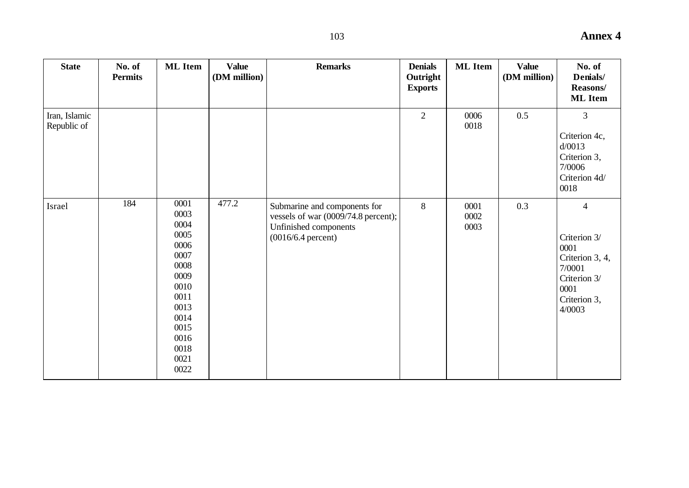| <b>State</b>                 | No. of<br><b>Permits</b> | <b>ML</b> Item                                                                                                                         | <b>Value</b><br>(DM million) | <b>Remarks</b>                                                                                                        | <b>Denials</b><br>Outright<br><b>Exports</b> | <b>ML</b> Item       | <b>Value</b><br>(DM million) | No. of<br>Denials/<br>Reasons/<br><b>ML</b> Item                                                                      |
|------------------------------|--------------------------|----------------------------------------------------------------------------------------------------------------------------------------|------------------------------|-----------------------------------------------------------------------------------------------------------------------|----------------------------------------------|----------------------|------------------------------|-----------------------------------------------------------------------------------------------------------------------|
| Iran, Islamic<br>Republic of |                          |                                                                                                                                        |                              |                                                                                                                       | $\overline{2}$                               | 0006<br>0018         | $0.5\,$                      | $\mathfrak{Z}$<br>Criterion 4c,<br>d/0013<br>Criterion 3,<br>7/0006<br>Criterion 4d/<br>0018                          |
| Israel                       | 184                      | 0001<br>0003<br>0004<br>0005<br>0006<br>$0007$<br>0008<br>0009<br>0010<br>0011<br>0013<br>0014<br>0015<br>0016<br>0018<br>0021<br>0022 | 477.2                        | Submarine and components for<br>vessels of war (0009/74.8 percent);<br>Unfinished components<br>$(0016/6.4)$ percent) | $8\,$                                        | 0001<br>0002<br>0003 | 0.3                          | $\overline{4}$<br>Criterion 3/<br>0001<br>Criterion 3, 4,<br>7/0001<br>Criterion 3/<br>0001<br>Criterion 3,<br>4/0003 |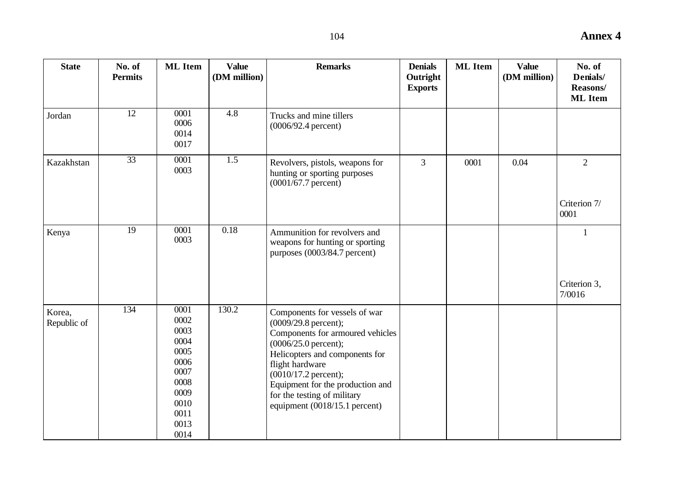| <b>State</b>          | No. of<br><b>Permits</b> | <b>ML</b> Item                                                                                       | <b>Value</b><br>(DM million) | <b>Remarks</b>                                                                                                                                                                                                                                                                                                    | <b>Denials</b><br>Outright<br><b>Exports</b> | <b>ML</b> Item | <b>Value</b><br>(DM million) | No. of<br>Denials/<br>Reasons/<br><b>ML</b> Item |
|-----------------------|--------------------------|------------------------------------------------------------------------------------------------------|------------------------------|-------------------------------------------------------------------------------------------------------------------------------------------------------------------------------------------------------------------------------------------------------------------------------------------------------------------|----------------------------------------------|----------------|------------------------------|--------------------------------------------------|
| Jordan                | $\overline{12}$          | 0001<br>0006<br>0014<br>0017                                                                         | 4.8                          | Trucks and mine tillers<br>$(0006/92.4$ percent)                                                                                                                                                                                                                                                                  |                                              |                |                              |                                                  |
| Kazakhstan            | $\overline{33}$          | 0001<br>0003                                                                                         | 1.5                          | Revolvers, pistols, weapons for<br>hunting or sporting purposes<br>$(0001/67.7)$ percent)                                                                                                                                                                                                                         | $\overline{3}$                               | 0001           | 0.04                         | $\overline{2}$<br>Criterion 7/<br>0001           |
| Kenya                 | $\overline{19}$          | 0001<br>0003                                                                                         | $\overline{0.18}$            | Ammunition for revolvers and<br>weapons for hunting or sporting<br>purposes (0003/84.7 percent)                                                                                                                                                                                                                   |                                              |                |                              | $\mathbf{1}$<br>Criterion 3,<br>7/0016           |
| Korea,<br>Republic of | 134                      | 0001<br>0002<br>0003<br>0004<br>0005<br>0006<br>0007<br>0008<br>0009<br>0010<br>0011<br>0013<br>0014 | 130.2                        | Components for vessels of war<br>$(0009/29.8 \text{ percent});$<br>Components for armoured vehicles<br>$(0006/25.0)$ percent);<br>Helicopters and components for<br>flight hardware<br>$(0010/17.2$ percent);<br>Equipment for the production and<br>for the testing of military<br>equipment (0018/15.1 percent) |                                              |                |                              |                                                  |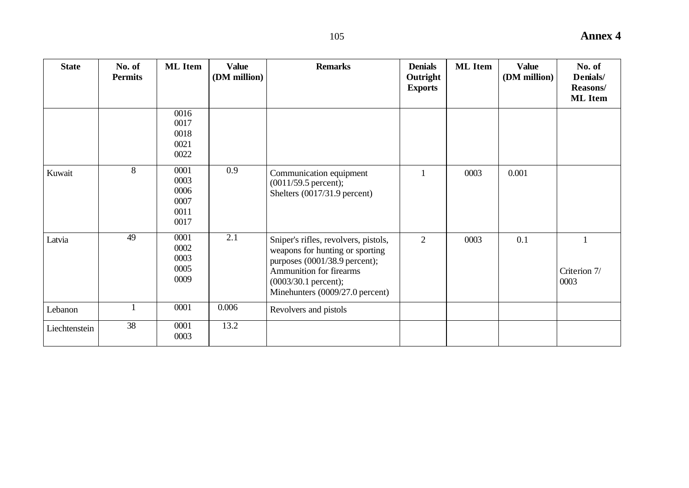| <b>State</b>  | No. of<br><b>Permits</b> | <b>ML</b> Item                               | <b>Value</b><br>(DM million) | <b>Remarks</b>                                                                                                                                                                                           | <b>Denials</b><br>Outright<br><b>Exports</b> | <b>ML</b> Item | <b>Value</b><br>(DM million) | No. of<br>Denials/<br>Reasons/<br><b>ML</b> Item |
|---------------|--------------------------|----------------------------------------------|------------------------------|----------------------------------------------------------------------------------------------------------------------------------------------------------------------------------------------------------|----------------------------------------------|----------------|------------------------------|--------------------------------------------------|
|               |                          | 0016<br>0017<br>0018<br>0021<br>0022         |                              |                                                                                                                                                                                                          |                                              |                |                              |                                                  |
| Kuwait        | 8                        | 0001<br>0003<br>0006<br>0007<br>0011<br>0017 | 0.9                          | Communication equipment<br>$(0011/59.5$ percent);<br>Shelters (0017/31.9 percent)                                                                                                                        |                                              | 0003           | 0.001                        |                                                  |
| Latvia        | 49                       | 0001<br>0002<br>0003<br>0005<br>0009         | 2.1                          | Sniper's rifles, revolvers, pistols,<br>weapons for hunting or sporting<br>purposes (0001/38.9 percent);<br><b>Ammunition for firearms</b><br>$(0003/30.1)$ percent);<br>Minehunters (0009/27.0 percent) | $\overline{2}$                               | 0003           | 0.1                          | $\mathbf{1}$<br>Criterion 7/<br>0003             |
| Lebanon       | 1                        | 0001                                         | 0.006                        | Revolvers and pistols                                                                                                                                                                                    |                                              |                |                              |                                                  |
| Liechtenstein | 38                       | 0001<br>0003                                 | 13.2                         |                                                                                                                                                                                                          |                                              |                |                              |                                                  |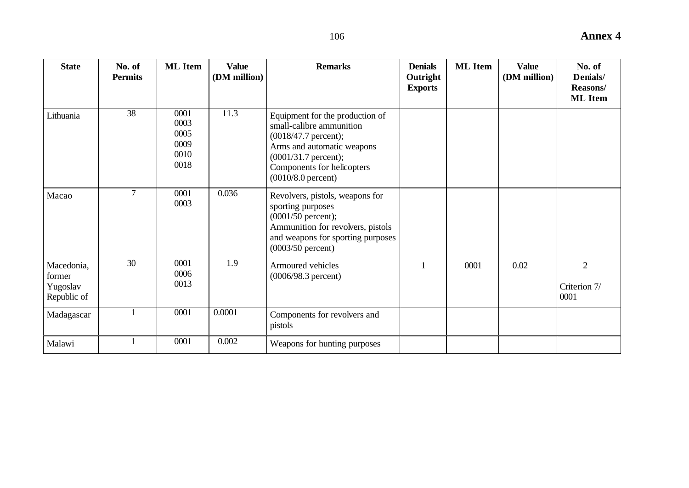| <b>State</b>                                    | No. of<br><b>Permits</b> | <b>ML</b> Item                               | <b>Value</b><br>(DM million) | <b>Remarks</b>                                                                                                                                                                                               | <b>Denials</b><br>Outright<br><b>Exports</b> | <b>ML</b> Item | <b>Value</b><br>(DM million) | No. of<br>Denials/<br><b>Reasons/</b><br><b>ML</b> Item |
|-------------------------------------------------|--------------------------|----------------------------------------------|------------------------------|--------------------------------------------------------------------------------------------------------------------------------------------------------------------------------------------------------------|----------------------------------------------|----------------|------------------------------|---------------------------------------------------------|
| Lithuania                                       | $\overline{38}$          | 0001<br>0003<br>0005<br>0009<br>0010<br>0018 | 11.3                         | Equipment for the production of<br>small-calibre ammunition<br>$(0018/47.7 \text{ percent});$<br>Arms and automatic weapons<br>$(0001/31.7)$ percent);<br>Components for helicopters<br>$(0010/8.0$ percent) |                                              |                |                              |                                                         |
| Macao                                           | $\overline{7}$           | 0001<br>0003                                 | 0.036                        | Revolvers, pistols, weapons for<br>sporting purposes<br>$(0001/50$ percent);<br>Ammunition for revolvers, pistols<br>and weapons for sporting purposes<br>$(0003/50$ percent)                                |                                              |                |                              |                                                         |
| Macedonia,<br>former<br>Yugoslav<br>Republic of | 30                       | 0001<br>0006<br>0013                         | 1.9                          | Armoured vehicles<br>$(0006/98.3)$ percent)                                                                                                                                                                  |                                              | 0001           | 0.02                         | 2<br>Criterion 7/<br>0001                               |
| Madagascar                                      |                          | 0001                                         | 0.0001                       | Components for revolvers and<br>pistols                                                                                                                                                                      |                                              |                |                              |                                                         |
| Malawi                                          | 1                        | 0001                                         | 0.002                        | Weapons for hunting purposes                                                                                                                                                                                 |                                              |                |                              |                                                         |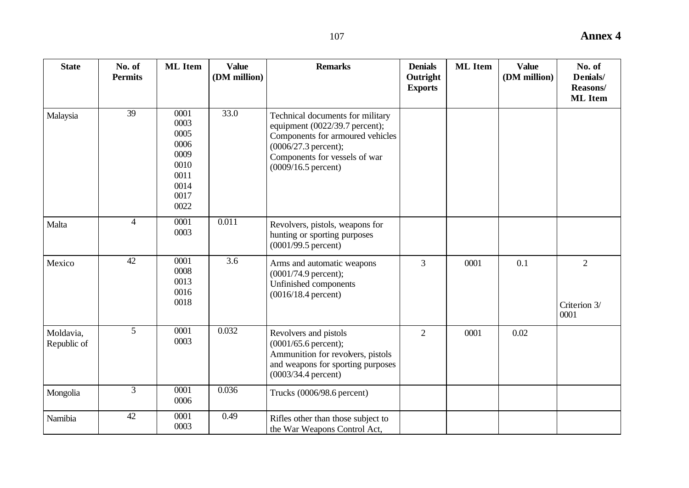| <b>State</b> | No. of<br><b>Permits</b> | <b>ML</b> Item                                                               | <b>Value</b><br>(DM million) | <b>Remarks</b>                                                                                                                                                                                      | <b>Denials</b><br>Outright<br><b>Exports</b> | <b>ML</b> Item | <b>Value</b><br>(DM million) | No. of<br>Denials/<br>Reasons/<br><b>ML</b> Item |
|--------------|--------------------------|------------------------------------------------------------------------------|------------------------------|-----------------------------------------------------------------------------------------------------------------------------------------------------------------------------------------------------|----------------------------------------------|----------------|------------------------------|--------------------------------------------------|
| laysia       | 39                       | 0001<br>0003<br>0005<br>0006<br>0009<br>0010<br>0011<br>0014<br>0017<br>0022 | 33.0                         | Technical documents for military<br>equipment (0022/39.7 percent);<br>Components for armoured vehicles<br>$(0006/27.3 \text{ percent});$<br>Components for vessels of war<br>$(0009/16.5)$ percent) |                                              |                |                              |                                                  |
| lta          | $\overline{4}$           | 0001<br>0003                                                                 | 0.011                        | Revolvers, pistols, weapons for<br>hunting or sporting purposes<br>$(0001/99.5)$ percent)                                                                                                           |                                              |                |                              |                                                  |
| xico         | 42                       | 0001<br>0008<br>0013<br>0016<br>0018                                         | 3.6                          | Arms and automatic weapons<br>$(0001/74.9$ percent);<br>Unfinished components<br>$(0016/18.4)$ percent)                                                                                             | $\overline{3}$                               | 0001           | 0.1                          | $\overline{2}$<br>Criterion 3/<br>0001           |

|                          |    | 0016<br>0018 |       | $\epsilon$ components<br>$(0016/18.4)$ percent)                                                                                                     |      |      | Criterion 3/<br>0001 |
|--------------------------|----|--------------|-------|-----------------------------------------------------------------------------------------------------------------------------------------------------|------|------|----------------------|
| Moldavia,<br>Republic of |    | 0001<br>0003 | 0.032 | Revolvers and pistols<br>$(0001/65.6$ percent);<br>Ammunition for revolvers, pistols<br>and weapons for sporting purposes<br>$(0003/34.4)$ percent) | 0001 | 0.02 |                      |
| Mongolia                 |    | 0001<br>0006 | 0.036 | Trucks (0006/98.6 percent)                                                                                                                          |      |      |                      |
| Namibia                  | 42 | 0001<br>0003 | 0.49  | Rifles other than those subject to<br>the War Weapons Control Act,                                                                                  |      |      |                      |

Malaysia

Malta

Mexico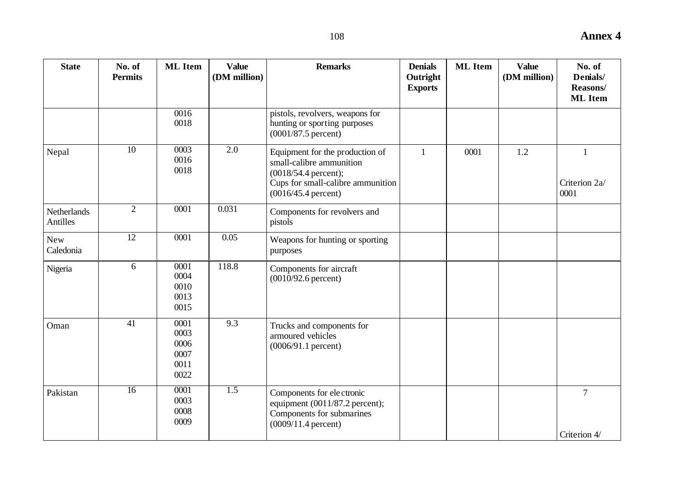| <b>State</b>            | No. of<br><b>Permits</b> | <b>ML</b> Item                               | <b>Value</b><br>(DM million) | <b>Remarks</b>                                                                                                                                     | <b>Denials</b><br>Outright<br><b>Exports</b> | <b>ML</b> Item | <b>Value</b><br>(DM million) | No. of<br>Denials/<br>Reasons/<br><b>ML</b> Item |
|-------------------------|--------------------------|----------------------------------------------|------------------------------|----------------------------------------------------------------------------------------------------------------------------------------------------|----------------------------------------------|----------------|------------------------------|--------------------------------------------------|
|                         |                          | 0016<br>0018                                 |                              | pistols, revolvers, weapons for<br>hunting or sporting purposes<br>$(0001/87.5)$ percent)                                                          |                                              |                |                              |                                                  |
| Nepal                   | 10                       | 0003<br>0016<br>0018                         | 2.0                          | Equipment for the production of<br>small-calibre ammunition<br>(0018/54.4 percent);<br>Cups for small-calibre ammunition<br>$(0016/45.4)$ percent) | 1                                            | 0001           | 1.2                          | $\mathbf{1}$<br>Criterion 2a/<br>0001            |
| Netherlands<br>Antilles | $\overline{2}$           | 0001                                         | 0.031                        | Components for revolvers and<br>pistols                                                                                                            |                                              |                |                              |                                                  |
| New<br>Caledonia        | 12                       | 0001                                         | 0.05                         | Weapons for hunting or sporting<br>purposes                                                                                                        |                                              |                |                              |                                                  |
| Nigeria                 | 6                        | 0001<br>0004<br>0010<br>0013<br>0015         | 118.8                        | Components for aircraft<br>$(0010/92.6$ percent)                                                                                                   |                                              |                |                              |                                                  |
| Oman                    | 41                       | 0001<br>0003<br>0006<br>0007<br>0011<br>0022 | 9.3                          | Trucks and components for<br>armoured vehicles<br>$(0006/91.1)$ percent)                                                                           |                                              |                |                              |                                                  |
| Pakistan                | $\overline{16}$          | 0001<br>0003<br>0008<br>0009                 | 1.5                          | Components for electronic<br>equipment (0011/87.2 percent);<br>Components for submarines<br>$(0009/11.4$ percent)                                  |                                              |                |                              | $\tau$<br>Criterion 4/                           |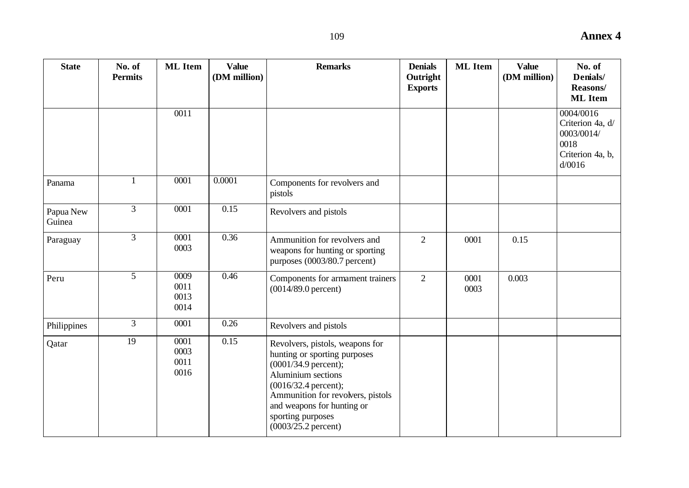| <b>State</b>        | No. of<br><b>Permits</b> | <b>ML</b> Item               | <b>Value</b><br>(DM million) | <b>Remarks</b>                                                                                                                                                                                                                                               | <b>Denials</b><br>Outright<br><b>Exports</b> | <b>ML</b> Item | <b>Value</b><br>(DM million) | No. of<br>Denials/<br>Reasons/<br><b>ML</b> Item                                  |
|---------------------|--------------------------|------------------------------|------------------------------|--------------------------------------------------------------------------------------------------------------------------------------------------------------------------------------------------------------------------------------------------------------|----------------------------------------------|----------------|------------------------------|-----------------------------------------------------------------------------------|
|                     |                          | 0011                         |                              |                                                                                                                                                                                                                                                              |                                              |                |                              | 0004/0016<br>Criterion 4a, d/<br>0003/0014/<br>0018<br>Criterion 4a, b,<br>d/0016 |
| Panama              | $\mathbf{1}$             | 0001                         | 0.0001                       | Components for revolvers and<br>pistols                                                                                                                                                                                                                      |                                              |                |                              |                                                                                   |
| Papua New<br>Guinea | $\overline{3}$           | 0001                         | 0.15                         | Revolvers and pistols                                                                                                                                                                                                                                        |                                              |                |                              |                                                                                   |
| Paraguay            | $\overline{3}$           | 0001<br>0003                 | 0.36                         | Ammunition for revolvers and<br>weapons for hunting or sporting<br>purposes (0003/80.7 percent)                                                                                                                                                              | $\overline{2}$                               | 0001           | 0.15                         |                                                                                   |
| Peru                | $\overline{5}$           | 0009<br>0011<br>0013<br>0014 | 0.46                         | Components for armament trainers<br>$(0014/89.0)$ percent)                                                                                                                                                                                                   | $\overline{2}$                               | 0001<br>0003   | 0.003                        |                                                                                   |
| Philippines         | $\overline{3}$           | 0001                         | 0.26                         | Revolvers and pistols                                                                                                                                                                                                                                        |                                              |                |                              |                                                                                   |
| Qatar               | $\overline{19}$          | 0001<br>0003<br>0011<br>0016 | 0.15                         | Revolvers, pistols, weapons for<br>hunting or sporting purposes<br>$(0001/34.9)$ percent);<br>Aluminium sections<br>$(0016/32.4$ percent);<br>Ammunition for revolvers, pistols<br>and weapons for hunting or<br>sporting purposes<br>$(0003/25.2)$ percent) |                                              |                |                              |                                                                                   |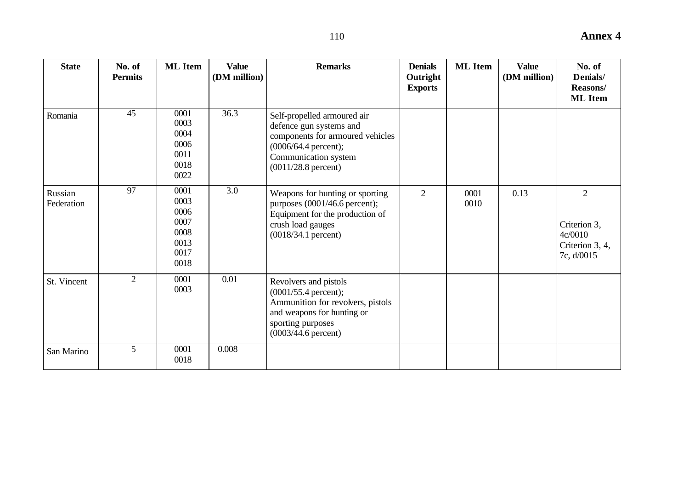| <b>State</b>          | No. of<br><b>Permits</b> | <b>ML</b> Item                                               | <b>Value</b><br>(DM million) | <b>Remarks</b>                                                                                                                                                         | <b>Denials</b><br>Outright<br><b>Exports</b> | <b>ML</b> Item | <b>Value</b><br>(DM million) | No. of<br>Denials/<br>Reasons/<br><b>ML</b> Item                           |
|-----------------------|--------------------------|--------------------------------------------------------------|------------------------------|------------------------------------------------------------------------------------------------------------------------------------------------------------------------|----------------------------------------------|----------------|------------------------------|----------------------------------------------------------------------------|
| Romania               | 45                       | 0001<br>0003<br>0004<br>0006<br>0011<br>0018<br>0022         | 36.3                         | Self-propelled armoured air<br>defence gun systems and<br>components for armoured vehicles<br>$(0006/64.4$ percent);<br>Communication system<br>$(0011/28.8)$ percent) |                                              |                |                              |                                                                            |
| Russian<br>Federation | 97                       | 0001<br>0003<br>0006<br>0007<br>0008<br>0013<br>0017<br>0018 | 3.0                          | Weapons for hunting or sporting<br>purposes (0001/46.6 percent);<br>Equipment for the production of<br>crush load gauges<br>$(0018/34.1)$ percent)                     | $\overline{2}$                               | 0001<br>0010   | 0.13                         | $\overline{2}$<br>Criterion 3,<br>4c/0010<br>Criterion 3, 4,<br>7c, d/0015 |
| St. Vincent           | $\overline{2}$           | 0001<br>0003                                                 | 0.01                         | Revolvers and pistols<br>$(0001/55.4$ percent);<br>Ammunition for revolvers, pistols<br>and weapons for hunting or<br>sporting purposes<br>$(0003/44.6)$ percent)      |                                              |                |                              |                                                                            |
| San Marino            | 5                        | 0001<br>0018                                                 | 0.008                        |                                                                                                                                                                        |                                              |                |                              |                                                                            |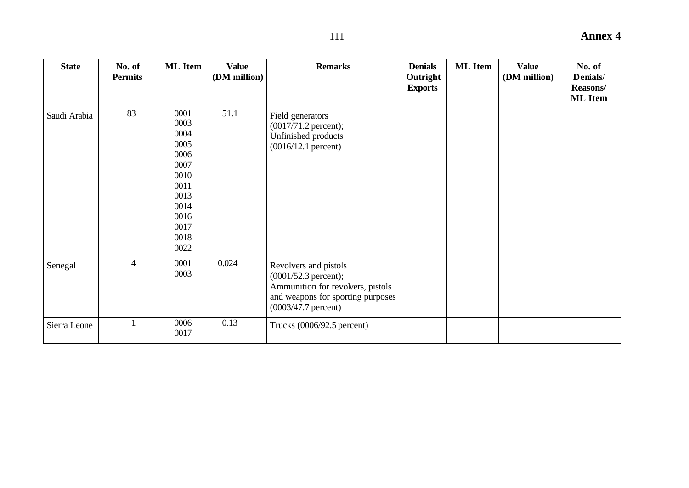| <b>State</b> | No. of<br><b>Permits</b> | <b>ML</b> Item                                                                                               | <b>Value</b><br>(DM million) | <b>Remarks</b>                                                                                                                                      | <b>Denials</b><br>Outright<br><b>Exports</b> | <b>ML</b> Item | <b>Value</b><br>(DM million) | No. of<br>Denials/<br>Reasons/<br><b>ML</b> Item |
|--------------|--------------------------|--------------------------------------------------------------------------------------------------------------|------------------------------|-----------------------------------------------------------------------------------------------------------------------------------------------------|----------------------------------------------|----------------|------------------------------|--------------------------------------------------|
| Saudi Arabia | 83                       | 0001<br>0003<br>0004<br>0005<br>0006<br>0007<br>0010<br>0011<br>0013<br>0014<br>0016<br>0017<br>0018<br>0022 | 51.1                         | Field generators<br>$(0017/71.2$ percent);<br>Unfinished products<br>$(0016/12.1)$ percent)                                                         |                                              |                |                              |                                                  |
| Senegal      | $\overline{4}$           | 0001<br>0003                                                                                                 | 0.024                        | Revolvers and pistols<br>$(0001/52.3$ percent);<br>Ammunition for revolvers, pistols<br>and weapons for sporting purposes<br>$(0003/47.7)$ percent) |                                              |                |                              |                                                  |
| Sierra Leone | $\mathbf{1}$             | 0006<br>0017                                                                                                 | 0.13                         | Trucks (0006/92.5 percent)                                                                                                                          |                                              |                |                              |                                                  |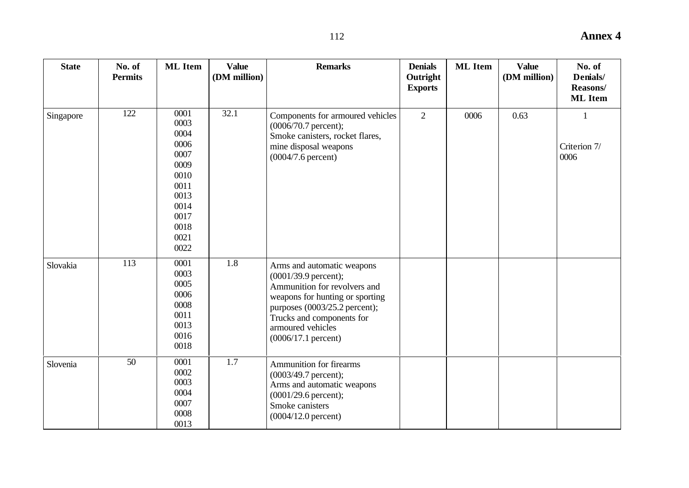| <b>State</b> | No. of<br><b>Permits</b> | <b>ML</b> Item                                                                                               | <b>Value</b><br>(DM million) | <b>Remarks</b>                                                                                                                                                                                                                          | <b>Denials</b><br>Outright<br><b>Exports</b> | <b>ML</b> Item | <b>Value</b><br>(DM million) | No. of<br>Denials/<br>Reasons/<br><b>ML</b> Item |
|--------------|--------------------------|--------------------------------------------------------------------------------------------------------------|------------------------------|-----------------------------------------------------------------------------------------------------------------------------------------------------------------------------------------------------------------------------------------|----------------------------------------------|----------------|------------------------------|--------------------------------------------------|
| Singapore    | 122                      | 0001<br>0003<br>0004<br>0006<br>0007<br>0009<br>0010<br>0011<br>0013<br>0014<br>0017<br>0018<br>0021<br>0022 | 32.1                         | Components for armoured vehicles<br>$(0006/70.7)$ percent);<br>Smoke canisters, rocket flares,<br>mine disposal weapons<br>$(0004/7.6$ percent)                                                                                         | $\overline{2}$                               | 0006           | 0.63                         | $\mathbf{1}$<br>Criterion 7/<br>0006             |
| Slovakia     | $\overline{113}$         | 0001<br>0003<br>0005<br>0006<br>0008<br>0011<br>0013<br>0016<br>0018                                         | $\overline{1.8}$             | Arms and automatic weapons<br>$(0001/39.9)$ percent);<br>Ammunition for revolvers and<br>weapons for hunting or sporting<br>purposes $(0003/25.2$ percent);<br>Trucks and components for<br>armoured vehicles<br>$(0006/17.1)$ percent) |                                              |                |                              |                                                  |
| Slovenia     | 50                       | 0001<br>0002<br>0003<br>0004<br>0007<br>0008<br>0013                                                         | 1.7                          | Ammunition for firearms<br>$(0003/49.7)$ percent);<br>Arms and automatic weapons<br>$(0001/29.6 \text{ percent});$<br>Smoke canisters<br>$(0004/12.0$ percent)                                                                          |                                              |                |                              |                                                  |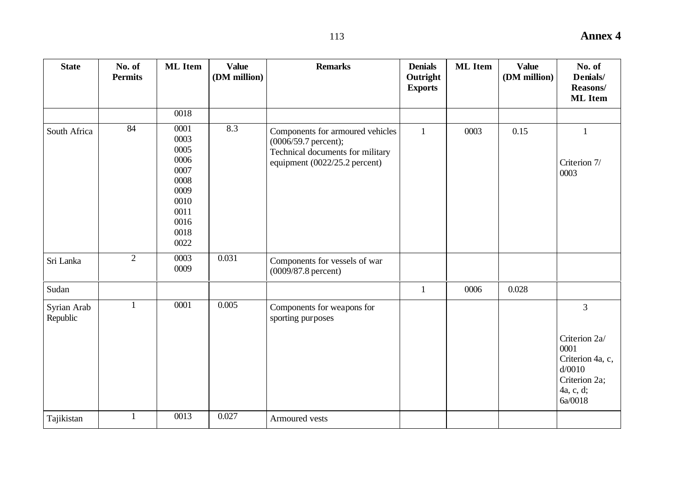| <b>State</b>            | No. of<br><b>Permits</b> | <b>ML</b> Item                                                                               | <b>Value</b><br>(DM million) | <b>Remarks</b>                                                                                                                   | <b>Denials</b><br>Outright<br><b>Exports</b> | <b>ML</b> Item | <b>Value</b><br>(DM million) | No. of<br>Denials/<br>Reasons/<br><b>ML</b> Item                                                               |
|-------------------------|--------------------------|----------------------------------------------------------------------------------------------|------------------------------|----------------------------------------------------------------------------------------------------------------------------------|----------------------------------------------|----------------|------------------------------|----------------------------------------------------------------------------------------------------------------|
|                         |                          | 0018                                                                                         |                              |                                                                                                                                  |                                              |                |                              |                                                                                                                |
| South Africa            | 84                       | 0001<br>0003<br>0005<br>0006<br>0007<br>0008<br>0009<br>0010<br>0011<br>0016<br>0018<br>0022 | 8.3                          | Components for armoured vehicles<br>$(0006/59.7)$ percent);<br>Technical documents for military<br>equipment (0022/25.2 percent) | $\mathbf{1}$                                 | 0003           | 0.15                         | $\mathbf{1}$<br>Criterion 7/<br>0003                                                                           |
| Sri Lanka               | $\overline{2}$           | 0003<br>0009                                                                                 | 0.031                        | Components for vessels of war<br>$(0009/87.8)$ percent)                                                                          |                                              |                |                              |                                                                                                                |
| Sudan                   |                          |                                                                                              |                              |                                                                                                                                  | $\mathbf{1}$                                 | 0006           | 0.028                        |                                                                                                                |
| Syrian Arab<br>Republic | 1                        | 0001                                                                                         | 0.005                        | Components for weapons for<br>sporting purposes                                                                                  |                                              |                |                              | $\overline{3}$<br>Criterion 2a/<br>0001<br>Criterion 4a, c,<br>d/0010<br>Criterion 2a;<br>4a, c, d;<br>6a/0018 |
| Tajikistan              | $\mathbf{1}$             | 0013                                                                                         | 0.027                        | Armoured vests                                                                                                                   |                                              |                |                              |                                                                                                                |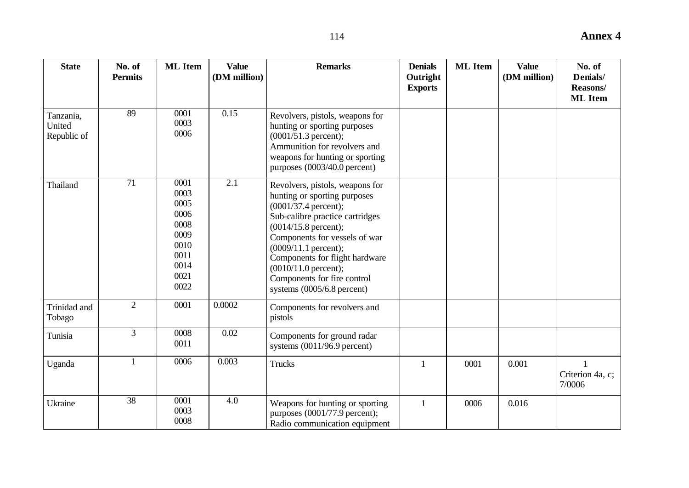| <b>State</b>                       | No. of<br><b>Permits</b> | <b>ML</b> Item                                                                       | <b>Value</b><br>(DM million) | <b>Remarks</b>                                                                                                                                                                                                                                                                                                                                        | <b>Denials</b><br>Outright<br><b>Exports</b> | <b>ML</b> Item | <b>Value</b><br>(DM million) | No. of<br>Denials/<br>Reasons/<br><b>ML</b> Item |
|------------------------------------|--------------------------|--------------------------------------------------------------------------------------|------------------------------|-------------------------------------------------------------------------------------------------------------------------------------------------------------------------------------------------------------------------------------------------------------------------------------------------------------------------------------------------------|----------------------------------------------|----------------|------------------------------|--------------------------------------------------|
| Tanzania,<br>United<br>Republic of | 89                       | 0001<br>0003<br>0006                                                                 | 0.15                         | Revolvers, pistols, weapons for<br>hunting or sporting purposes<br>$(0001/51.3$ percent);<br>Ammunition for revolvers and<br>weapons for hunting or sporting<br>purposes $(0003/40.0$ percent)                                                                                                                                                        |                                              |                |                              |                                                  |
| Thailand                           | 71                       | 0001<br>0003<br>0005<br>0006<br>0008<br>0009<br>0010<br>0011<br>0014<br>0021<br>0022 | 2.1                          | Revolvers, pistols, weapons for<br>hunting or sporting purposes<br>$(0001/37.4$ percent);<br>Sub-calibre practice cartridges<br>$(0014/15.8 \text{ percent});$<br>Components for vessels of war<br>$(0009/11.1)$ percent);<br>Components for flight hardware<br>$(0010/11.0$ percent);<br>Components for fire control<br>systems $(0005/6.8$ percent) |                                              |                |                              |                                                  |
| Trinidad and<br>Tobago             | $\overline{2}$           | 0001                                                                                 | 0.0002                       | Components for revolvers and<br>pistols                                                                                                                                                                                                                                                                                                               |                                              |                |                              |                                                  |
| Tunisia                            | $\overline{3}$           | 0008<br>0011                                                                         | 0.02                         | Components for ground radar<br>systems $(0011/96.9$ percent)                                                                                                                                                                                                                                                                                          |                                              |                |                              |                                                  |
| Uganda                             | $\mathbf{1}$             | 0006                                                                                 | 0.003                        | <b>Trucks</b>                                                                                                                                                                                                                                                                                                                                         | $\mathbf{1}$                                 | 0001           | 0.001                        | $\mathbf{1}$<br>Criterion 4a, c;<br>7/0006       |
| Ukraine                            | 38                       | 0001<br>0003<br>0008                                                                 | 4.0                          | Weapons for hunting or sporting<br>purposes (0001/77.9 percent);<br>Radio communication equipment                                                                                                                                                                                                                                                     | $\mathbf{1}$                                 | 0006           | 0.016                        |                                                  |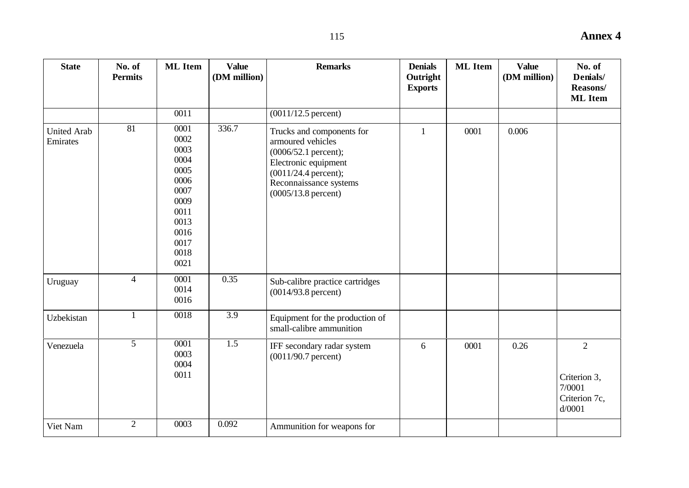| <b>State</b>                   | No. of<br><b>Permits</b> | <b>ML</b> Item                                                                                               | <b>Value</b><br>(DM million) | <b>Remarks</b>                                                                                                                                                                  | <b>Denials</b><br>Outright<br><b>Exports</b> | <b>ML</b> Item | <b>Value</b><br>(DM million) | No. of<br>Denials/<br>Reasons/<br><b>ML</b> Item                  |
|--------------------------------|--------------------------|--------------------------------------------------------------------------------------------------------------|------------------------------|---------------------------------------------------------------------------------------------------------------------------------------------------------------------------------|----------------------------------------------|----------------|------------------------------|-------------------------------------------------------------------|
|                                |                          | 0011                                                                                                         |                              | $(0011/12.5)$ percent)                                                                                                                                                          |                                              |                |                              |                                                                   |
| <b>United Arab</b><br>Emirates | $\overline{81}$          | 0001<br>0002<br>0003<br>0004<br>0005<br>0006<br>0007<br>0009<br>0011<br>0013<br>0016<br>0017<br>0018<br>0021 | 336.7                        | Trucks and components for<br>armoured vehicles<br>$(0006/52.1)$ percent);<br>Electronic equipment<br>$(0011/24.4$ percent);<br>Reconnaissance systems<br>$(0005/13.8)$ percent) | $\mathbf{1}$                                 | 0001           | 0.006                        |                                                                   |
| Uruguay                        | $\overline{4}$           | 0001<br>0014<br>0016                                                                                         | 0.35                         | Sub-calibre practice cartridges<br>$(0014/93.8)$ percent)                                                                                                                       |                                              |                |                              |                                                                   |
| Uzbekistan                     | $\mathbf{1}$             | 0018                                                                                                         | $\overline{3.9}$             | Equipment for the production of<br>small-calibre ammunition                                                                                                                     |                                              |                |                              |                                                                   |
| Venezuela                      | $\overline{5}$           | 0001<br>0003<br>0004<br>0011                                                                                 | 1.5                          | IFF secondary radar system<br>$(0011/90.7)$ percent)                                                                                                                            | 6                                            | 0001           | 0.26                         | $\mathbf{2}$<br>Criterion 3,<br>7/0001<br>Criterion 7c,<br>d/0001 |
| Viet Nam                       | $\overline{2}$           | 0003                                                                                                         | 0.092                        | Ammunition for weapons for                                                                                                                                                      |                                              |                |                              |                                                                   |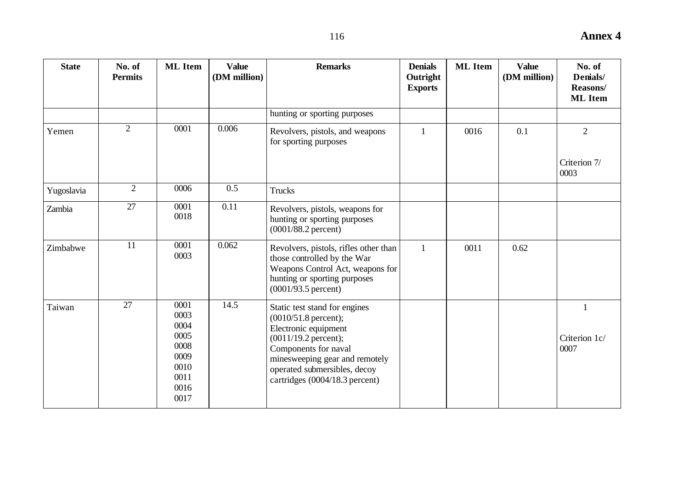| <b>State</b> | No. of<br><b>Permits</b> | <b>ML</b> Item                                                               | <b>Value</b><br>(DM million) | <b>Remarks</b>                                                                                                                                                                                                                         | <b>Denials</b><br>Outright<br><b>Exports</b> | <b>ML</b> Item | <b>Value</b><br>(DM million) | No. of<br>Denials/<br>Reasons/<br><b>ML</b> Item |
|--------------|--------------------------|------------------------------------------------------------------------------|------------------------------|----------------------------------------------------------------------------------------------------------------------------------------------------------------------------------------------------------------------------------------|----------------------------------------------|----------------|------------------------------|--------------------------------------------------|
|              |                          |                                                                              |                              | hunting or sporting purposes                                                                                                                                                                                                           |                                              |                |                              |                                                  |
| Yemen        | $\overline{2}$           | 0001                                                                         | 0.006                        | Revolvers, pistols, and weapons<br>for sporting purposes                                                                                                                                                                               | 1                                            | 0016           | 0.1                          | 2<br>Criterion 7/                                |
|              |                          |                                                                              |                              |                                                                                                                                                                                                                                        |                                              |                |                              | 0003                                             |
| Yugoslavia   | $\overline{2}$           | 0006                                                                         | 0.5                          | <b>Trucks</b>                                                                                                                                                                                                                          |                                              |                |                              |                                                  |
| Zambia       | 27                       | 0001<br>0018                                                                 | 0.11                         | Revolvers, pistols, weapons for<br>hunting or sporting purposes<br>$(0001/88.2)$ percent)                                                                                                                                              |                                              |                |                              |                                                  |
| Zimbabwe     | 11                       | 0001<br>0003                                                                 | 0.062                        | Revolvers, pistols, rifles other than<br>those controlled by the War<br>Weapons Control Act, weapons for<br>hunting or sporting purposes<br>$(0001/93.5)$ percent)                                                                     | 1                                            | 0011           | 0.62                         |                                                  |
| Taiwan       | $\overline{27}$          | 0001<br>0003<br>0004<br>0005<br>0008<br>0009<br>0010<br>0011<br>0016<br>0017 | 14.5                         | Static test stand for engines<br>$(0010/51.8$ percent);<br>Electronic equipment<br>$(0011/19.2)$ percent);<br>Components for naval<br>minesweeping gear and remotely<br>operated submersibles, decoy<br>cartridges (0004/18.3 percent) |                                              |                |                              | $\mathbf{1}$<br>Criterion 1c/<br>0007            |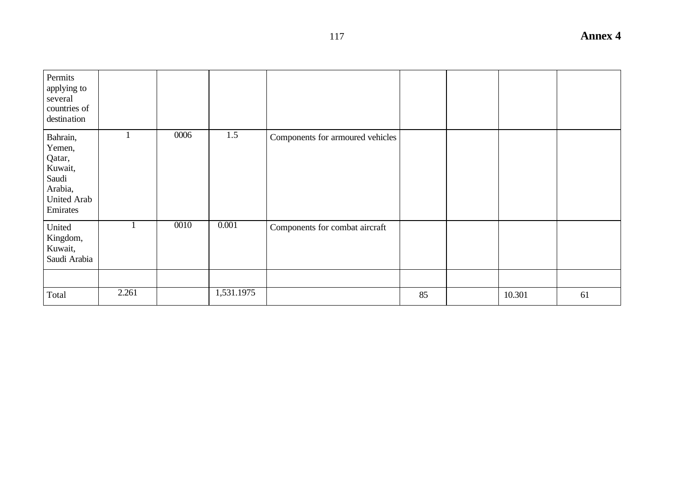| Permits<br>applying to<br>several<br>countries of<br>destination                       |     |      |       |                                  |  |  |
|----------------------------------------------------------------------------------------|-----|------|-------|----------------------------------|--|--|
| Bahrain,<br>Yemen,<br>Qatar,<br>Kuwait,<br>Saudi<br>Arabia,<br>United Arab<br>Emirates | - 1 | 0006 | 1.5   | Components for armoured vehicles |  |  |
| United<br>Kingdom,<br>Kuwait,<br>Saudi Arabia                                          |     | 0010 | 0.001 | Components for combat aircraft   |  |  |

Total 2.261 1,531.1975 85 10.301 61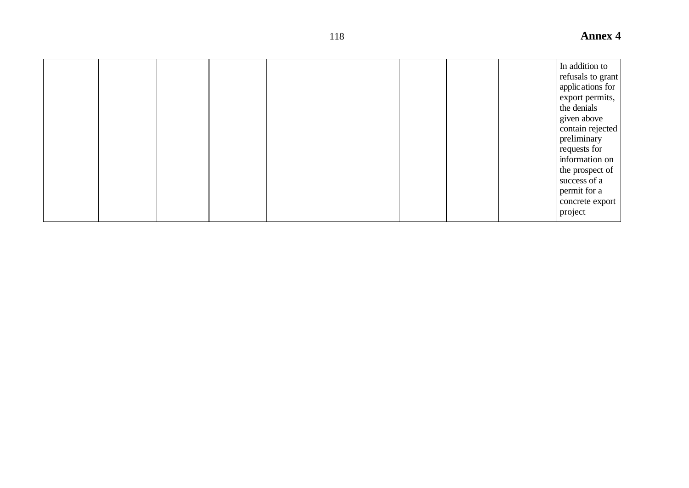|  |  |  |  | In addition to<br>refusals to grant<br>applications for |
|--|--|--|--|---------------------------------------------------------|
|  |  |  |  | export permits,                                         |
|  |  |  |  | the denials                                             |
|  |  |  |  | given above                                             |
|  |  |  |  | contain rejected                                        |
|  |  |  |  | preliminary                                             |
|  |  |  |  | requests for                                            |
|  |  |  |  | information on                                          |
|  |  |  |  | the prospect of                                         |
|  |  |  |  | success of a                                            |
|  |  |  |  | permit for a                                            |
|  |  |  |  | concrete export                                         |
|  |  |  |  | project                                                 |
|  |  |  |  |                                                         |